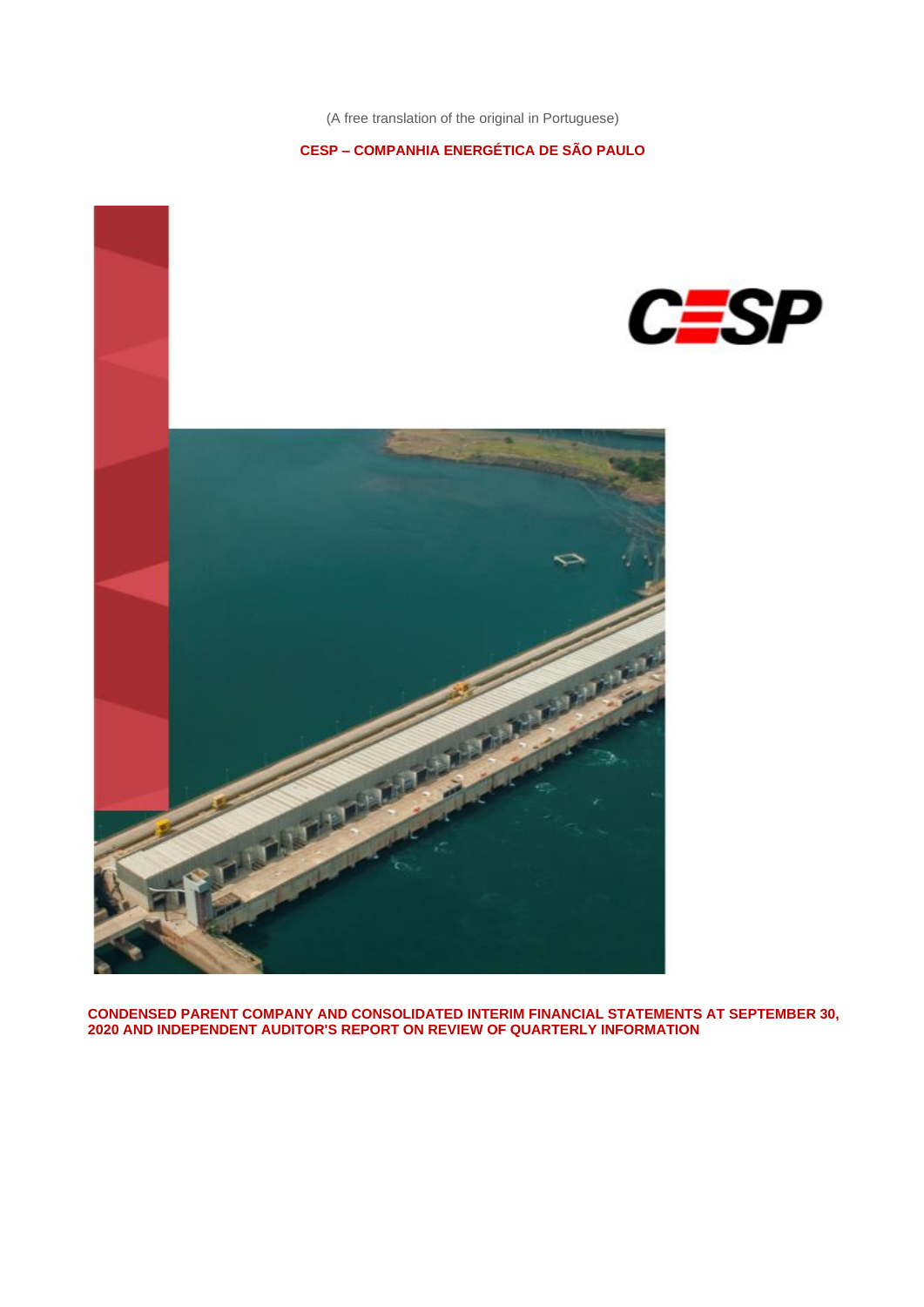### **CESP – COMPANHIA ENERGÉTICA DE SÃO PAULO**



**CONDENSED PARENT COMPANY AND CONSOLIDATED INTERIM FINANCIAL STATEMENTS AT SEPTEMBER 30, 2020 AND INDEPENDENT AUDITOR'S REPORT ON REVIEW OF QUARTERLY INFORMATION**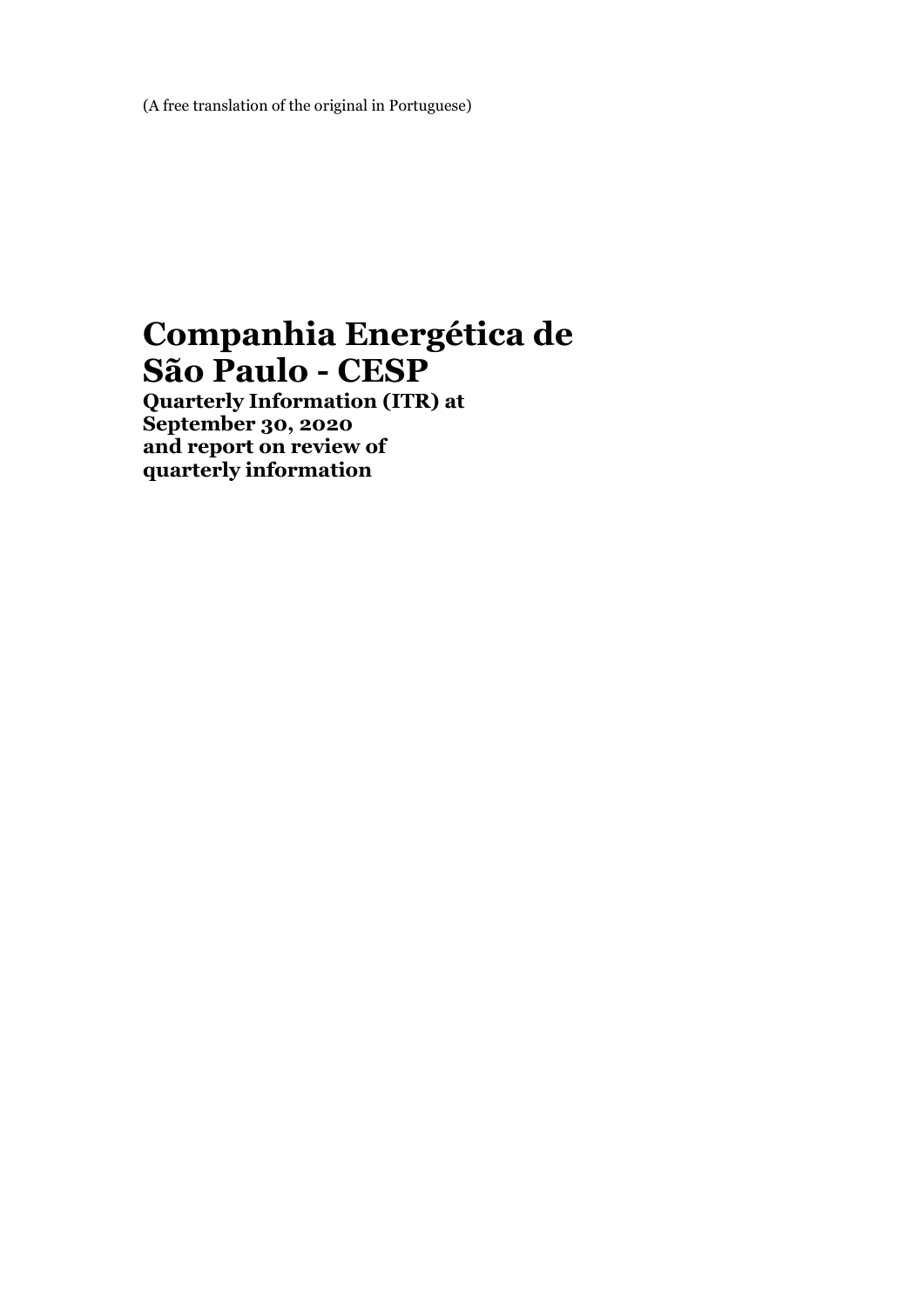# **Companhia Energética de São Paulo - CESP**

**Quarterly Information (ITR) at September 30, 2020 and report on review of quarterly information**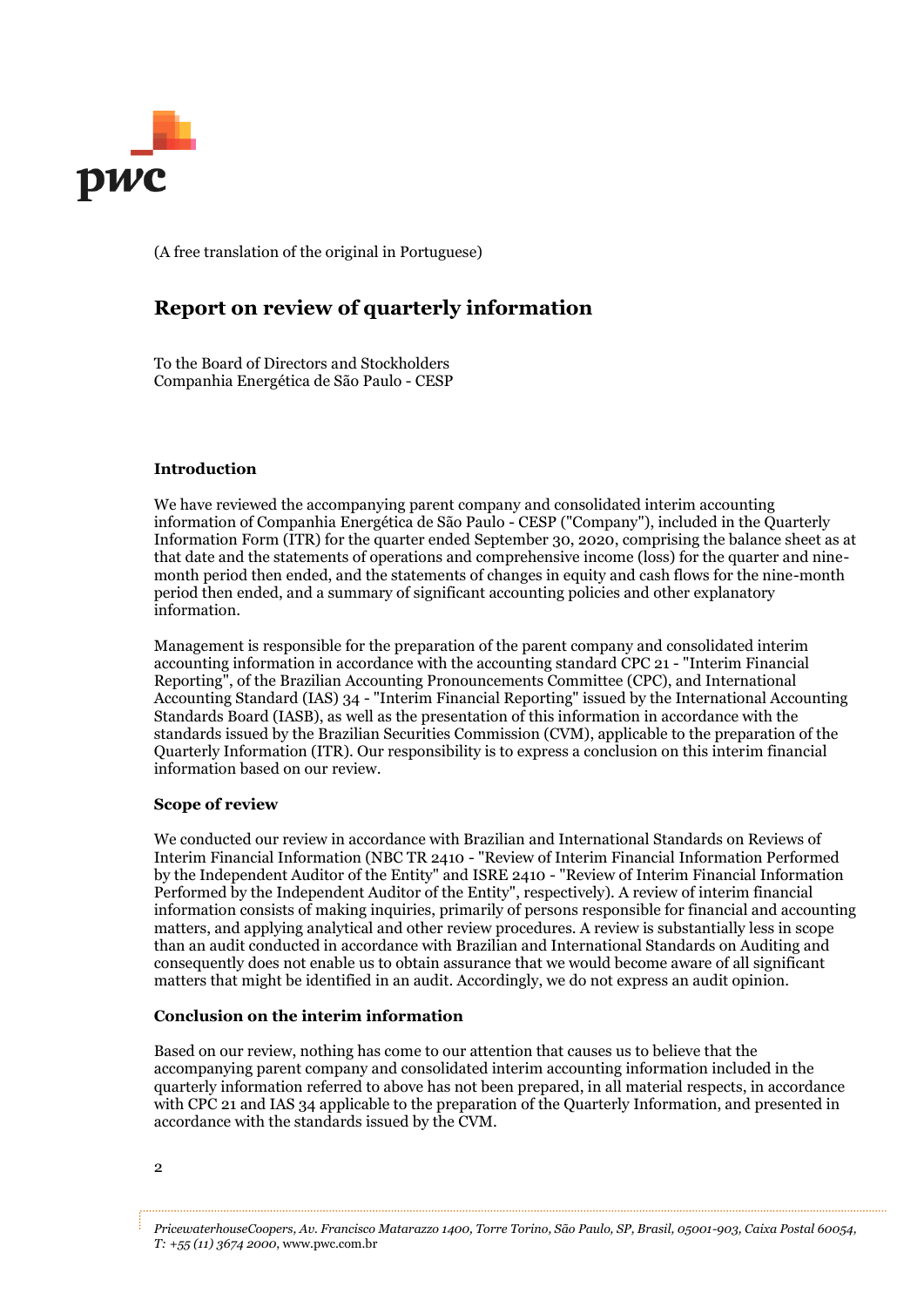

### **Report on review of quarterly information**

To the Board of Directors and Stockholders Companhia Energética de São Paulo - CESP

#### **Introduction**

We have reviewed the accompanying parent company and consolidated interim accounting information of Companhia Energética de São Paulo - CESP ("Company"), included in the Quarterly Information Form (ITR) for the quarter ended September 30, 2020, comprising the balance sheet as at that date and the statements of operations and comprehensive income (loss) for the quarter and ninemonth period then ended, and the statements of changes in equity and cash flows for the nine-month period then ended, and a summary of significant accounting policies and other explanatory information.

Management is responsible for the preparation of the parent company and consolidated interim accounting information in accordance with the accounting standard CPC 21 - "Interim Financial Reporting", of the Brazilian Accounting Pronouncements Committee (CPC), and International Accounting Standard (IAS) 34 - "Interim Financial Reporting" issued by the International Accounting Standards Board (IASB), as well as the presentation of this information in accordance with the standards issued by the Brazilian Securities Commission (CVM), applicable to the preparation of the Quarterly Information (ITR). Our responsibility is to express a conclusion on this interim financial information based on our review.

#### **Scope of review**

We conducted our review in accordance with Brazilian and International Standards on Reviews of Interim Financial Information (NBC TR 2410 - "Review of Interim Financial Information Performed by the Independent Auditor of the Entity" and ISRE 2410 - "Review of Interim Financial Information Performed by the Independent Auditor of the Entity", respectively). A review of interim financial information consists of making inquiries, primarily of persons responsible for financial and accounting matters, and applying analytical and other review procedures. A review is substantially less in scope than an audit conducted in accordance with Brazilian and International Standards on Auditing and consequently does not enable us to obtain assurance that we would become aware of all significant matters that might be identified in an audit. Accordingly, we do not express an audit opinion.

#### **Conclusion on the interim information**

Based on our review, nothing has come to our attention that causes us to believe that the accompanying parent company and consolidated interim accounting information included in the quarterly information referred to above has not been prepared, in all material respects, in accordance with CPC 21 and IAS 34 applicable to the preparation of the Quarterly Information, and presented in accordance with the standards issued by the CVM.

*PricewaterhouseCoopers, Av. Francisco Matarazzo 1400, Torre Torino, São Paulo, SP, Brasil, 05001-903, Caixa Postal 60054, T: +55 (11) 3674 2000*, www.pwc.com.br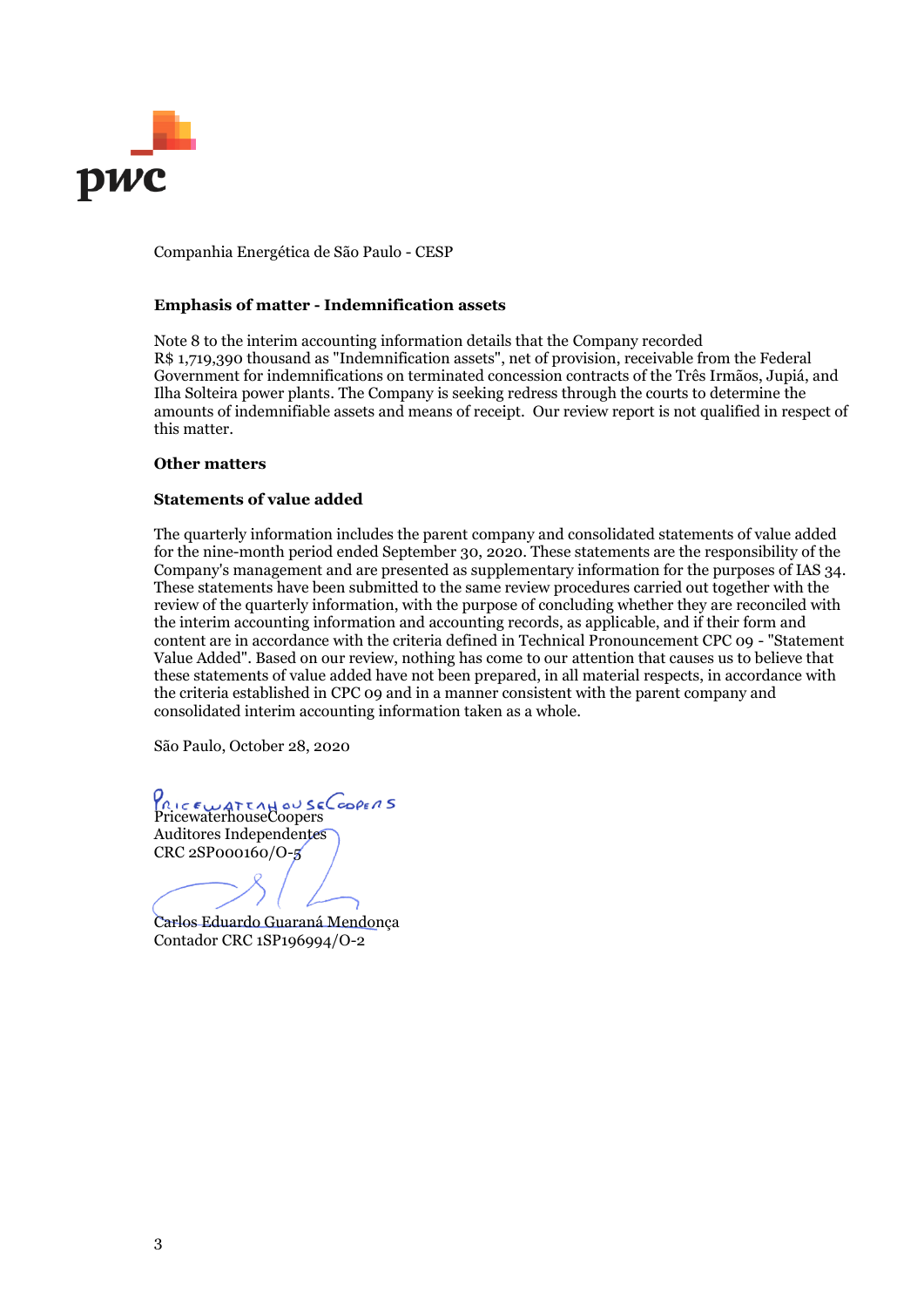

Companhia Energética de São Paulo - CESP

#### **Emphasis of matter - Indemnification assets**

Note 8 to the interim accounting information details that the Company recorded R\$ 1,719,390 thousand as "Indemnification assets", net of provision, receivable from the Federal Government for indemnifications on terminated concession contracts of the Três Irmãos, Jupiá, and Ilha Solteira power plants. The Company is seeking redress through the courts to determine the amounts of indemnifiable assets and means of receipt. Our review report is not qualified in respect of this matter.

#### **Other matters**

#### **Statements of value added**

The quarterly information includes the parent company and consolidated statements of value added for the nine-month period ended September 30, 2020. These statements are the responsibility of the Company's management and are presented as supplementary information for the purposes of IAS 34. These statements have been submitted to the same review procedures carried out together with the review of the quarterly information, with the purpose of concluding whether they are reconciled with the interim accounting information and accounting records, as applicable, and if their form and content are in accordance with the criteria defined in Technical Pronouncement CPC 09 - "Statement Value Added". Based on our review, nothing has come to our attention that causes us to believe that these statements of value added have not been prepared, in all material respects, in accordance with the criteria established in CPC 09 and in a manner consistent with the parent company and consolidated interim accounting information taken as a whole.

São Paulo, October 28, 2020

PRICEWATEAHOUSECOOPERS<br>PricewaterhouseCoopers Auditores Independentes CRC 2SP000160/O-5

Carlos Eduardo Guaraná Mendonça Contador CRC 1SP196994/O-2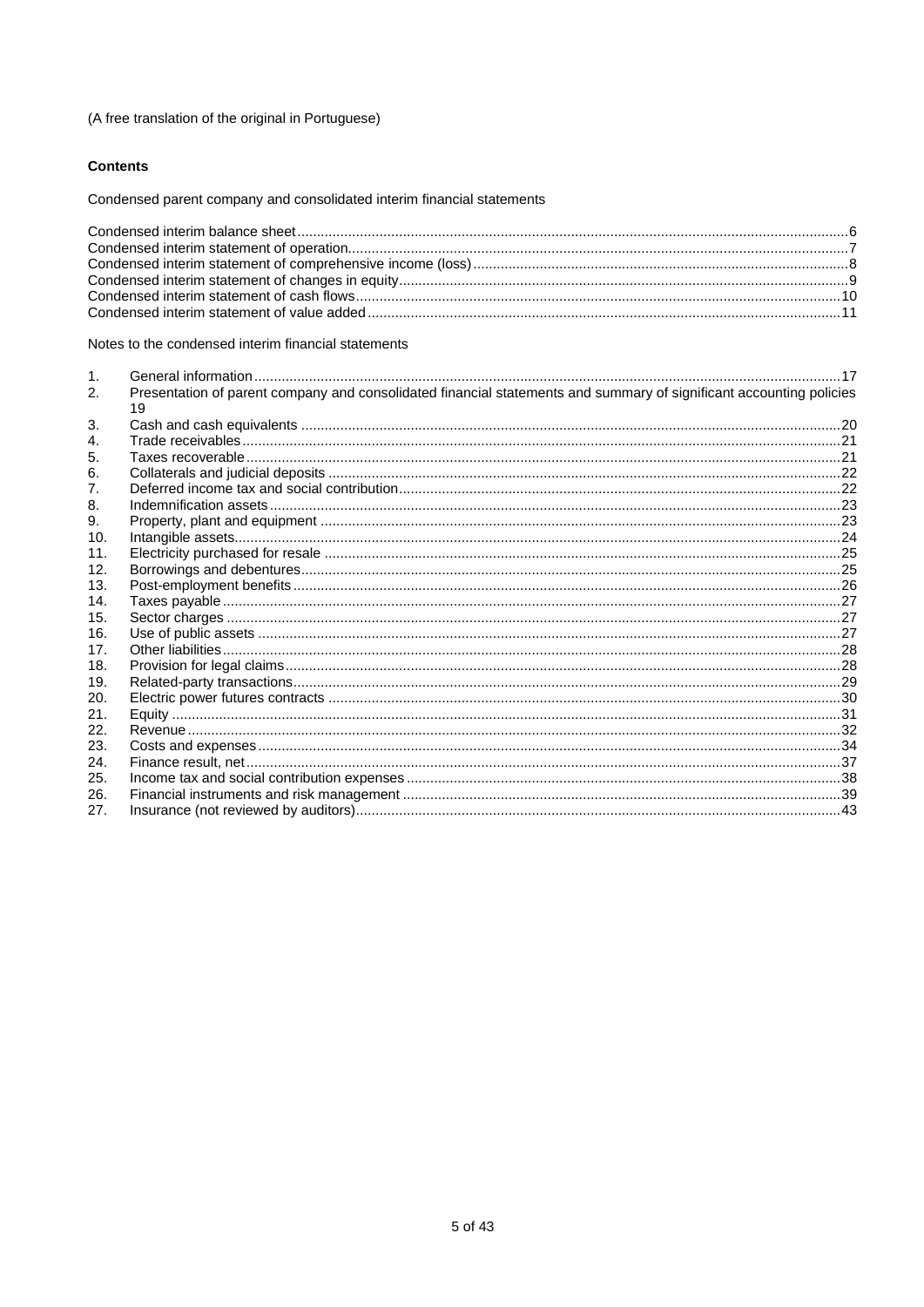#### **Contents**

Condensed parent company and consolidated interim financial statements

Notes to the condensed interim financial statements

|     | Presentation of parent company and consolidated financial statements and summary of significant accounting policies<br>19 |  |
|-----|---------------------------------------------------------------------------------------------------------------------------|--|
| 3.  |                                                                                                                           |  |
| 4.  |                                                                                                                           |  |
| 5.  |                                                                                                                           |  |
| 6.  |                                                                                                                           |  |
|     |                                                                                                                           |  |
| 8.  |                                                                                                                           |  |
| 9.  |                                                                                                                           |  |
| 10. |                                                                                                                           |  |
| 11. |                                                                                                                           |  |
| 12. |                                                                                                                           |  |
| 13. |                                                                                                                           |  |
| 14. |                                                                                                                           |  |
| 15. |                                                                                                                           |  |
| 16. |                                                                                                                           |  |
| 17. |                                                                                                                           |  |
| 18. |                                                                                                                           |  |
| 19. |                                                                                                                           |  |
| 20. |                                                                                                                           |  |
| 21. |                                                                                                                           |  |
| 22. |                                                                                                                           |  |
| 23. |                                                                                                                           |  |
| 24. |                                                                                                                           |  |
| 25. |                                                                                                                           |  |
| 26. |                                                                                                                           |  |
| 27. |                                                                                                                           |  |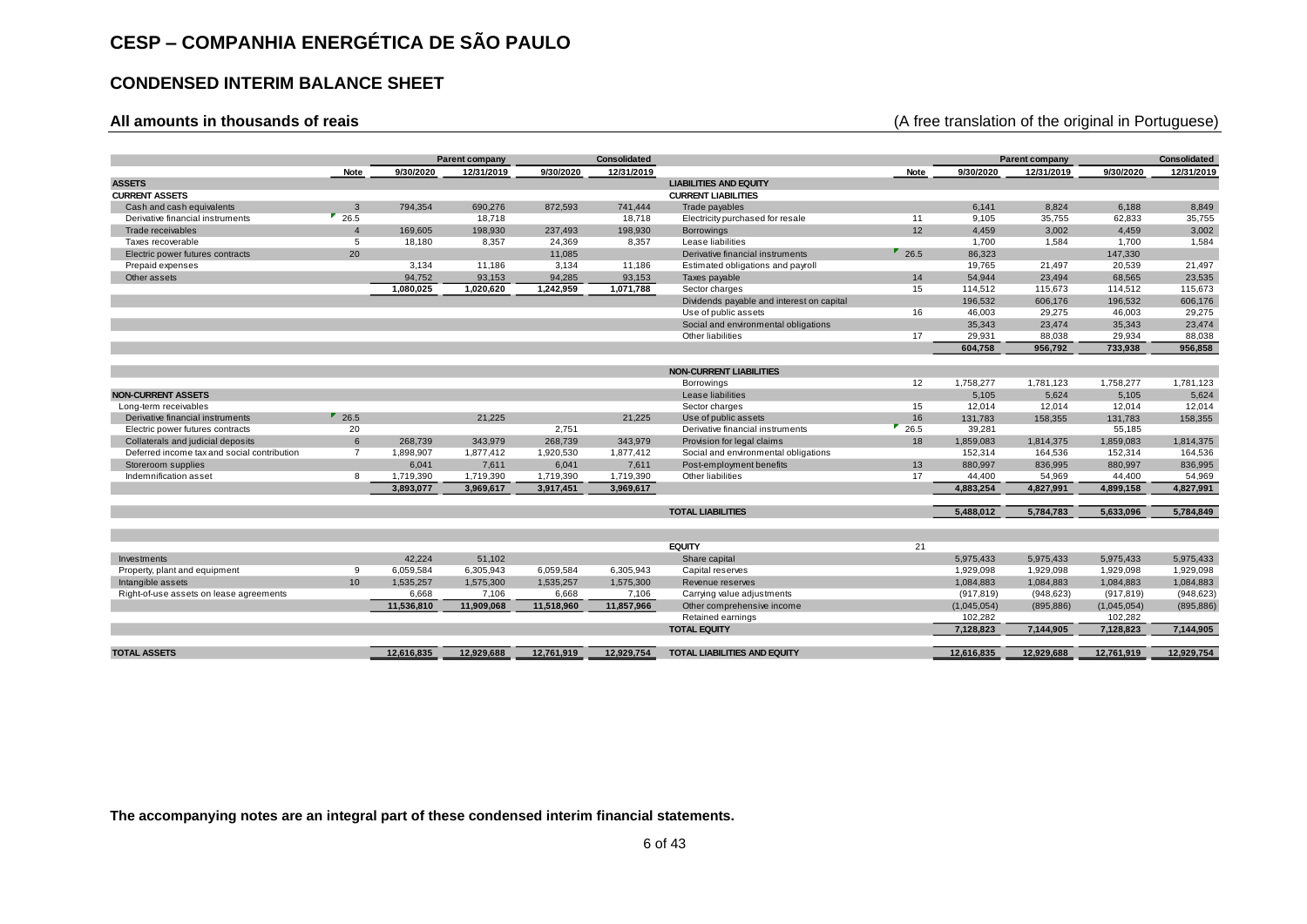### **CONDENSED INTERIM BALANCE SHEET**

### **All amounts in thousands of reais** (A free translation of the original in Portuguese)

| <b>ASSETS</b>                               |                     |            | Parent company |            | Consolidated |                                           |                     |             | Parent company |             | <b>Consolidated</b> |
|---------------------------------------------|---------------------|------------|----------------|------------|--------------|-------------------------------------------|---------------------|-------------|----------------|-------------|---------------------|
|                                             | Note                | 9/30/2020  | 12/31/2019     | 9/30/2020  | 12/31/2019   |                                           | Note                | 9/30/2020   | 12/31/2019     | 9/30/2020   | 12/31/2019          |
|                                             |                     |            |                |            |              | <b>LIABILITIES AND EQUITY</b>             |                     |             |                |             |                     |
| <b>CURRENT ASSETS</b>                       |                     |            |                |            |              | <b>CURRENT LIABILITIES</b>                |                     |             |                |             |                     |
| Cash and cash equivalents                   | $\overline{3}$      | 794,354    | 690,276        | 872,593    | 741,444      | Trade payables                            |                     | 6,141       | 8,824          | 6,188       | 8,849               |
| Derivative financial instruments            | $^{\bullet}$ 26.5   |            | 18,718         |            | 18,718       | Electricity purchased for resale          | 11                  | 9,105       | 35,755         | 62,833      | 35,755              |
| Trade receivables                           | $\overline{4}$      | 169,605    | 198,930        | 237,493    | 198,930      | <b>Borrowings</b>                         | 12                  | 4,459       | 3,002          | 4,459       | 3,002               |
| Taxes recoverable                           | $\overline{5}$      | 18,180     | 8,357          | 24,369     | 8,357        | Lease liabilities                         |                     | 1,700       | 1,584          | 1,700       | 1,584               |
| Electric power futures contracts            | 20                  |            |                | 11,085     |              | Derivative financial instruments          | $\blacksquare$ 26.5 | 86,323      |                | 147,330     |                     |
| Prepaid expenses                            |                     | 3,134      | 11,186         | 3,134      | 11,186       | Estimated obligations and payroll         |                     | 19,765      | 21,497         | 20,539      | 21,497              |
| Other assets                                |                     | 94,752     | 93,153         | 94,285     | 93,153       | Taxes payable                             | 14                  | 54,944      | 23,494         | 68,565      | 23,535              |
|                                             |                     | 1,080,025  | 1,020,620      | 1,242,959  | 1,071,788    | Sector charges                            | 15                  | 114,512     | 115.673        | 114,512     | 115,673             |
|                                             |                     |            |                |            |              | Dividends payable and interest on capital |                     | 196,532     | 606,176        | 196,532     | 606,176             |
|                                             |                     |            |                |            |              | Use of public assets                      | 16                  | 46,003      | 29,275         | 46,003      | 29,275              |
|                                             |                     |            |                |            |              | Social and environmental obligations      |                     | 35,343      | 23,474         | 35,343      | 23,474              |
|                                             |                     |            |                |            |              | Other liabilities                         | 17                  | 29,931      | 88,038         | 29,934      | 88,038              |
|                                             |                     |            |                |            |              |                                           |                     | 604.758     | 956,792        | 733,938     | 956,858             |
|                                             |                     |            |                |            |              |                                           |                     |             |                |             |                     |
|                                             |                     |            |                |            |              | <b>NON-CURRENT LIABILITIES</b>            |                     |             |                |             |                     |
|                                             |                     |            |                |            |              | Borrowings                                | 12                  | 1,758,277   | 1,781,123      | 1,758,277   | 1,781,123           |
| <b>NON-CURRENT ASSETS</b>                   |                     |            |                |            |              | Lease liabilities                         |                     | 5,105       | 5,624          | 5,105       | 5,624               |
| Long-term receivables                       |                     |            |                |            |              | Sector charges                            | 15                  | 12,014      | 12,014         | 12,014      | 12,014              |
| Derivative financial instruments            | $\blacksquare$ 26.5 |            | 21,225         |            | 21,225       | Use of public assets                      | 16                  | 131,783     | 158,355        | 131,783     | 158,355             |
| Electric power futures contracts            | 20                  |            |                | 2,751      |              | Derivative financial instruments          | 26.5                | 39,281      |                | 55,185      |                     |
| Collaterals and judicial deposits           | $\,6$               | 268,739    | 343,979        | 268,739    | 343,979      | Provision for legal claims                | 18                  | 1,859,083   | 1,814,375      | 1,859,083   | 1,814,375           |
| Deferred income tax and social contribution | $\overline{7}$      | 1,898,907  | 1,877,412      | 1,920,530  | 1,877,412    | Social and environmental obligations      |                     | 152,314     | 164,536        | 152,314     | 164,536             |
| Storeroom supplies                          |                     | 6,041      | 7,611          | 6,041      | 7,611        | Post-employment benefits                  | 13                  | 880.997     | 836,995        | 880,997     | 836,995             |
| Indemnification asset                       | 8                   | 1,719,390  | 1,719,390      | 1,719,390  | 1,719,390    | Other liabilities                         | 17                  | 44,400      | 54,969         | 44,400      | 54,969              |
|                                             |                     | 3,893,077  | 3,969,617      | 3,917,451  | 3,969,617    |                                           |                     | 4,883,254   | 4,827,991      | 4,899,158   | 4,827,991           |
|                                             |                     |            |                |            |              |                                           |                     |             |                |             |                     |
|                                             |                     |            |                |            |              | <b>TOTAL LIABILITIES</b>                  |                     | 5,488,012   | 5,784,783      | 5,633,096   | 5,784,849           |
|                                             |                     |            |                |            |              |                                           |                     |             |                |             |                     |
|                                             |                     |            |                |            |              | <b>EQUITY</b>                             | 21                  |             |                |             |                     |
| Investments                                 |                     | 42,224     | 51,102         |            |              | Share capital                             |                     | 5,975,433   | 5,975,433      | 5,975,433   | 5,975,433           |
| Property, plant and equipment               | 9                   | 6,059,584  | 6,305,943      | 6,059,584  | 6,305,943    | Capital reserves                          |                     | 1,929,098   | 1,929,098      | 1,929,098   | 1,929,098           |
| Intangible assets                           | 10                  | 1,535,257  | 1,575,300      | 1,535,257  | 1,575,300    | Revenue reserves                          |                     | 1,084,883   | 1,084,883      | 1,084,883   | 1,084,883           |
| Right-of-use assets on lease agreements     |                     | 6,668      | 7,106          | 6,668      | 7,106        | Carrying value adjustments                |                     | (917, 819)  | (948, 623)     | (917, 819)  | (948, 623)          |
|                                             |                     | 11,536,810 | 11,909,068     | 11,518,960 | 11,857,966   | Other comprehensive income                |                     | (1,045,054) | (895, 886)     | (1,045,054) | (895, 886)          |
|                                             |                     |            |                |            |              | Retained earnings                         |                     | 102,282     |                | 102,282     |                     |
|                                             |                     |            |                |            |              | <b>TOTAL EQUITY</b>                       |                     | 7,128,823   | 7,144,905      | 7,128,823   | 7,144,905           |
|                                             |                     |            |                |            |              |                                           |                     |             |                |             |                     |
| <b>TOTAL ASSETS</b>                         |                     | 12,616,835 | 12,929,688     | 12,761,919 | 12,929,754   | TOTAL LIABILITIES AND EQUITY              |                     | 12,616,835  | 12,929,688     | 12,761,919  | 12,929,754          |
|                                             |                     |            |                |            |              |                                           |                     |             |                |             |                     |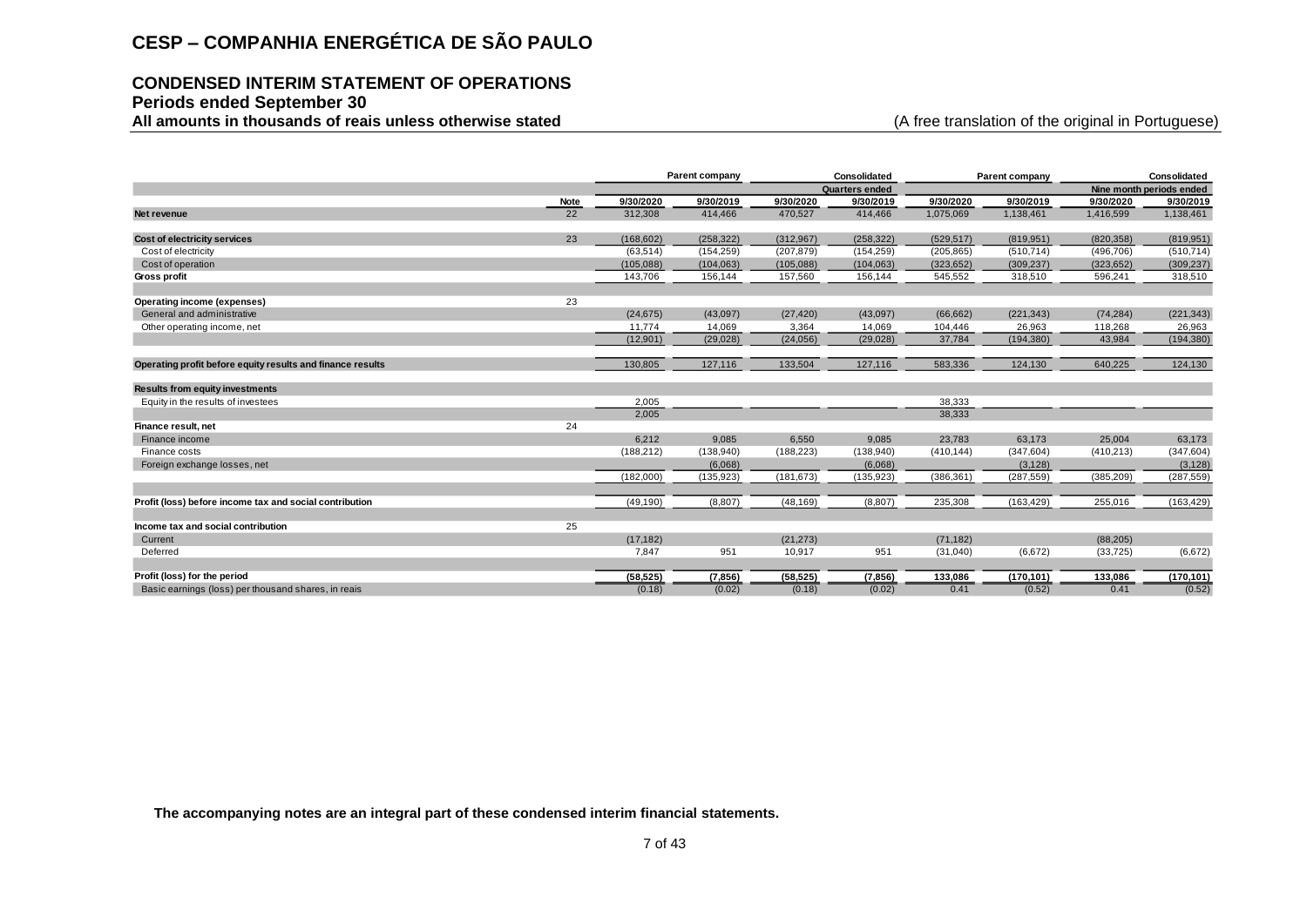### **CONDENSED INTERIM STATEMENT OF OPERATIONS Periods ended September 30**

All amounts in thousands of reais unless otherwise stated **and a stated** (A free translation of the original in Portuguese)

|                                                                                              |             |            | Parent company |            | Consolidated   |            | Parent company |            | Consolidated             |
|----------------------------------------------------------------------------------------------|-------------|------------|----------------|------------|----------------|------------|----------------|------------|--------------------------|
|                                                                                              |             |            |                |            | Quarters ended |            |                |            | Nine month periods ended |
|                                                                                              | <b>Note</b> | 9/30/2020  | 9/30/2019      | 9/30/2020  | 9/30/2019      | 9/30/2020  | 9/30/2019      | 9/30/2020  | 9/30/2019                |
| Net revenue                                                                                  | 22          | 312,308    | 414,466        | 470,527    | 414,466        | 1,075,069  | 1,138,461      | 1,416,599  | 1,138,461                |
| Cost of electricity services                                                                 | 23          | (168, 602) | (258, 322)     | (312,967)  | (258, 322)     | (529, 517) | (819, 951)     | (820, 358) | (819, 951)               |
| Cost of electricity                                                                          |             | (63, 514)  | (154, 259)     | (207, 879) | (154, 259)     | (205, 865) | (510, 714)     | (496, 706) | (510, 714)               |
| Cost of operation                                                                            |             | (105,088)  | (104, 063)     | (105,088)  | (104, 063)     | (323, 652) | (309, 237)     | (323, 652) | (309, 237)               |
| Gross profit                                                                                 |             | 143,706    | 156,144        | 157,560    | 156,144        | 545,552    | 318,510        | 596,241    | 318,510                  |
| Operating income (expenses)                                                                  | 23          |            |                |            |                |            |                |            |                          |
| General and administrative                                                                   |             | (24, 675)  | (43,097)       | (27, 420)  | (43,097)       | (66, 662)  | (221, 343)     | (74, 284)  | (221, 343)               |
| Other operating income, net                                                                  |             | 11,774     | 14,069         | 3,364      | 14,069         | 104,446    | 26,963         | 118,268    | 26,963                   |
|                                                                                              |             | (12, 901)  | (29, 028)      | (24,056)   | (29, 028)      | 37,784     | (194, 380)     | 43,984     | (194, 380)               |
| Operating profit before equity results and finance results                                   |             | 130,805    | 127,116        | 133,504    | 127,116        | 583,336    | 124,130        | 640,225    | 124,130                  |
| <b>Results from equity investments</b>                                                       |             |            |                |            |                |            |                |            |                          |
| Equity in the results of investees                                                           |             | 2,005      |                |            |                | 38,333     |                |            |                          |
|                                                                                              |             | 2,005      |                |            |                | 38,333     |                |            |                          |
| Finance result, net                                                                          | 24          |            |                |            |                |            |                |            |                          |
| Finance income                                                                               |             | 6,212      | 9,085          | 6,550      | 9,085          | 23,783     | 63,173         | 25,004     | 63,173                   |
| Finance costs                                                                                |             | (188, 212) | (138, 940)     | (188, 223) | (138, 940)     | (410, 144) | (347, 604)     | (410, 213) | (347, 604)               |
| Foreign exchange losses, net                                                                 |             |            | (6,068)        |            | (6,068)        |            | (3, 128)       |            | (3, 128)                 |
|                                                                                              |             | (182,000)  | (135, 923)     | (181, 673) | (135, 923)     | (386, 361) | (287, 559)     | (385, 209) | (287, 559)               |
| Profit (loss) before income tax and social contribution                                      |             | (49, 190)  | (8,807)        | (48, 169)  | (8,807)        | 235,308    | (163, 429)     | 255,016    | (163, 429)               |
| Income tax and social contribution                                                           | 25          |            |                |            |                |            |                |            |                          |
| Current                                                                                      |             | (17, 182)  |                | (21, 273)  |                | (71, 182)  |                | (88, 205)  |                          |
| Deferred                                                                                     |             | 7,847      | 951            | 10,917     | 951            | (31,040)   | (6,672)        | (33, 725)  | (6,672)                  |
|                                                                                              |             |            |                |            |                |            |                |            |                          |
| Profit (loss) for the period                                                                 |             | (58, 525)  | (7, 856)       | (58, 525)  | (7, 856)       | 133,086    | (170, 101)     | 133,086    | (170, 101)               |
| Basic earnings (loss) per thousand shares, in reais                                          |             | (0.18)     | (0.02)         | (0.18)     | (0.02)         | 0.41       | (0.52)         | 0.41       | (0.52)                   |
|                                                                                              |             |            |                |            |                |            |                |            |                          |
| The accompanying notes are an integral part of these condensed interim financial statements. |             |            |                |            |                |            |                |            |                          |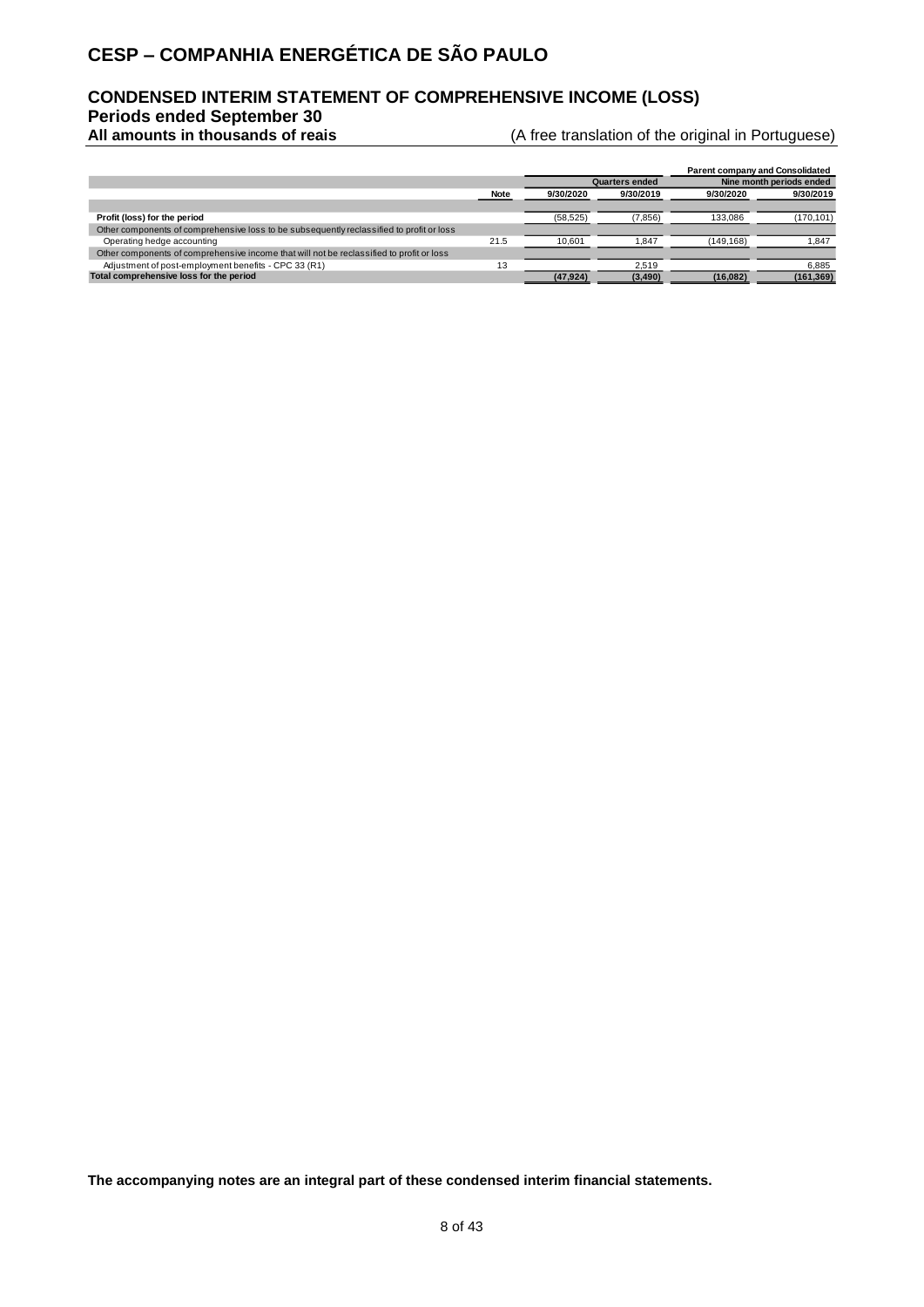### **CONDENSED INTERIM STATEMENT OF COMPREHENSIVE INCOME (LOSS)**

**Periods ended September 30**

(A free translation of the original in Portuguese)

|                                                                                          |      |           |                       |                          | <b>Parent company and Consolidated</b> |  |
|------------------------------------------------------------------------------------------|------|-----------|-----------------------|--------------------------|----------------------------------------|--|
|                                                                                          |      |           | <b>Quarters ended</b> | Nine month periods ended |                                        |  |
|                                                                                          | Note | 9/30/2020 | 9/30/2019             | 9/30/2020                | 9/30/2019                              |  |
|                                                                                          |      |           |                       |                          |                                        |  |
| Profit (loss) for the period                                                             |      | (58, 525) | (7, 856)              | 133,086                  | (170, 101)                             |  |
| Other components of comprehensive loss to be subsequently reclassified to profit or loss |      |           |                       |                          |                                        |  |
| Operating hedge accounting                                                               | 21.5 | 10.601    | 1.847                 | (149.168)                | 1.847                                  |  |
| Other components of comprehensive income that will not be reclassified to profit or loss |      |           |                       |                          |                                        |  |
| Adjustment of post-employment benefits - CPC 33 (R1)                                     | 13   |           | 2.519                 |                          | 6.885                                  |  |
| Total comprehensive loss for the period                                                  |      | (47, 924) | (3, 490)              | (16,082)                 | (161, 369)                             |  |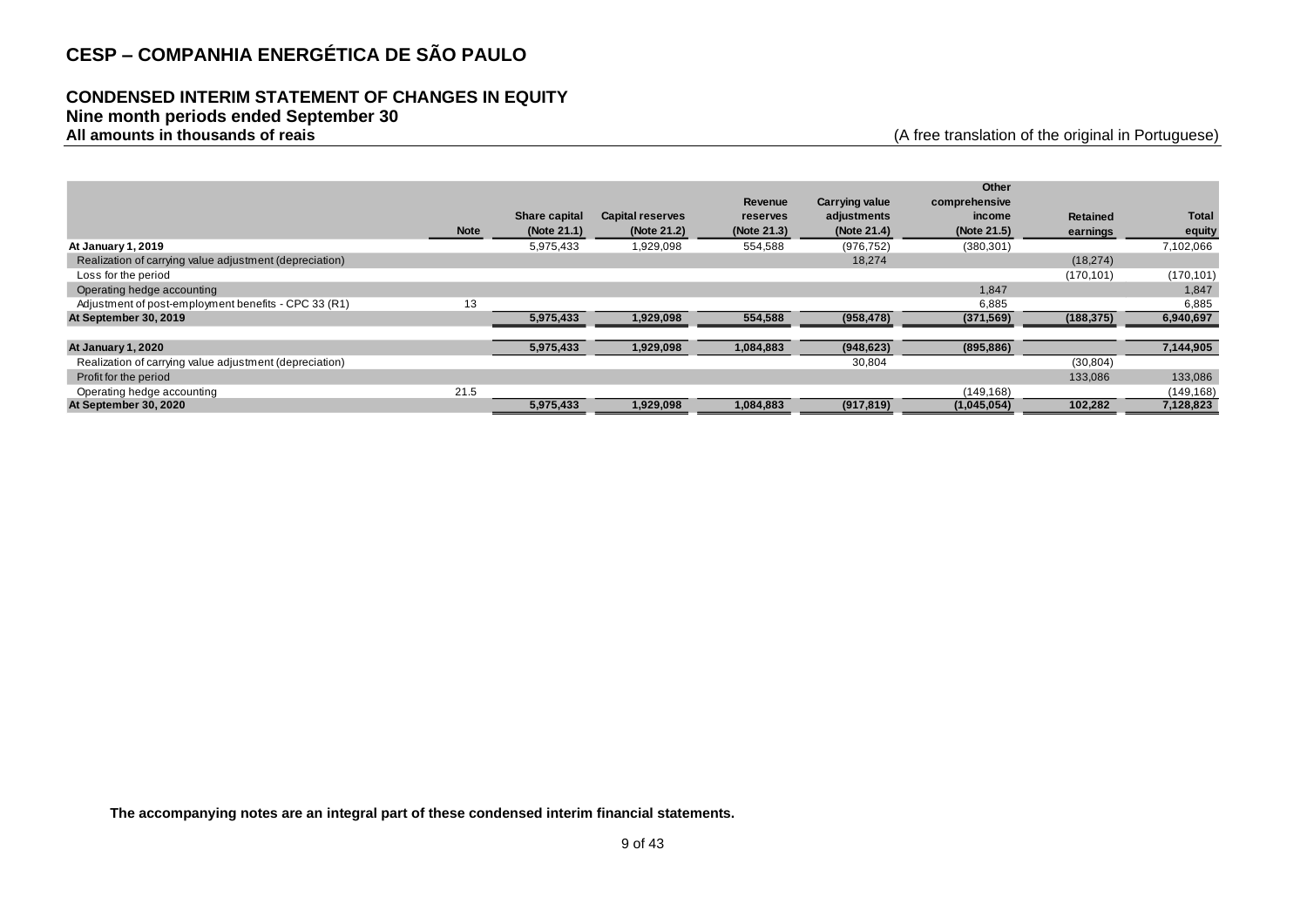### **CONDENSED INTERIM STATEMENT OF CHANGES IN EQUITY**

#### **Nine month periods ended September 30**

**All amounts in thousands of reais** (A free translation of the original in Portuguese)

|                                                         |             |                      |                         |             |                       | Other         |                 |              |
|---------------------------------------------------------|-------------|----------------------|-------------------------|-------------|-----------------------|---------------|-----------------|--------------|
|                                                         |             |                      |                         | Revenue     | <b>Carrying value</b> | comprehensive |                 |              |
|                                                         |             | <b>Share capital</b> | <b>Capital reserves</b> | reserves    | adjustments           | income        | <b>Retained</b> | <b>Total</b> |
|                                                         | <b>Note</b> | (Note 21.1)          | (Note 21.2)             | (Note 21.3) | (Note 21.4)           | (Note 21.5)   | earnings        | equity       |
| At January 1, 2019                                      |             | 5,975,433            | 1,929,098               | 554,588     | (976, 752)            | (380, 301)    |                 | 7,102,066    |
| Realization of carrying value adjustment (depreciation) |             |                      |                         |             | 18,274                |               | (18, 274)       |              |
| Loss for the period                                     |             |                      |                         |             |                       |               | (170, 101)      | (170, 101)   |
| Operating hedge accounting                              |             |                      |                         |             |                       | 1,847         |                 | 1,847        |
| Adjustment of post-employment benefits - CPC 33 (R1)    | 13          |                      |                         |             |                       | 6,885         |                 | 6,885        |
| At September 30, 2019                                   |             | 5,975,433            | 1,929,098               | 554,588     | (958, 478)            | (371, 569)    | (188, 375)      | 6,940,697    |
|                                                         |             |                      |                         |             |                       |               |                 |              |
| <b>At January 1, 2020</b>                               |             | 5,975,433            | 1,929,098               | 1,084,883   | (948, 623)            | (895, 886)    |                 | 7,144,905    |
| Realization of carrying value adjustment (depreciation) |             |                      |                         |             | 30,804                |               | (30, 804)       |              |
| Profit for the period                                   |             |                      |                         |             |                       |               | 133,086         | 133,086      |
| Operating hedge accounting                              | 21.5        |                      |                         |             |                       | (149, 168)    |                 | (149, 168)   |
| At September 30, 2020                                   |             | 5,975,433            | 1,929,098               | 1,084,883   | (917, 819)            | (1,045,054)   | 102,282         | 7,128,823    |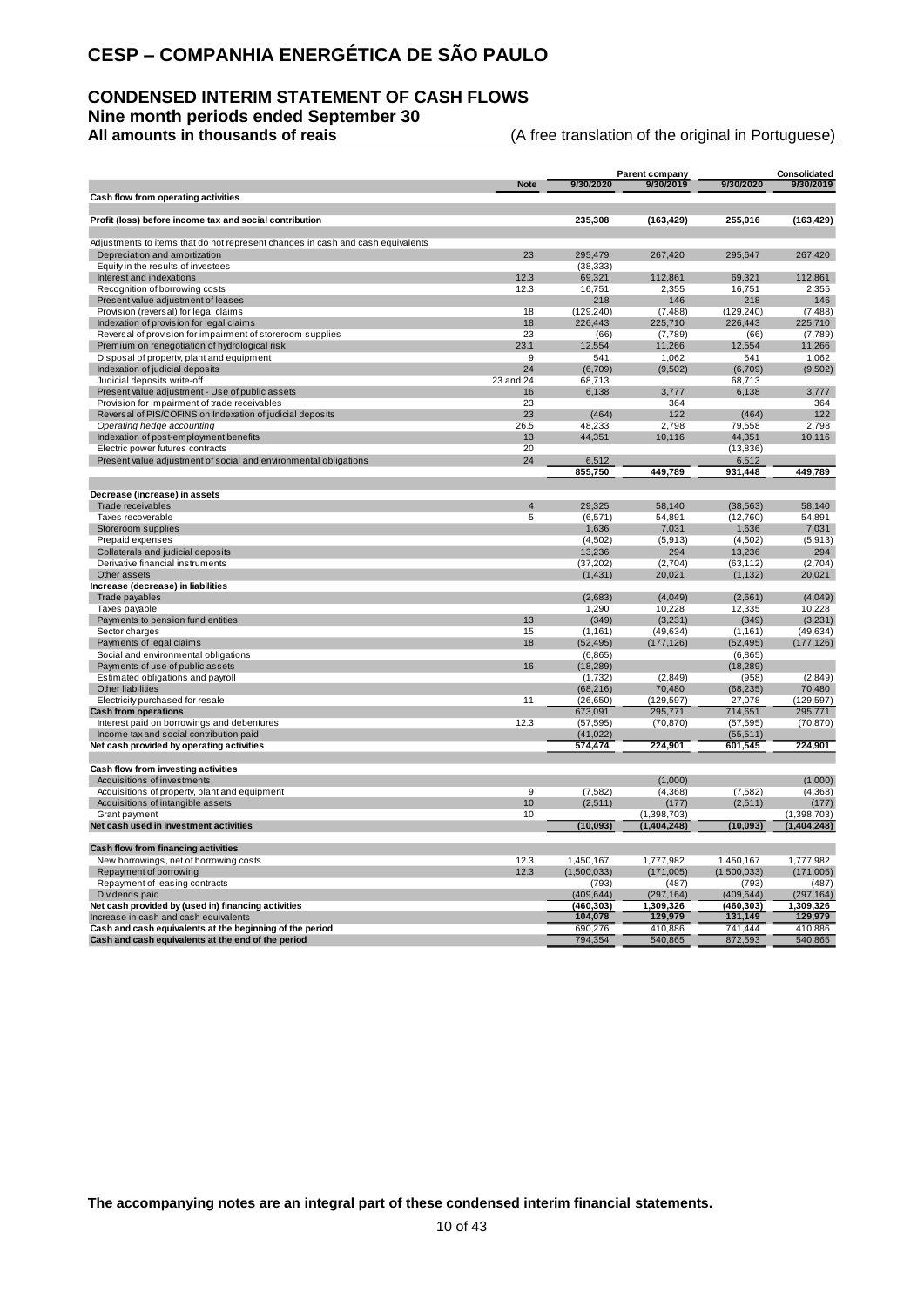### **CONDENSED INTERIM STATEMENT OF CASH FLOWS Nine month periods ended September 30**

**All amounts in thousands of reais** (A free translation of the original in Portuguese)

|                                                                                 |                |                     | <b>Parent company</b> |                   | Consolidated         |
|---------------------------------------------------------------------------------|----------------|---------------------|-----------------------|-------------------|----------------------|
| Cash flow from operating activities                                             | <b>Note</b>    | 9/30/2020           | 9/30/2019             | 9/30/2020         | 9/30/2019            |
|                                                                                 |                |                     |                       |                   |                      |
| Profit (loss) before income tax and social contribution                         |                | 235,308             | (163, 429)            | 255,016           | (163, 429)           |
| Adjustments to items that do not represent changes in cash and cash equivalents |                |                     |                       |                   |                      |
| Depreciation and amortization                                                   | 23             | 295,479             | 267,420               | 295,647           | 267,420              |
| Equity in the results of investees<br>Interest and indexations                  | 12.3           | (38, 333)<br>69,321 | 112,861               | 69,321            | 112,861              |
| Recognition of borrowing costs                                                  | 12.3           | 16,751              | 2,355                 | 16,751            | 2,355                |
| Present value adjustment of leases                                              |                | 218                 | 146                   | 218               | 146                  |
| Provision (reversal) for legal claims                                           | 18             | (129, 240)          | (7, 488)              | (129, 240)        | (7, 488)             |
| Indexation of provision for legal claims                                        | 18             | 226,443             | 225,710               | 226,443           | 225,710              |
| Reversal of provision for impairment of storeroom supplies                      | 23             | (66)                | (7,789)               | (66)              | (7,789)              |
| Premium on renegotiation of hydrological risk                                   | 23.1           | 12,554              | 11,266                | 12,554            | 11,266               |
| Disposal of property, plant and equipment                                       | 9              | 541                 | 1,062                 | 541               | 1,062                |
| Indexation of judicial deposits                                                 | 24             | (6,709)             | (9,502)               | (6,709)           | (9,502)              |
| Judicial deposits write-off                                                     | 23 and 24      | 68,713              |                       | 68,713            |                      |
| Present value adjustment - Use of public assets                                 | 16             | 6,138               | 3,777                 | 6,138             | 3,777                |
| Provision for impairment of trade receivables                                   | 23             |                     | 364                   |                   | 364                  |
| Reversal of PIS/COFINS on Indexation of judicial deposits                       | 23             | (464)               | 122                   | (464)             | 122                  |
| Operating hedge accounting                                                      | 26.5           | 48,233              | 2,798                 | 79,558            | 2,798                |
| Indexation of post-employment benefits                                          | 13             | 44,351              | 10,116                | 44,351            | 10,116               |
| Electric power futures contracts                                                | 20             |                     |                       | (13, 836)         |                      |
| Present value adjustment of social and environmental obligations                | 24             | 6,512               |                       | 6,512             |                      |
|                                                                                 |                | 855,750             | 449,789               | 931,448           | 449,789              |
| Decrease (increase) in assets                                                   |                |                     |                       |                   |                      |
| Trade receivables                                                               | $\overline{4}$ | 29,325              | 58,140                | (38, 563)         | 58.140               |
| Taxes recoverable                                                               | 5              | (6, 571)            | 54,891                | (12,760)          | 54,891               |
| Storeroom supplies                                                              |                | 1,636               | 7,031                 | 1,636             | 7,031                |
| Prepaid expenses                                                                |                | (4, 502)            | (5, 913)              | (4, 502)          | (5,913)              |
| Collaterals and judicial deposits                                               |                | 13,236              | 294                   | 13,236            | 294                  |
| Derivative financial instruments                                                |                | (37, 202)           | (2,704)               | (63, 112)         | (2,704)              |
| Other assets                                                                    |                | (1, 431)            | 20,021                | (1, 132)          | 20,021               |
| Increase (decrease) in liabilities                                              |                |                     |                       |                   |                      |
| Trade payables                                                                  |                | (2,683)             | (4,049)               | (2,661)           | (4,049)              |
| Taxes payable                                                                   | 13             | 1,290               | 10,228                | 12,335            | 10,228               |
| Payments to pension fund entities<br>Sector charges                             | 15             | (349)<br>(1, 161)   | (3,231)<br>(49, 634)  | (349)<br>(1, 161) | (3,231)<br>(49, 634) |
| Payments of legal claims                                                        | 18             | (52, 495)           | (177, 126)            | (52, 495)         | (177, 126)           |
| Social and environmental obligations                                            |                | (6,865)             |                       | (6, 865)          |                      |
| Payments of use of public assets                                                | 16             | (18, 289)           |                       | (18, 289)         |                      |
| Estimated obligations and payroll                                               |                | (1,732)             | (2,849)               | (958)             | (2,849)              |
| Other liabilities                                                               |                | (68, 216)           | 70,480                | (68, 235)         | 70,480               |
| Electricity purchased for resale                                                | 11             | (26, 650)           | (129, 597)            | 27,078            | (129, 597)           |
| <b>Cash from operations</b>                                                     |                | 673,091             | 295,771               | 714,651           | 295,771              |
| Interest paid on borrowings and debentures                                      | 12.3           | (57, 595)           | (70, 870)             | (57, 595)         | (70, 870)            |
| Income tax and social contribution paid                                         |                | (41, 022)           |                       | (55, 511)         |                      |
| Net cash provided by operating activities                                       |                | 574,474             | 224,901               | 601,545           | 224,901              |
| Cash flow from investing activities                                             |                |                     |                       |                   |                      |
| Acquisitions of investments                                                     |                |                     | (1,000)               |                   | (1,000)              |
| Acquisitions of property, plant and equipment                                   | 9              | (7, 582)            | (4,368)               | (7, 582)          | (4, 368)             |
| Acquisitions of intangible assets                                               | 10             | (2,511)             | (177)                 | (2,511)           | (177)                |
| Grant payment                                                                   | 10             |                     | (1, 398, 703)         |                   | (1,398,703)          |
| Net cash used in investment activities                                          |                | (10,093)            | (1, 404, 248)         | (10,093)          | (1, 404, 248)        |
| Cash flow from financing activities                                             |                |                     |                       |                   |                      |
| New borrowings, net of borrowing costs                                          | 12.3           | 1,450,167           | 1,777,982             | 1,450,167         | 1,777,982            |
| Repayment of borrowing                                                          | 12.3           | (1,500,033)         | (171,005)             | (1,500,033)       | (171,005)            |
| Repayment of leasing contracts                                                  |                | (793)               | (487)                 | (793)             | (487)                |
| Dividends paid                                                                  |                | (409, 644)          | (297, 164)            | (409, 644)        | (297, 164)           |
| Net cash provided by (used in) financing activities                             |                | (460,303)           | 1,309,326             | (460, 303)        | 1,309,326            |
| Increase in cash and cash equivalents                                           |                | 104,078             | 129,979               | 131,149           | 129,979              |
| Cash and cash equivalents at the beginning of the period                        |                | 690.276             | 410.886               | 741.444           | 410.886              |
| Cash and cash equivalents at the end of the period                              |                | 794.354             | 540,865               | 872.593           | 540,865              |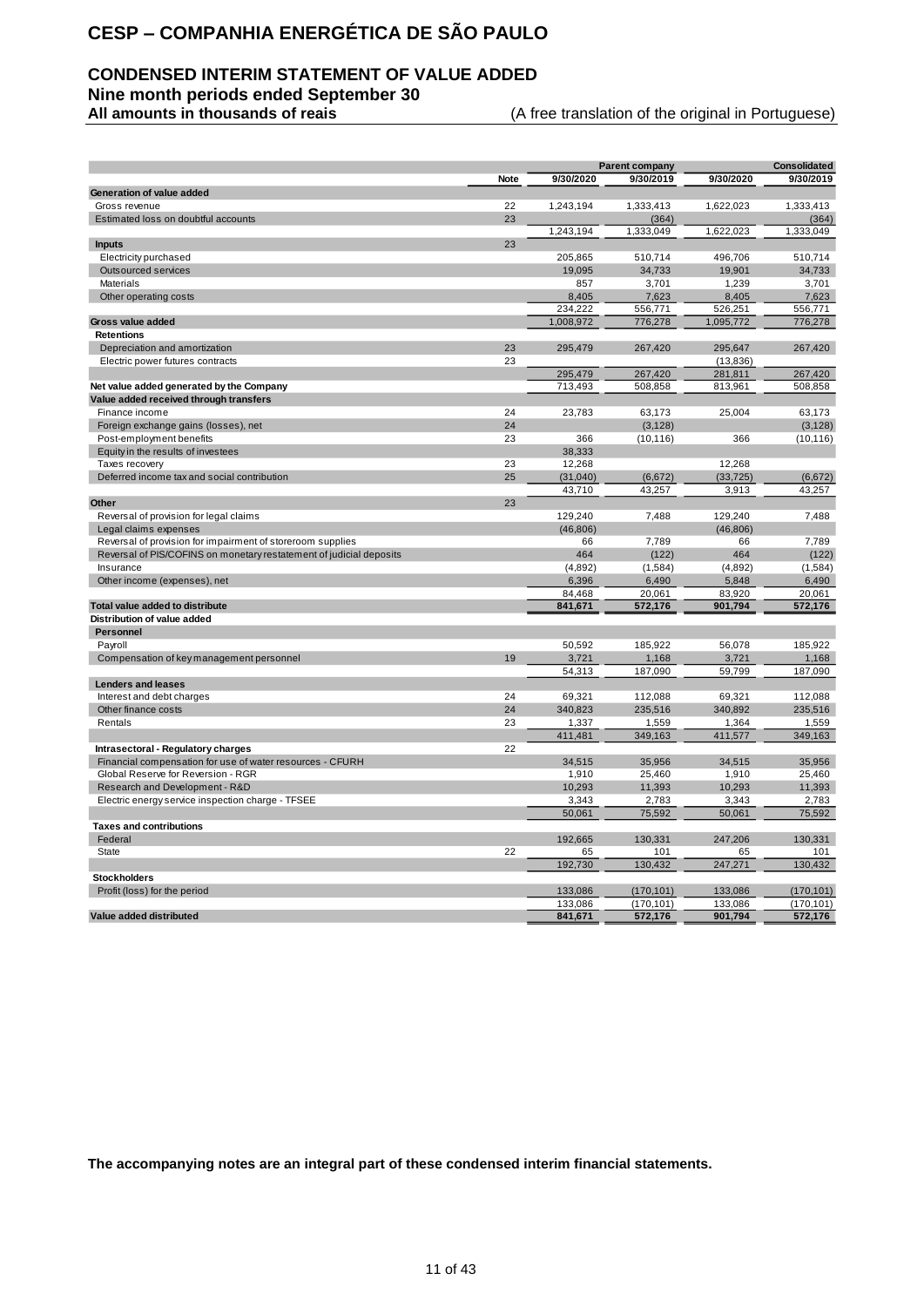### **CONDENSED INTERIM STATEMENT OF VALUE ADDED**

**Nine month periods ended September 30**

(A free translation of the original in Portuguese)

|                                                                     |      |           | <b>Parent company</b> |           | <b>Consolidated</b> |
|---------------------------------------------------------------------|------|-----------|-----------------------|-----------|---------------------|
|                                                                     | Note | 9/30/2020 | 9/30/2019             | 9/30/2020 | 9/30/2019           |
| Generation of value added                                           |      |           |                       |           |                     |
| Gross revenue                                                       | 22   | 1.243.194 | 1,333,413             | 1,622,023 | 1,333,413           |
| Estimated loss on doubtful accounts                                 | 23   |           | (364)                 |           | (364)               |
|                                                                     |      | 1,243,194 | 1,333,049             | 1,622,023 | 1,333,049           |
| <b>Inputs</b>                                                       | 23   |           |                       |           |                     |
| Electricity purchased                                               |      | 205,865   | 510,714               | 496,706   | 510,714             |
| <b>Outsourced services</b>                                          |      | 19,095    | 34,733                | 19,901    | 34,733              |
| Materials                                                           |      | 857       | 3,701                 | 1,239     | 3,701               |
| Other operating costs                                               |      | 8,405     | 7,623                 | 8,405     | 7,623               |
|                                                                     |      | 234,222   | 556,771               | 526,251   | 556,771             |
| Gross value added                                                   |      | 1,008,972 | 776,278               | 1,095,772 | 776,278             |
| <b>Retentions</b>                                                   |      |           |                       |           |                     |
| Depreciation and amortization                                       | 23   | 295,479   | 267,420               | 295,647   | 267,420             |
| Electric power futures contracts                                    | 23   |           |                       | (13, 836) |                     |
|                                                                     |      | 295,479   | 267,420               | 281,811   | 267,420             |
| Net value added generated by the Company                            |      | 713,493   | 508,858               | 813,961   | 508,858             |
| Value added received through transfers                              |      |           |                       |           |                     |
| Finance income                                                      | 24   | 23,783    | 63.173                | 25,004    | 63,173              |
| Foreign exchange gains (losses), net                                | 24   |           | (3, 128)              |           | (3, 128)            |
| Post-employment benefits                                            | 23   | 366       | (10, 116)             | 366       | (10, 116)           |
| Equity in the results of investees                                  |      | 38,333    |                       |           |                     |
| Taxes recovery                                                      | 23   | 12,268    |                       | 12.268    |                     |
| Deferred income tax and social contribution                         | 25   | (31, 040) | (6,672)               | (33, 725) | (6, 672)            |
|                                                                     |      | 43,710    | 43,257                | 3,913     | 43,257              |
| Other                                                               | 23   |           |                       |           |                     |
| Reversal of provision for legal claims                              |      | 129,240   | 7,488                 | 129,240   | 7,488               |
| Legal claims expenses                                               |      | (46, 806) |                       | (46, 806) |                     |
| Reversal of provision for impairment of storeroom supplies          |      | 66        | 7,789                 | 66        | 7,789               |
| Reversal of PIS/COFINS on monetary restatement of judicial deposits |      | 464       | (122)                 | 464       | (122)               |
| Insurance                                                           |      | (4,892)   | (1,584)               | (4,892)   | (1,584)             |
| Other income (expenses), net                                        |      | 6,396     | 6,490                 | 5,848     | 6,490               |
|                                                                     |      | 84,468    | 20,061                | 83,920    | 20,061              |
| Total value added to distribute                                     |      | 841,671   | 572,176               | 901,794   | 572,176             |
| Distribution of value added                                         |      |           |                       |           |                     |
| Personnel                                                           |      |           |                       |           |                     |
| Payroll                                                             |      | 50,592    | 185,922               | 56,078    | 185,922             |
| Compensation of key management personnel                            | 19   | 3,721     | 1,168                 | 3,721     | 1,168               |
|                                                                     |      | 54,313    | 187,090               | 59,799    | 187,090             |
| <b>Lenders and leases</b>                                           |      |           |                       |           |                     |
| Interest and debt charges                                           | 24   | 69.321    | 112.088               | 69.321    | 112.088             |
| Other finance costs                                                 | 24   | 340.823   | 235.516               | 340.892   | 235.516             |
| Rentals                                                             | 23   | 1,337     | 1,559                 | 1.364     | 1,559               |
|                                                                     |      | 411.481   | 349,163               | 411.577   | 349.163             |
| Intrasectoral - Regulatory charges                                  | 22   |           |                       |           |                     |
| Financial compensation for use of water resources - CFURH           |      | 34,515    | 35,956                | 34,515    | 35,956              |
| Global Reserve for Reversion - RGR                                  |      | 1,910     | 25,460                | 1,910     | 25,460              |
| Research and Development - R&D                                      |      | 10,293    | 11,393                | 10,293    | 11,393              |
| Electric energy service inspection charge - TFSEE                   |      | 3,343     | 2,783                 | 3,343     | 2,783               |
|                                                                     |      | 50,061    | 75,592                | 50,061    | 75,592              |
| <b>Taxes and contributions</b>                                      |      |           |                       |           |                     |
| Federal                                                             |      | 192,665   | 130,331               | 247,206   | 130,331             |
| <b>State</b>                                                        | 22   | 65        | 101                   | 65        | 101                 |
|                                                                     |      | 192,730   | 130,432               | 247,271   | 130,432             |
| <b>Stockholders</b>                                                 |      |           |                       |           |                     |
| Profit (loss) for the period                                        |      | 133,086   | (170, 101)            | 133,086   | (170, 101)          |
|                                                                     |      | 133,086   | (170, 101)            | 133,086   | (170, 101)          |
| Value added distributed                                             |      | 841,671   | 572,176               | 901,794   | 572,176             |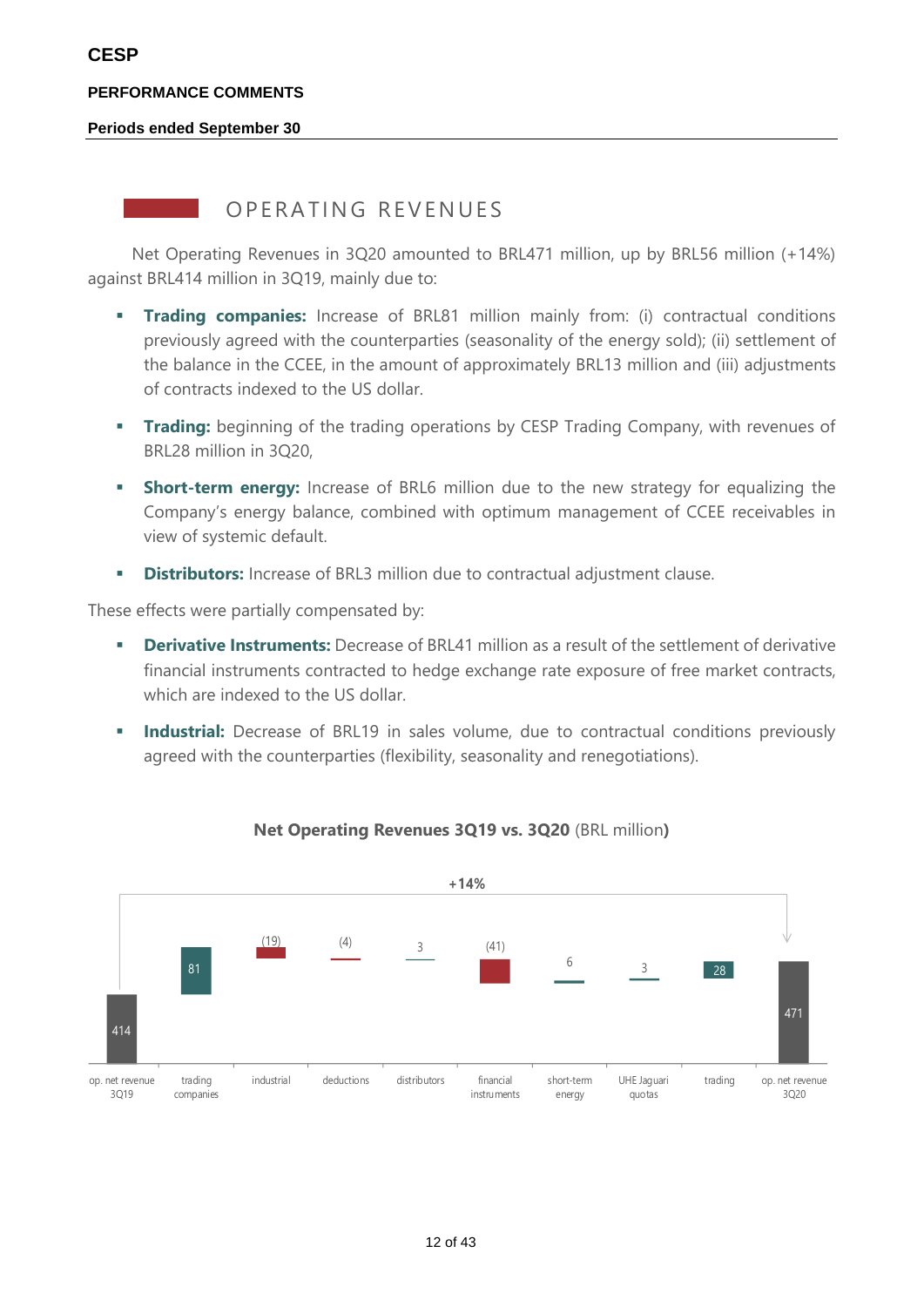#### **Periods ended September 30**

### OPFRATING REVENUES

Net Operating Revenues in 3Q20 amounted to BRL471 million, up by BRL56 million (+14%) against BRL414 million in 3Q19, mainly due to:

- **Trading companies:** Increase of BRL81 million mainly from: (i) contractual conditions previously agreed with the counterparties (seasonality of the energy sold); (ii) settlement of the balance in the CCEE, in the amount of approximately BRL13 million and (iii) adjustments of contracts indexed to the US dollar.
- **Trading:** beginning of the trading operations by CESP Trading Company, with revenues of BRL28 million in 3Q20,
- **EXECT** Short-term energy: Increase of BRL6 million due to the new strategy for equalizing the Company's energy balance, combined with optimum management of CCEE receivables in view of systemic default.
- **EXECT** Distributors: Increase of BRL3 million due to contractual adjustment clause.

These effects were partially compensated by:

- **Derivative Instruments:** Decrease of BRL41 million as a result of the settlement of derivative financial instruments contracted to hedge exchange rate exposure of free market contracts, which are indexed to the US dollar.
- **Industrial:** Decrease of BRL19 in sales volume, due to contractual conditions previously agreed with the counterparties (flexibility, seasonality and renegotiations).



### **Net Operating Revenues 3Q19 vs. 3Q20** (BRL million**)**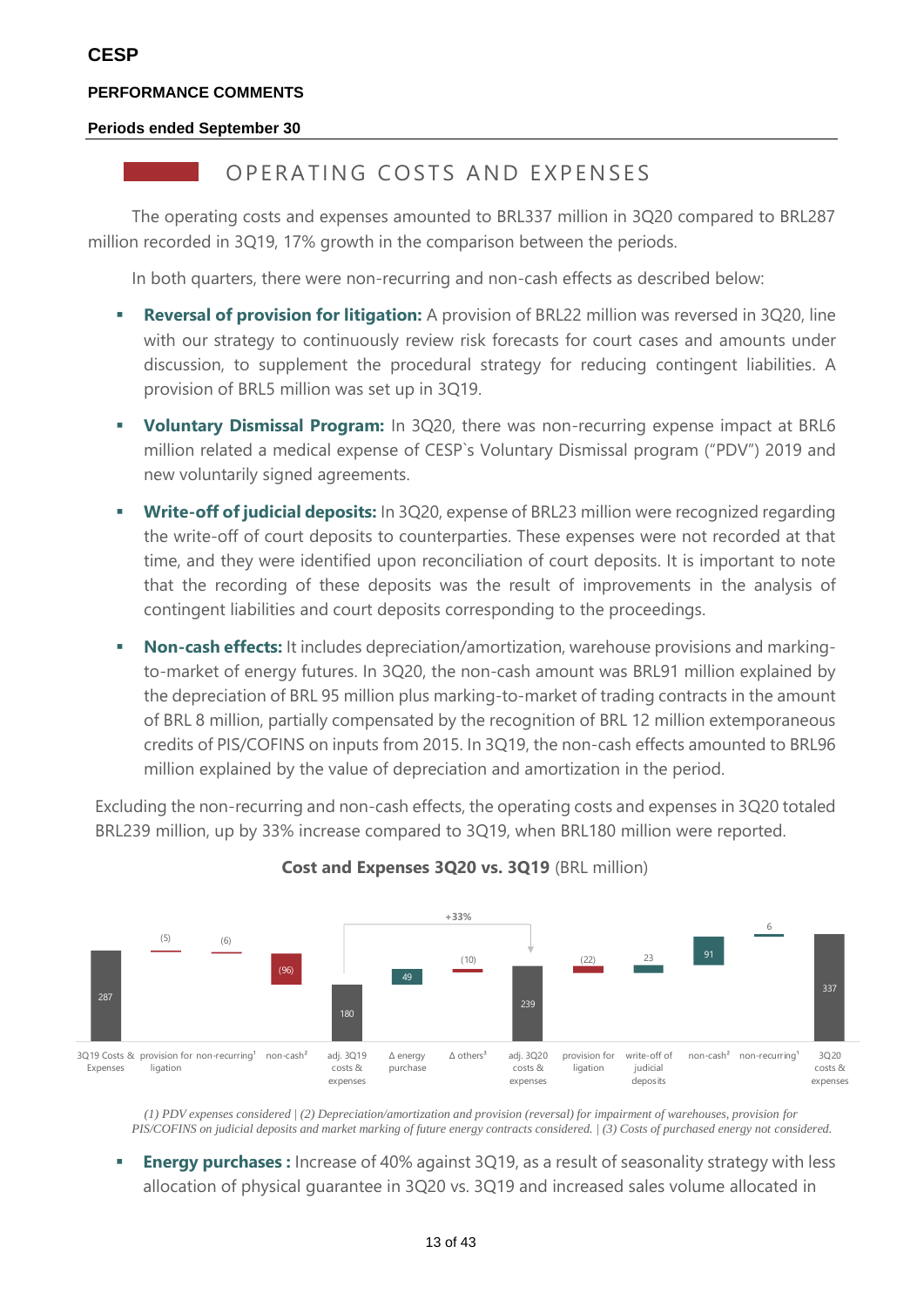#### **Periods ended September 30**

### OPFRATING COSTS AND EXPENSES

The operating costs and expenses amounted to BRL337 million in 3Q20 compared to BRL287 million recorded in 3Q19, 17% growth in the comparison between the periods.

In both quarters, there were non-recurring and non-cash effects as described below:

- **Exercise 1 Reversal of provision for litigation:** A provision of BRL22 million was reversed in 3Q20, line with our strategy to continuously review risk forecasts for court cases and amounts under discussion, to supplement the procedural strategy for reducing contingent liabilities. A provision of BRL5 million was set up in 3Q19.
- **Voluntary Dismissal Program:** In 3Q20, there was non-recurring expense impact at BRL6 million related a medical expense of CESP`s Voluntary Dismissal program ("PDV") 2019 and new voluntarily signed agreements.
- **Write-off of judicial deposits:** In 3Q20, expense of BRL23 million were recognized regarding the write-off of court deposits to counterparties. These expenses were not recorded at that time, and they were identified upon reconciliation of court deposits. It is important to note that the recording of these deposits was the result of improvements in the analysis of contingent liabilities and court deposits corresponding to the proceedings.
- **Non-cash effects:** It includes depreciation/amortization, warehouse provisions and markingto-market of energy futures. In 3Q20, the non-cash amount was BRL91 million explained by the depreciation of BRL 95 million plus marking-to-market of trading contracts in the amount of BRL 8 million, partially compensated by the recognition of BRL 12 million extemporaneous credits of PIS/COFINS on inputs from 2015. In 3Q19, the non-cash effects amounted to BRL96 million explained by the value of depreciation and amortization in the period.

Excluding the non-recurring and non-cash effects, the operating costs and expenses in 3Q20 totaled BRL239 million, up by 33% increase compared to 3Q19, when BRL180 million were reported.



### **Cost and Expenses 3Q20 vs. 3Q19** (BRL million)

*(1) PDV expenses considered | (2) Depreciation/amortization and provision (reversal) for impairment of warehouses, provision for PIS/COFINS on judicial deposits and market marking of future energy contracts considered. | (3) Costs of purchased energy not considered.*

**Energy purchases** : Increase of 40% against 3Q19, as a result of seasonality strategy with less allocation of physical guarantee in 3Q20 vs. 3Q19 and increased sales volume allocated in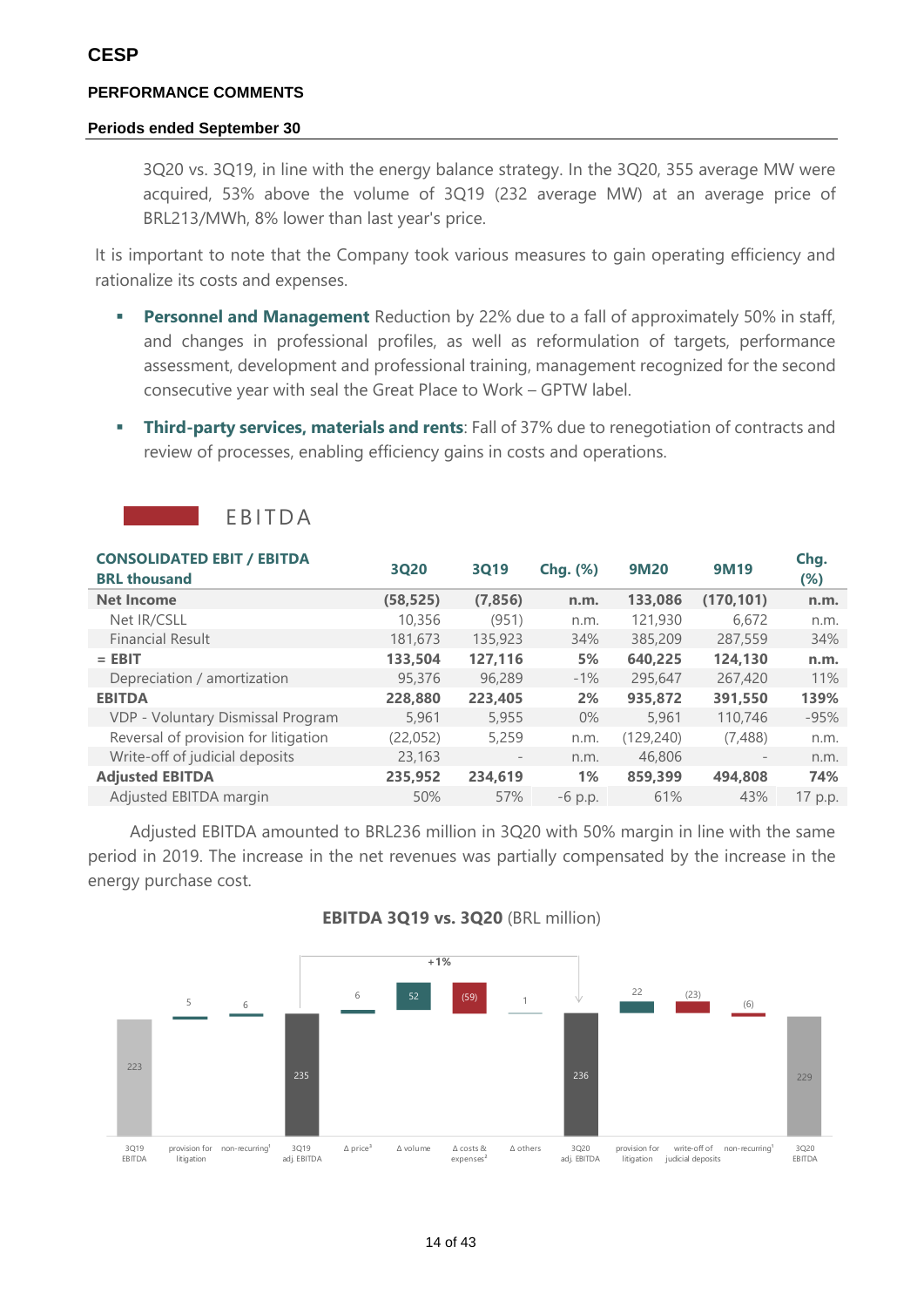#### **Periods ended September 30**

3Q20 vs. 3Q19, in line with the energy balance strategy. In the 3Q20, 355 average MW were acquired, 53% above the volume of 3Q19 (232 average MW) at an average price of BRL213/MWh, 8% lower than last year's price.

It is important to note that the Company took various measures to gain operating efficiency and rationalize its costs and expenses.

- **Personnel and Management** Reduction by 22% due to a fall of approximately 50% in staff, and changes in professional profiles, as well as reformulation of targets, performance assessment, development and professional training, management recognized for the second consecutive year with seal the Great Place to Work – GPTW label.
- **EXECT:** Third-party services, materials and rents: Fall of 37% due to renegotiation of contracts and review of processes, enabling efficiency gains in costs and operations.

| <b>CONSOLIDATED EBIT / EBITDA</b><br><b>BRL thousand</b> | 3020      | 3019              | <b>Chg.</b> (%) | <b>9M20</b> | <b>9M19</b> | Chg.<br>(%) |
|----------------------------------------------------------|-----------|-------------------|-----------------|-------------|-------------|-------------|
| <b>Net Income</b>                                        | (58, 525) | (7, 856)          | n.m.            | 133,086     | (170, 101)  | n.m.        |
| Net IR/CSLL                                              | 10,356    | (951)             | n.m.            | 121,930     | 6.672       | n.m.        |
| <b>Financial Result</b>                                  | 181,673   | 135,923           | 34%             | 385,209     | 287,559     | 34%         |
| $=$ EBIT                                                 | 133,504   | 127,116           | 5%              | 640.225     | 124,130     | n.m.        |
| Depreciation / amortization                              | 95,376    | 96,289            | $-1\%$          | 295,647     | 267,420     | 11%         |
| <b>EBITDA</b>                                            | 228,880   | 223,405           | 2%              | 935,872     | 391,550     | 139%        |
| VDP - Voluntary Dismissal Program                        | 5,961     | 5,955             | $0\%$           | 5,961       | 110,746     | $-95%$      |
| Reversal of provision for litigation                     | (22, 052) | 5,259             | n.m.            | (129, 240)  | (7,488)     | n.m.        |
| Write-off of judicial deposits                           | 23,163    | $\qquad \qquad -$ | n.m.            | 46,806      |             | n.m.        |
| <b>Adjusted EBITDA</b>                                   | 235,952   | 234,619           | $1\%$           | 859,399     | 494.808     | 74%         |
| Adjusted EBITDA margin                                   | 50%       | 57%               | $-6$ p.p.       | 61%         | 43%         | 17 p.p.     |

**FBITDA** 

Adjusted EBITDA amounted to BRL236 million in 3Q20 with 50% margin in line with the same period in 2019. The increase in the net revenues was partially compensated by the increase in the energy purchase cost.



### **EBITDA 3Q19 vs. 3Q20** (BRL million)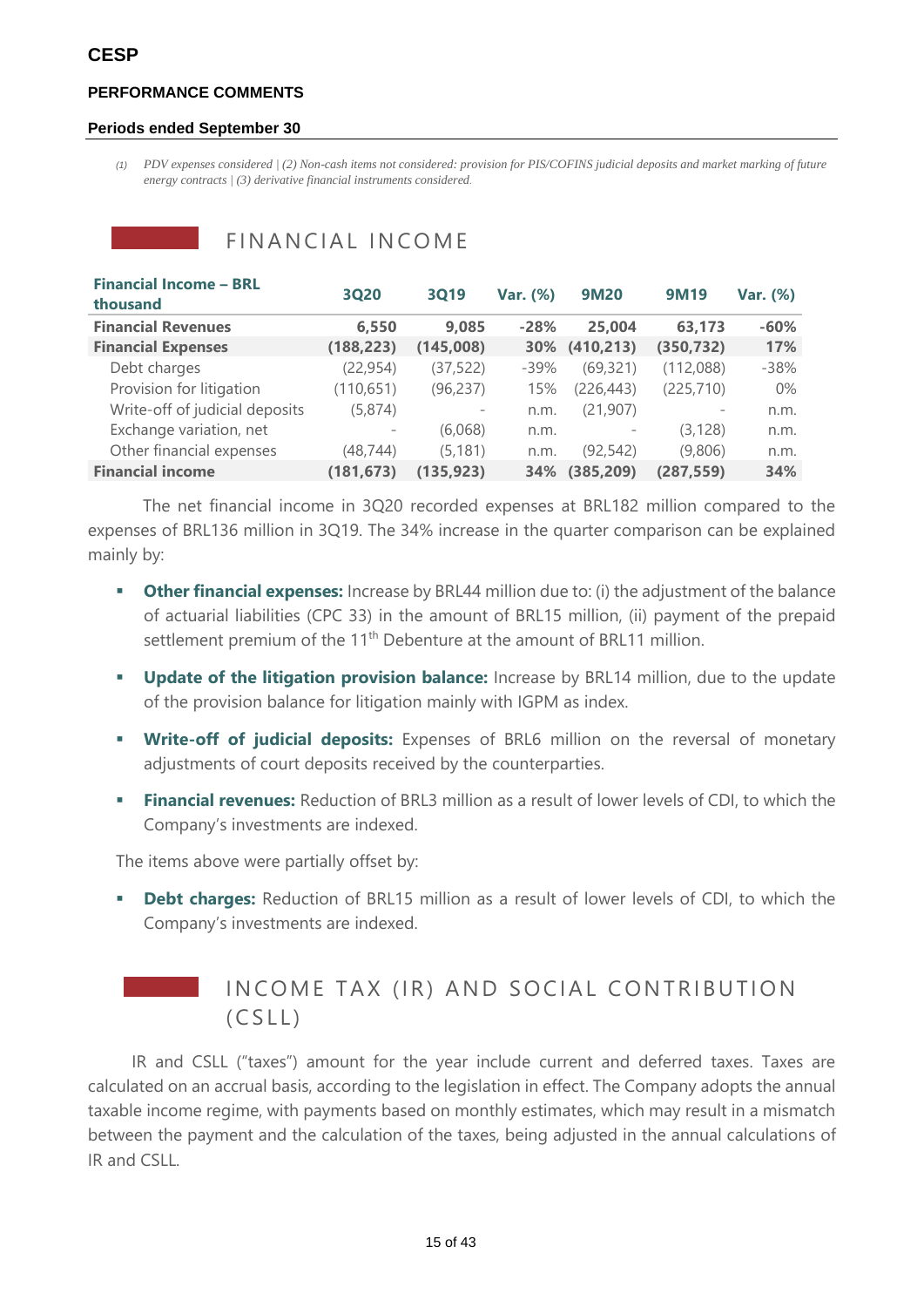#### **Periods ended September 30**

*(1) PDV expenses considered | (2) Non-cash items not considered: provision for PIS/COFINS judicial deposits and market marking of future energy contracts | (3) derivative financial instruments considered.*

| <b>Financial Income - BRL</b><br>thousand | 3Q20       | 3019                     | Var. (%) | <b>9M20</b> | <b>9M19</b>              | Var. (%) |
|-------------------------------------------|------------|--------------------------|----------|-------------|--------------------------|----------|
| <b>Financial Revenues</b>                 | 6,550      | 9.085                    | $-28%$   | 25,004      | 63,173                   | $-60%$   |
| <b>Financial Expenses</b>                 | (188, 223) | (145,008)                | 30%      | (410, 213)  | (350, 732)               | 17%      |
| Debt charges                              | (22, 954)  | (37, 522)                | $-39%$   | (69, 321)   | (112,088)                | $-38%$   |
| Provision for litigation                  | (110, 651) | (96, 237)                | 15%      | (226, 443)  | (225, 710)               | $0\%$    |
| Write-off of judicial deposits            | (5,874)    | $\overline{\phantom{m}}$ | n.m.     | (21, 907)   | $\overline{\phantom{m}}$ | n.m.     |
| Exchange variation, net                   |            | (6,068)                  | n.m.     |             | (3, 128)                 | n.m.     |
| Other financial expenses                  | (48,744)   | (5, 181)                 | n.m.     | (92,542)    | (9,806)                  | n.m.     |
| <b>Financial income</b>                   | (181, 673) | (135, 923)               | 34%      | (385, 209)  | (287, 559)               | 34%      |

FINANCIAL INCOME

The net financial income in 3Q20 recorded expenses at BRL182 million compared to the expenses of BRL136 million in 3Q19. The 34% increase in the quarter comparison can be explained mainly by:

- **Other financial expenses:** Increase by BRL44 million due to: (i) the adjustment of the balance of actuarial liabilities (CPC 33) in the amount of BRL15 million, (ii) payment of the prepaid settlement premium of the 11<sup>th</sup> Debenture at the amount of BRL11 million.
- **Update of the litigation provision balance:** Increase by BRL14 million, due to the update of the provision balance for litigation mainly with IGPM as index.
- **Write-off of judicial deposits:** Expenses of BRL6 million on the reversal of monetary adjustments of court deposits received by the counterparties.
- **Financial revenues:** Reduction of BRL3 million as a result of lower levels of CDI, to which the Company's investments are indexed.

The items above were partially offset by:

**• Debt charges:** Reduction of BRL15 million as a result of lower levels of CDI, to which the Company's investments are indexed.



## IN COME TAX (IR) AND SOCIAL CONTRIBUTION  $(CSLL)$

IR and CSLL ("taxes") amount for the year include current and deferred taxes. Taxes are calculated on an accrual basis, according to the legislation in effect. The Company adopts the annual taxable income regime, with payments based on monthly estimates, which may result in a mismatch between the payment and the calculation of the taxes, being adjusted in the annual calculations of IR and CSLL.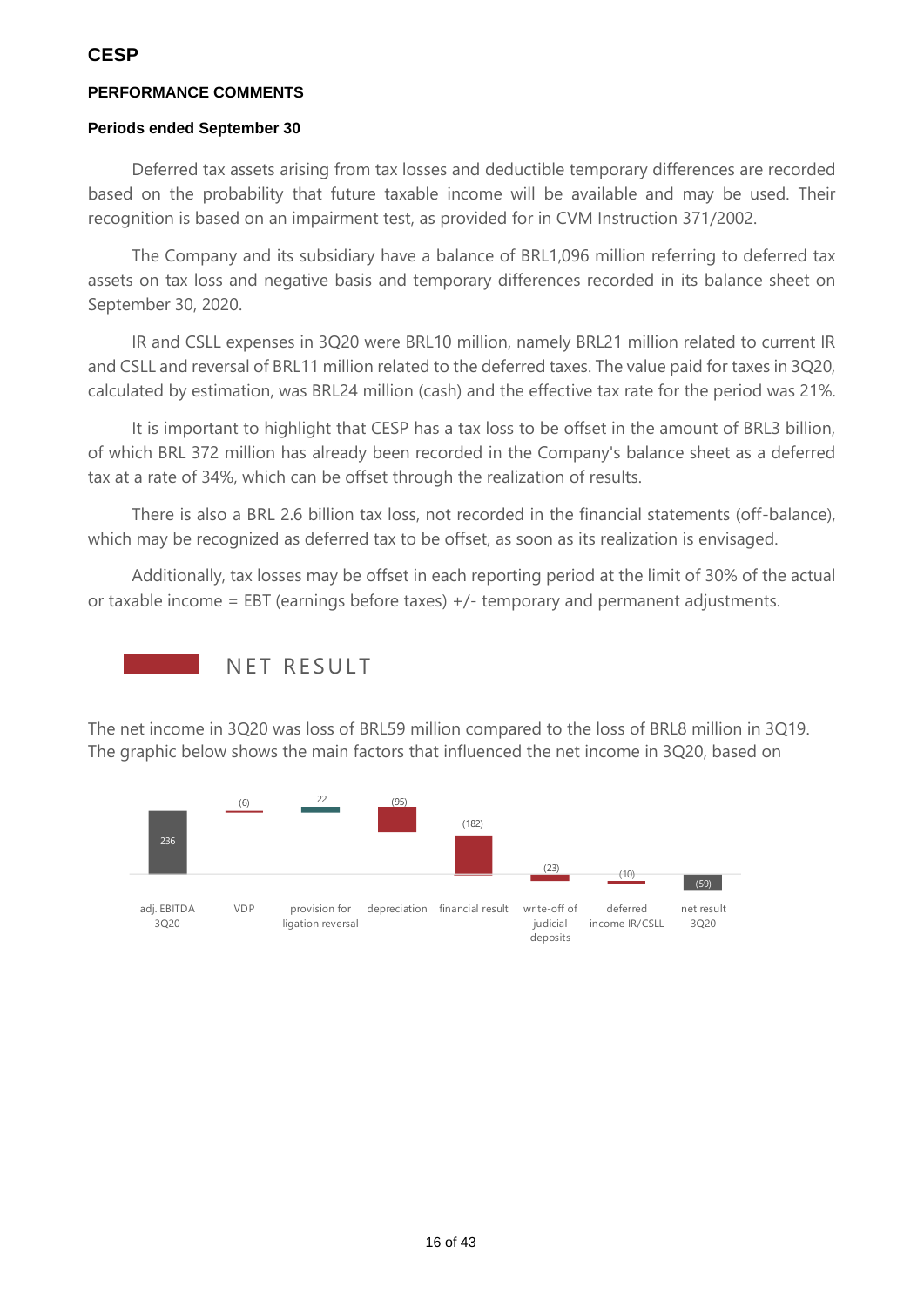### **Periods ended September 30**

Deferred tax assets arising from tax losses and deductible temporary differences are recorded based on the probability that future taxable income will be available and may be used. Their recognition is based on an impairment test, as provided for in CVM Instruction 371/2002.

The Company and its subsidiary have a balance of BRL1,096 million referring to deferred tax assets on tax loss and negative basis and temporary differences recorded in its balance sheet on September 30, 2020.

IR and CSLL expenses in 3Q20 were BRL10 million, namely BRL21 million related to current IR and CSLL and reversal of BRL11 million related to the deferred taxes. The value paid for taxes in 3Q20, calculated by estimation, was BRL24 million (cash) and the effective tax rate for the period was 21%.

It is important to highlight that CESP has a tax loss to be offset in the amount of BRL3 billion, of which BRL 372 million has already been recorded in the Company's balance sheet as a deferred tax at a rate of 34%, which can be offset through the realization of results.

There is also a BRL 2.6 billion tax loss, not recorded in the financial statements (off-balance), which may be recognized as deferred tax to be offset, as soon as its realization is envisaged.

Additionally, tax losses may be offset in each reporting period at the limit of 30% of the actual or taxable income = EBT (earnings before taxes)  $+/$ - temporary and permanent adjustments.



The net income in 3Q20 was loss of BRL59 million compared to the loss of BRL8 million in 3Q19. The graphic below shows the main factors that influenced the net income in 3Q20, based on

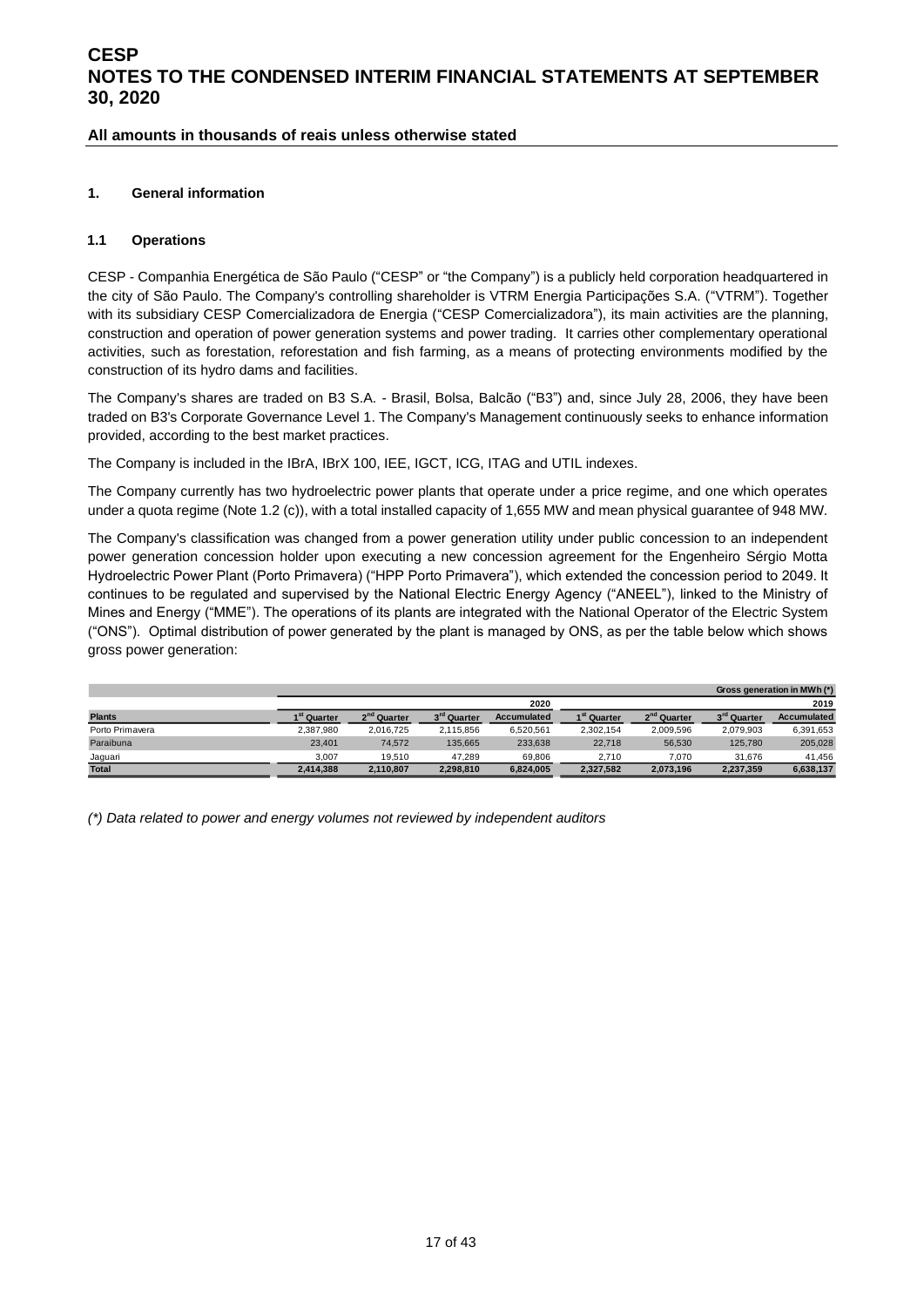#### **All amounts in thousands of reais unless otherwise stated**

#### <span id="page-16-0"></span>**1. General information**

#### **1.1 Operations**

CESP - Companhia Energética de São Paulo ("CESP" or "the Company") is a publicly held corporation headquartered in the city of São Paulo. The Company's controlling shareholder is VTRM Energia Participações S.A. ("VTRM"). Together with its subsidiary CESP Comercializadora de Energia ("CESP Comercializadora"), its main activities are the planning, construction and operation of power generation systems and power trading. It carries other complementary operational activities, such as forestation, reforestation and fish farming, as a means of protecting environments modified by the construction of its hydro dams and facilities.

The Company's shares are traded on B3 S.A. - Brasil, Bolsa, Balcão ("B3") and, since July 28, 2006, they have been traded on B3's Corporate Governance Level 1. The Company's Management continuously seeks to enhance information provided, according to the best market practices.

The Company is included in the IBrA, IBrX 100, IEE, IGCT, ICG, ITAG and UTIL indexes.

The Company currently has two hydroelectric power plants that operate under a price regime, and one which operates under a quota regime (Note 1.2 (c)), with a total installed capacity of 1,655 MW and mean physical guarantee of 948 MW.

The Company's classification was changed from a power generation utility under public concession to an independent power generation concession holder upon executing a new concession agreement for the Engenheiro Sérgio Motta Hydroelectric Power Plant (Porto Primavera) ("HPP Porto Primavera"), which extended the concession period to 2049. It continues to be regulated and supervised by the National Electric Energy Agency ("ANEEL"), linked to the Ministry of Mines and Energy ("MME"). The operations of its plants are integrated with the National Operator of the Electric System ("ONS"). Optimal distribution of power generated by the plant is managed by ONS, as per the table below which shows gross power generation:

|                 |                         |                         |                         |                    |                         |                         |                         | Gross generation in MWh (*) |
|-----------------|-------------------------|-------------------------|-------------------------|--------------------|-------------------------|-------------------------|-------------------------|-----------------------------|
|                 |                         |                         |                         | 2020               |                         |                         |                         | 2019                        |
| <b>Plants</b>   | 1 <sup>st</sup> Quarter | 2 <sup>nd</sup> Quarter | 3 <sup>rd</sup> Quarter | <b>Accumulated</b> | 1 <sup>st</sup> Quarter | 2 <sup>nd</sup> Quarter | 3 <sup>rd</sup> Quarter | Accumulated                 |
| Porto Primavera | 2.387.980               | 2.016.725               | 2.115.856               | 6,520,561          | 2.302.154               | 2,009,596               | 2.079.903               | 6,391,653                   |
| Paraibuna       | 23.401                  | 74.572                  | 135.665                 | 233,638            | 22.718                  | 56,530                  | 125,780                 | 205,028                     |
| Jaguari         | 3.007                   | 19.510                  | 47.289                  | 69.806             | 2.710                   | 7.070                   | 31.676                  | 41.456                      |
| <b>Total</b>    | 2.414.388               | 2.110.807               | 2.298.810               | 6.824.005          | 2.327.582               | 2.073.196               | 2,237,359               | 6.638.137                   |

*(\*) Data related to power and energy volumes not reviewed by independent auditors*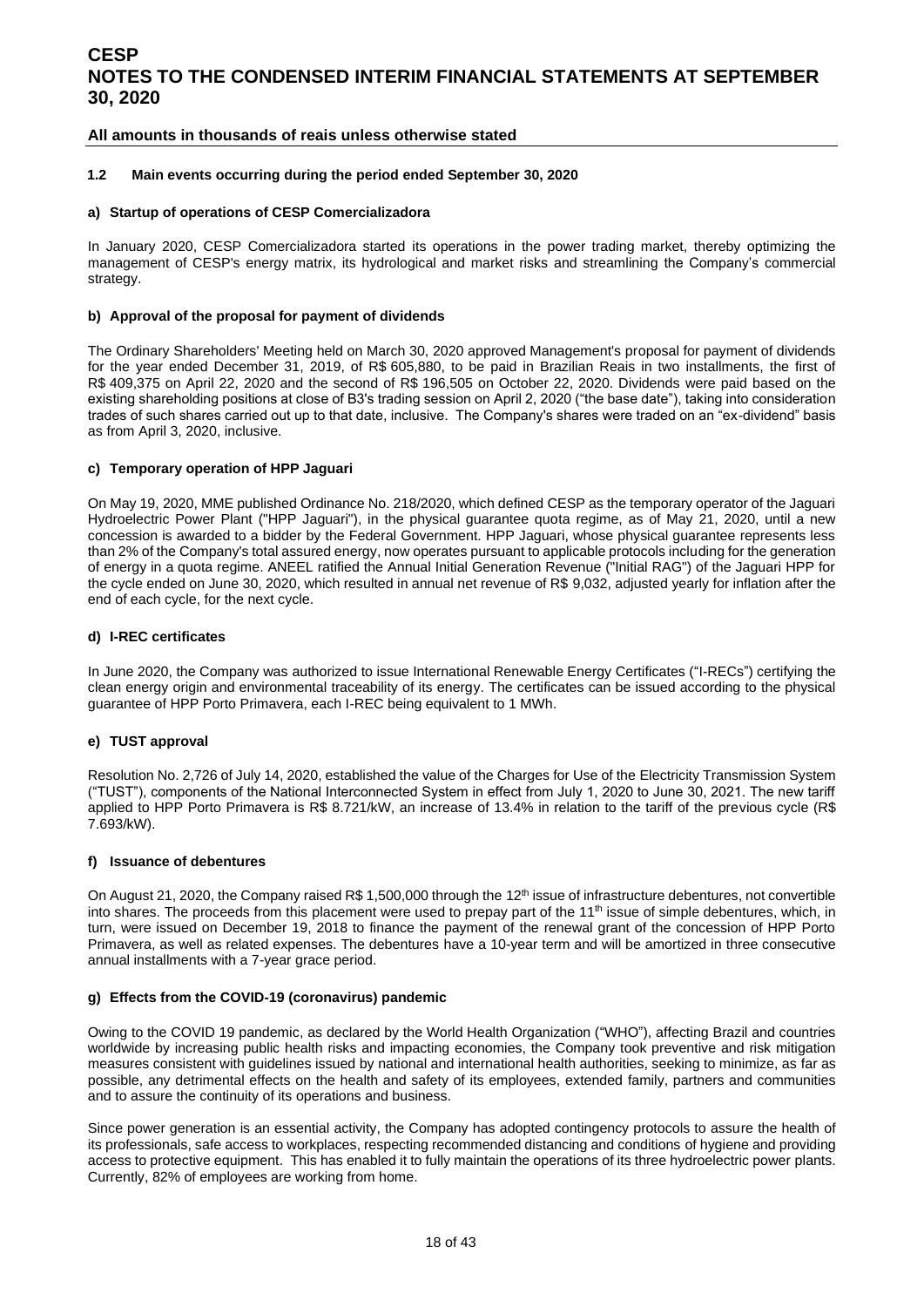#### **All amounts in thousands of reais unless otherwise stated**

#### **1.2 Main events occurring during the period ended September 30, 2020**

#### **a) Startup of operations of CESP Comercializadora**

In January 2020, CESP Comercializadora started its operations in the power trading market, thereby optimizing the management of CESP's energy matrix, its hydrological and market risks and streamlining the Company's commercial strategy.

#### **b) Approval of the proposal for payment of dividends**

The Ordinary Shareholders' Meeting held on March 30, 2020 approved Management's proposal for payment of dividends for the year ended December 31, 2019, of R\$ 605,880, to be paid in Brazilian Reais in two installments, the first of R\$ 409,375 on April 22, 2020 and the second of R\$ 196,505 on October 22, 2020. Dividends were paid based on the existing shareholding positions at close of B3's trading session on April 2, 2020 ("the base date"), taking into consideration trades of such shares carried out up to that date, inclusive. The Company's shares were traded on an "ex-dividend" basis as from April 3, 2020, inclusive.

#### **c) Temporary operation of HPP Jaguari**

On May 19, 2020, MME published Ordinance No. 218/2020, which defined CESP as the temporary operator of the Jaguari Hydroelectric Power Plant ("HPP Jaguari"), in the physical guarantee quota regime, as of May 21, 2020, until a new concession is awarded to a bidder by the Federal Government. HPP Jaguari, whose physical guarantee represents less than 2% of the Company's total assured energy, now operates pursuant to applicable protocols including for the generation of energy in a quota regime. ANEEL ratified the Annual Initial Generation Revenue ("Initial RAG") of the Jaguari HPP for the cycle ended on June 30, 2020, which resulted in annual net revenue of R\$ 9,032, adjusted yearly for inflation after the end of each cycle, for the next cycle.

#### **d) I-REC certificates**

In June 2020, the Company was authorized to issue International Renewable Energy Certificates ("I-RECs") certifying the clean energy origin and environmental traceability of its energy. The certificates can be issued according to the physical guarantee of HPP Porto Primavera, each I-REC being equivalent to 1 MWh.

#### **e) TUST approval**

Resolution No. 2,726 of July 14, 2020, established the value of the Charges for Use of the Electricity Transmission System ("TUST"), components of the National Interconnected System in effect from July 1, 2020 to June 30, 2021. The new tariff applied to HPP Porto Primavera is R\$ 8.721/kW, an increase of 13.4% in relation to the tariff of the previous cycle (R\$ 7.693/kW).

#### **f) Issuance of debentures**

On August 21, 2020, the Company raised R\$ 1,500,000 through the 12<sup>th</sup> issue of infrastructure debentures, not convertible into shares. The proceeds from this placement were used to prepay part of the  $11<sup>th</sup>$  issue of simple debentures, which, in turn, were issued on December 19, 2018 to finance the payment of the renewal grant of the concession of HPP Porto Primavera, as well as related expenses. The debentures have a 10-year term and will be amortized in three consecutive annual installments with a 7-year grace period.

#### **g) Effects from the COVID-19 (coronavirus) pandemic**

Owing to the COVID 19 pandemic, as declared by the World Health Organization ("WHO"), affecting Brazil and countries worldwide by increasing public health risks and impacting economies, the Company took preventive and risk mitigation measures consistent with guidelines issued by national and international health authorities, seeking to minimize, as far as possible, any detrimental effects on the health and safety of its employees, extended family, partners and communities and to assure the continuity of its operations and business.

Since power generation is an essential activity, the Company has adopted contingency protocols to assure the health of its professionals, safe access to workplaces, respecting recommended distancing and conditions of hygiene and providing access to protective equipment. This has enabled it to fully maintain the operations of its three hydroelectric power plants. Currently, 82% of employees are working from home.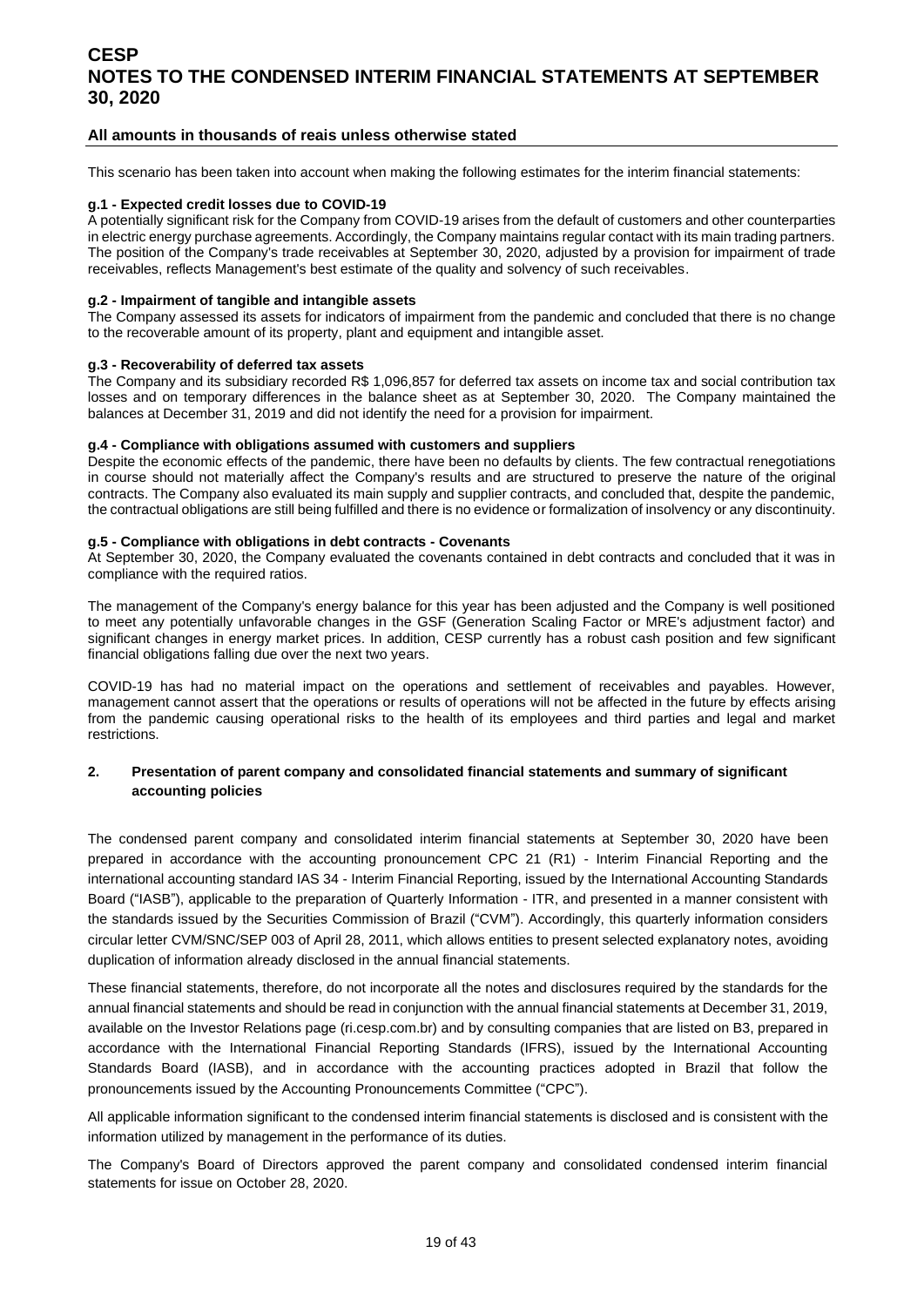#### **All amounts in thousands of reais unless otherwise stated**

This scenario has been taken into account when making the following estimates for the interim financial statements:

#### **g.1 - Expected credit losses due to COVID-19**

A potentially significant risk for the Company from COVID-19 arises from the default of customers and other counterparties in electric energy purchase agreements. Accordingly, the Company maintains regular contact with its main trading partners. The position of the Company's trade receivables at September 30, 2020, adjusted by a provision for impairment of trade receivables, reflects Management's best estimate of the quality and solvency of such receivables.

#### **g.2 - Impairment of tangible and intangible assets**

The Company assessed its assets for indicators of impairment from the pandemic and concluded that there is no change to the recoverable amount of its property, plant and equipment and intangible asset.

#### **g.3 - Recoverability of deferred tax assets**

The Company and its subsidiary recorded R\$ 1,096,857 for deferred tax assets on income tax and social contribution tax losses and on temporary differences in the balance sheet as at September 30, 2020. The Company maintained the balances at December 31, 2019 and did not identify the need for a provision for impairment.

#### **g.4 - Compliance with obligations assumed with customers and suppliers**

Despite the economic effects of the pandemic, there have been no defaults by clients. The few contractual renegotiations in course should not materially affect the Company's results and are structured to preserve the nature of the original contracts. The Company also evaluated its main supply and supplier contracts, and concluded that, despite the pandemic, the contractual obligations are still being fulfilled and there is no evidence or formalization of insolvency or any discontinuity.

#### **g.5 - Compliance with obligations in debt contracts - Covenants**

At September 30, 2020, the Company evaluated the covenants contained in debt contracts and concluded that it was in compliance with the required ratios.

The management of the Company's energy balance for this year has been adjusted and the Company is well positioned to meet any potentially unfavorable changes in the GSF (Generation Scaling Factor or MRE's adjustment factor) and significant changes in energy market prices. In addition, CESP currently has a robust cash position and few significant financial obligations falling due over the next two years.

COVID-19 has had no material impact on the operations and settlement of receivables and payables. However, management cannot assert that the operations or results of operations will not be affected in the future by effects arising from the pandemic causing operational risks to the health of its employees and third parties and legal and market restrictions.

#### <span id="page-18-0"></span>**2. Presentation of parent company and consolidated financial statements and summary of significant accounting policies**

The condensed parent company and consolidated interim financial statements at September 30, 2020 have been prepared in accordance with the accounting pronouncement CPC 21 (R1) - Interim Financial Reporting and the international accounting standard IAS 34 - Interim Financial Reporting, issued by the International Accounting Standards Board ("IASB"), applicable to the preparation of Quarterly Information - ITR, and presented in a manner consistent with the standards issued by the Securities Commission of Brazil ("CVM"). Accordingly, this quarterly information considers circular letter CVM/SNC/SEP 003 of April 28, 2011, which allows entities to present selected explanatory notes, avoiding duplication of information already disclosed in the annual financial statements.

These financial statements, therefore, do not incorporate all the notes and disclosures required by the standards for the annual financial statements and should be read in conjunction with the annual financial statements at December 31, 2019, available on the Investor Relations page (ri.cesp.com.br) and by consulting companies that are listed on B3, prepared in accordance with the International Financial Reporting Standards (IFRS), issued by the International Accounting Standards Board (IASB), and in accordance with the accounting practices adopted in Brazil that follow the pronouncements issued by the Accounting Pronouncements Committee ("CPC").

All applicable information significant to the condensed interim financial statements is disclosed and is consistent with the information utilized by management in the performance of its duties.

The Company's Board of Directors approved the parent company and consolidated condensed interim financial statements for issue on October 28, 2020.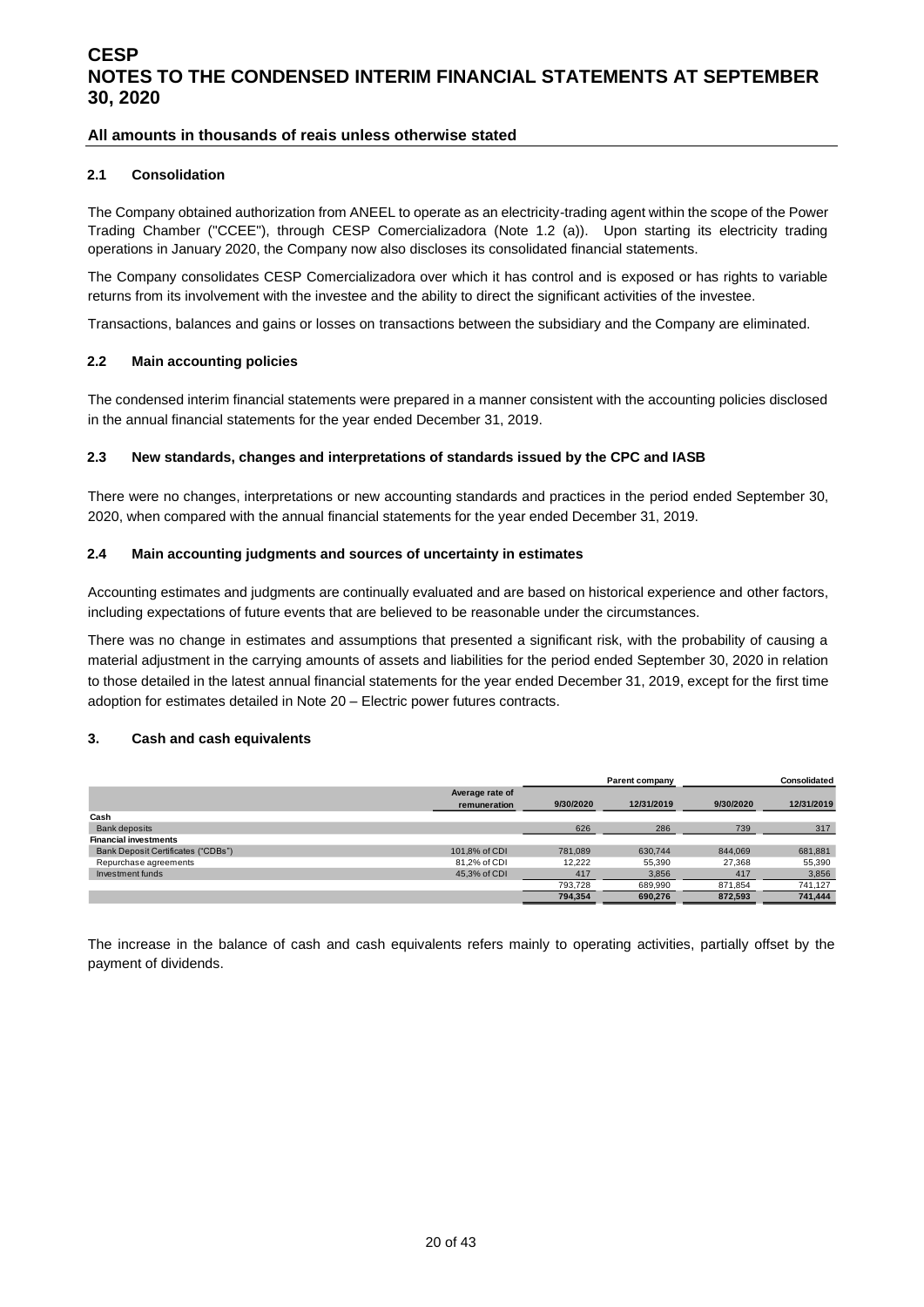#### **All amounts in thousands of reais unless otherwise stated**

#### **2.1 Consolidation**

The Company obtained authorization from ANEEL to operate as an electricity-trading agent within the scope of the Power Trading Chamber ("CCEE"), through CESP Comercializadora (Note 1.2 (a)). Upon starting its electricity trading operations in January 2020, the Company now also discloses its consolidated financial statements.

The Company consolidates CESP Comercializadora over which it has control and is exposed or has rights to variable returns from its involvement with the investee and the ability to direct the significant activities of the investee.

Transactions, balances and gains or losses on transactions between the subsidiary and the Company are eliminated.

#### **2.2 Main accounting policies**

The condensed interim financial statements were prepared in a manner consistent with the accounting policies disclosed in the annual financial statements for the year ended December 31, 2019.

#### **2.3 New standards, changes and interpretations of standards issued by the CPC and IASB**

There were no changes, interpretations or new accounting standards and practices in the period ended September 30, 2020, when compared with the annual financial statements for the year ended December 31, 2019.

#### **2.4 Main accounting judgments and sources of uncertainty in estimates**

Accounting estimates and judgments are continually evaluated and are based on historical experience and other factors, including expectations of future events that are believed to be reasonable under the circumstances.

There was no change in estimates and assumptions that presented a significant risk, with the probability of causing a material adjustment in the carrying amounts of assets and liabilities for the period ended September 30, 2020 in relation to those detailed in the latest annual financial statements for the year ended December 31, 2019, except for the first time adoption for estimates detailed in Note 20 – Electric power futures contracts.

#### <span id="page-19-0"></span>**3. Cash and cash equivalents**

|                                    |                 |           | Parent company |           | <b>Consolidated</b> |
|------------------------------------|-----------------|-----------|----------------|-----------|---------------------|
|                                    | Average rate of |           |                |           |                     |
|                                    | remuneration    | 9/30/2020 | 12/31/2019     | 9/30/2020 | 12/31/2019          |
| Cash                               |                 |           |                |           |                     |
| <b>Bank deposits</b>               |                 | 626       | 286            | 739       | 317                 |
| <b>Financial investments</b>       |                 |           |                |           |                     |
| Bank Deposit Certificates ("CDBs") | 101.8% of CDI   | 781.089   | 630.744        | 844.069   | 681,881             |
| Repurchase agreements              | 81,2% of CDI    | 12.222    | 55,390         | 27.368    | 55,390              |
| Investment funds                   | 45.3% of CDI    | 417       | 3,856          | 417       | 3,856               |
|                                    |                 | 793.728   | 689.990        | 871.854   | 741,127             |
|                                    |                 | 794.354   | 690.276        | 872.593   | 741.444             |

The increase in the balance of cash and cash equivalents refers mainly to operating activities, partially offset by the payment of dividends.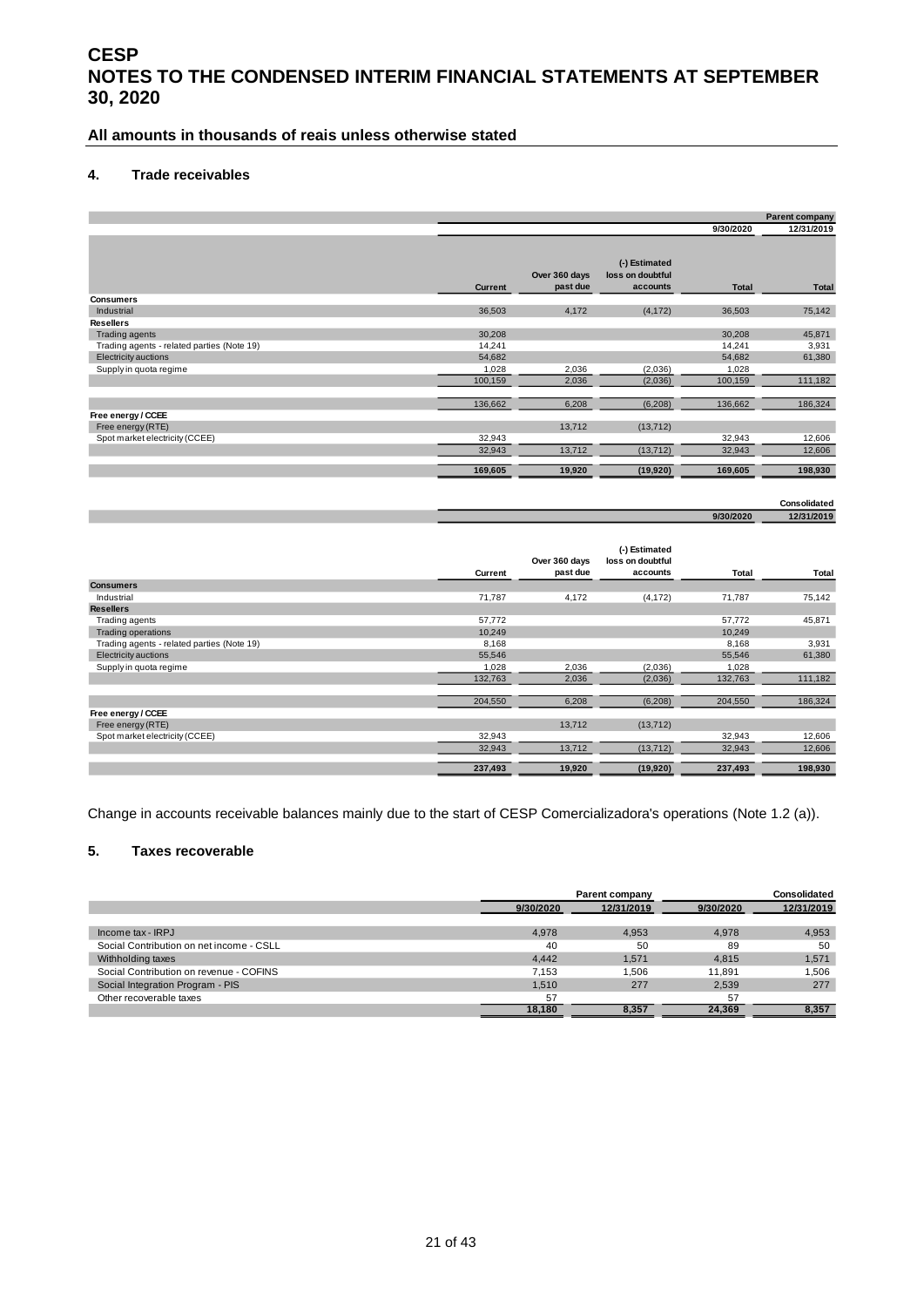#### **All amounts in thousands of reais unless otherwise stated**

#### <span id="page-20-0"></span>**4. Trade receivables**

|                                            |                |                           |                                               |              | Parent company |
|--------------------------------------------|----------------|---------------------------|-----------------------------------------------|--------------|----------------|
|                                            |                |                           |                                               | 9/30/2020    | 12/31/2019     |
|                                            | <b>Current</b> | Over 360 days<br>past due | (-) Estimated<br>loss on doubtful<br>accounts | <b>Total</b> | <b>Total</b>   |
| <b>Consumers</b>                           |                |                           |                                               |              |                |
| Industrial                                 | 36,503         | 4,172                     | (4, 172)                                      | 36,503       | 75,142         |
| <b>Resellers</b>                           |                |                           |                                               |              |                |
| Trading agents                             | 30,208         |                           |                                               | 30,208       | 45,871         |
| Trading agents - related parties (Note 19) | 14,241         |                           |                                               | 14,241       | 3,931          |
| Electricity auctions                       | 54,682         |                           |                                               | 54,682       | 61,380         |
| Supply in quota regime                     | 1,028          | 2,036                     | (2,036)                                       | 1,028        |                |
|                                            | 100,159        | 2,036                     | (2,036)                                       | 100,159      | 111,182        |
|                                            | 136,662        | 6,208                     | (6, 208)                                      | 136,662      | 186,324        |
| Free energy / CCEE                         |                |                           |                                               |              |                |
| Free energy (RTE)                          |                | 13,712                    | (13, 712)                                     |              |                |
| Spot market electricity (CCEE)             | 32,943         |                           |                                               | 32,943       | 12,606         |
|                                            | 32,943         | 13,712                    | (13, 712)                                     | 32,943       | 12,606         |
|                                            | 169,605        | 19,920                    | (19,920)                                      | 169,605      | 198,930        |

### **12/31/2019 Consolidated**

**9/30/2020**

|                                            |         | Over 360 days | (-) Estimated<br>loss on doubtful |         |         |
|--------------------------------------------|---------|---------------|-----------------------------------|---------|---------|
|                                            | Current | past due      | accounts                          | Total   | Total   |
| <b>Consumers</b>                           |         |               |                                   |         |         |
| Industrial                                 | 71,787  | 4,172         | (4, 172)                          | 71,787  | 75,142  |
| <b>Resellers</b>                           |         |               |                                   |         |         |
| Trading agents                             | 57,772  |               |                                   | 57,772  | 45,871  |
| <b>Trading operations</b>                  | 10,249  |               |                                   | 10,249  |         |
| Trading agents - related parties (Note 19) | 8,168   |               |                                   | 8,168   | 3,931   |
| Electricity auctions                       | 55,546  |               |                                   | 55,546  | 61,380  |
| Supply in quota regime                     | 1,028   | 2,036         | (2,036)                           | 1,028   |         |
|                                            | 132,763 | 2,036         | (2,036)                           | 132,763 | 111,182 |
|                                            |         |               |                                   |         |         |
|                                            | 204,550 | 6,208         | (6,208)                           | 204,550 | 186,324 |
| Free energy / CCEE                         |         |               |                                   |         |         |
| Free energy (RTE)                          |         | 13,712        | (13, 712)                         |         |         |
| Spot market electricity (CCEE)             | 32,943  |               |                                   | 32,943  | 12,606  |
|                                            | 32,943  | 13,712        | (13, 712)                         | 32,943  | 12,606  |
|                                            |         |               |                                   |         |         |
|                                            | 237,493 | 19,920        | (19,920)                          | 237,493 | 198,930 |

Change in accounts receivable balances mainly due to the start of CESP Comercializadora's operations (Note 1.2 (a)).

#### <span id="page-20-1"></span>**5. Taxes recoverable**

|                                          |           | Parent company | Consolidated |            |  |
|------------------------------------------|-----------|----------------|--------------|------------|--|
|                                          | 9/30/2020 | 12/31/2019     | 9/30/2020    | 12/31/2019 |  |
|                                          |           |                |              |            |  |
| Income tax - IRPJ                        | 4.978     | 4.953          | 4.978        | 4,953      |  |
| Social Contribution on net income - CSLL | 40        | 50             | 89           | 50         |  |
| Withholding taxes                        | 4.442     | 1,571          | 4.815        | 1,571      |  |
| Social Contribution on revenue - COFINS  | 7.153     | .506           | 11.891       | 1.506      |  |
| Social Integration Program - PIS         | 1.510     | 277            | 2.539        | 277        |  |
| Other recoverable taxes                  | 57        |                | 57           |            |  |
|                                          | 18.180    | 8,357          | 24.369       | 8.357      |  |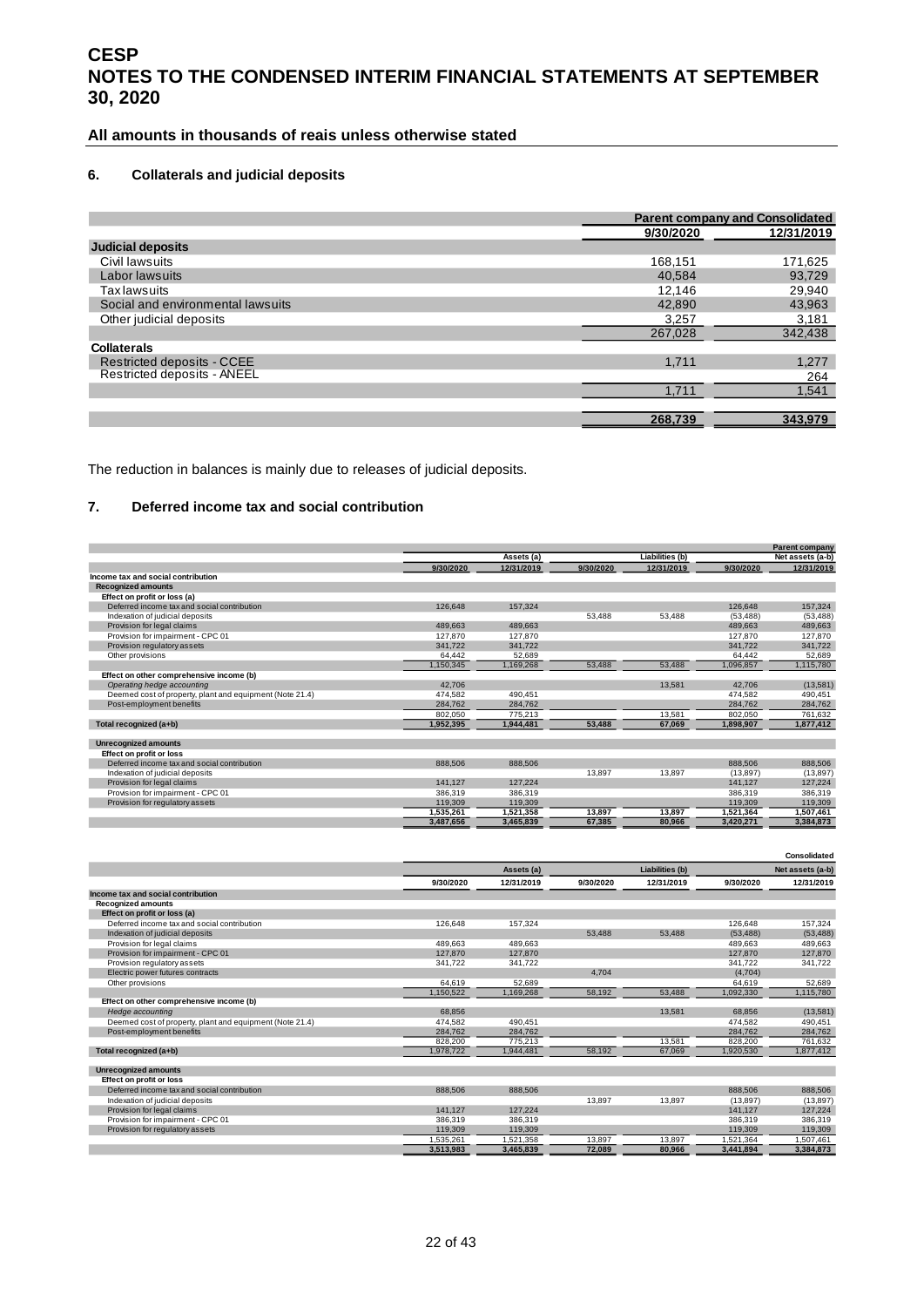#### **All amounts in thousands of reais unless otherwise stated**

#### <span id="page-21-0"></span>**6. Collaterals and judicial deposits**

|                                   |           | <b>Parent company and Consolidated</b> |
|-----------------------------------|-----------|----------------------------------------|
|                                   | 9/30/2020 | 12/31/2019                             |
| <b>Judicial deposits</b>          |           |                                        |
| Civil lawsuits                    | 168,151   | 171,625                                |
| Labor lawsuits                    | 40.584    | 93,729                                 |
| <b>Tax lawsuits</b>               | 12,146    | 29,940                                 |
| Social and environmental lawsuits | 42,890    | 43,963                                 |
| Other judicial deposits           | 3,257     | 3,181                                  |
|                                   | 267.028   | 342,438                                |
| <b>Collaterals</b>                |           |                                        |
| <b>Restricted deposits - CCEE</b> | 1.711     | 1,277                                  |
| Restricted deposits - ANEEL       |           | 264                                    |
|                                   | 1,711     | 1,541                                  |
|                                   |           |                                        |
|                                   | 268.739   | 343.979                                |

The reduction in balances is mainly due to releases of judicial deposits.

#### <span id="page-21-1"></span>**7. Deferred income tax and social contribution**

|                                                          |           |            |           |                        |           | <b>Parent company</b> |
|----------------------------------------------------------|-----------|------------|-----------|------------------------|-----------|-----------------------|
|                                                          |           | Assets (a) |           | <b>Liabilities (b)</b> |           | Net assets (a-b)      |
|                                                          | 9/30/2020 | 12/31/2019 | 9/30/2020 | 12/31/2019             | 9/30/2020 | 12/31/2019            |
| Income tax and social contribution                       |           |            |           |                        |           |                       |
| <b>Recognized amounts</b>                                |           |            |           |                        |           |                       |
| Effect on profit or loss (a)                             |           |            |           |                        |           |                       |
| Deferred income tax and social contribution              | 126,648   | 157.324    |           |                        | 126.648   | 157.324               |
| Indexation of judicial deposits                          |           |            | 53,488    | 53,488                 | (53, 488) | (53, 488)             |
| Provision for legal claims                               | 489,663   | 489,663    |           |                        | 489,663   | 489,663               |
| Provision for impairment - CPC 01                        | 127,870   | 127,870    |           |                        | 127,870   | 127,870               |
| Provision regulatory assets                              | 341.722   | 341.722    |           |                        | 341.722   | 341.722               |
| Other provisions                                         | 64.442    | 52.689     |           |                        | 64.442    | 52,689                |
|                                                          | 1,150,345 | 1,169,268  | 53,488    | 53,488                 | 1,096,857 | 1,115,780             |
| Effect on other comprehensive income (b)                 |           |            |           |                        |           |                       |
| Operating hedge accounting                               | 42.706    |            |           | 13.581                 | 42.706    | (13,581)              |
| Deemed cost of property, plant and equipment (Note 21.4) | 474,582   | 490.451    |           |                        | 474,582   | 490,451               |
| Post-employment benefits                                 | 284,762   | 284,762    |           |                        | 284,762   | 284,762               |
|                                                          | 802,050   | 775,213    |           | 13,581                 | 802,050   | 761,632               |
| Total recognized (a+b)                                   | 1,952,395 | 1,944,481  | 53,488    | 67,069                 | 1,898,907 | 1,877,412             |
| <b>Unrecognized amounts</b>                              |           |            |           |                        |           |                       |
| Effect on profit or loss                                 |           |            |           |                        |           |                       |
| Deferred income tax and social contribution              | 888.506   | 888,506    |           |                        | 888.506   | 888.506               |
| Indexation of judicial deposits                          |           |            | 13.897    | 13,897                 | (13, 897) | (13, 897)             |
| Provision for legal claims                               | 141.127   | 127.224    |           |                        | 141.127   | 127.224               |
| Provision for impairment - CPC 01                        | 386,319   | 386,319    |           |                        | 386,319   | 386,319               |
| Provision for regulatory assets                          | 119,309   | 119,309    |           |                        | 119,309   | 119,309               |
|                                                          | 1.535.261 | 1.521.358  | 13.897    | 13.897                 | 1,521,364 | 1.507.461             |
|                                                          | 3,487,656 | 3,465,839  | 67,385    | 80,966                 | 3,420,271 | 3,384,873             |
|                                                          |           |            |           |                        |           |                       |
|                                                          |           |            |           |                        |           | <b>Consolidated</b>   |
|                                                          |           | Assets (a) |           | Liabilities (b)        |           | Net assets (a-b)      |
|                                                          | 9/30/2020 | 12/31/2019 | 9/30/2020 | 12/31/2019             | 9/30/2020 | 12/31/2019            |
| Income tax and social contribution                       |           |            |           |                        |           |                       |
| <b>Recognized amounts</b>                                |           |            |           |                        |           |                       |
| Effect on profit or loss (a)                             |           |            |           |                        |           |                       |
| Deferred income tax and social contribution              | 126.648   | 157.324    |           |                        | 126.648   | 157.324               |
| Indexation of judicial deposits                          |           |            | 53,488    | 53.488                 | (53.488)  | (53, 488)             |
| Provision for legal claims                               | 489.663   | 489.663    |           |                        | 489,663   | 489.663               |
| Provision for impairment - CPC 01                        | 127,870   | 127,870    |           |                        | 127,870   | 127,870               |
| Provision regulatory assets                              | 341,722   | 341,722    |           |                        | 341.722   | 341,722               |
| Electric power futures contracts                         |           |            | 4.704     |                        | (4,704)   |                       |
| Other provisions                                         | 64,619    | 52.689     |           |                        | 64,619    | 52,689                |
|                                                          | 1.150.522 | 1.169.268  | 58.192    | 53.488                 | 1.092.330 | 1.115.780             |

| Effect on other comprehensive income (b)                 |           |           |        |        |           |           |
|----------------------------------------------------------|-----------|-----------|--------|--------|-----------|-----------|
| Hedge accounting                                         | 68.856    |           |        | 13.581 | 68.856    | (13,581)  |
| Deemed cost of property, plant and equipment (Note 21.4) | 474.582   | 490.451   |        |        | 474.582   | 490,451   |
| Post-employment benefits                                 | 284.762   | 284.762   |        |        | 284.762   | 284.762   |
|                                                          | 828,200   | 775.213   |        | 13.581 | 828,200   | 761,632   |
| Total recognized (a+b)                                   | 1.978.722 | 1.944.481 | 58.192 | 67,069 | 1.920.530 | 1,877,412 |
|                                                          |           |           |        |        |           |           |
| Unrecognized amounts                                     |           |           |        |        |           |           |
| Effect on profit or loss                                 |           |           |        |        |           |           |
| Deferred income tax and social contribution              | 888,506   | 888,506   |        |        | 888,506   | 888,506   |
| Indexation of judicial deposits                          |           |           | 13.897 | 13,897 | (13, 897) | (13, 897) |
| Provision for legal claims                               | 141.127   | 127.224   |        |        | 141.127   | 127.224   |
| Provision for impairment - CPC 01                        | 386,319   | 386.319   |        |        | 386.319   | 386,319   |
| Provision for regulatory assets                          | 119,309   | 119,309   |        |        | 119,309   | 119,309   |
|                                                          | 1,535,261 | 1,521,358 | 13,897 | 13,897 | 1,521,364 | 1,507,461 |
|                                                          | 3.513.983 | 3.465.839 | 72.089 | 80.966 | 3.441.894 | 3.384.873 |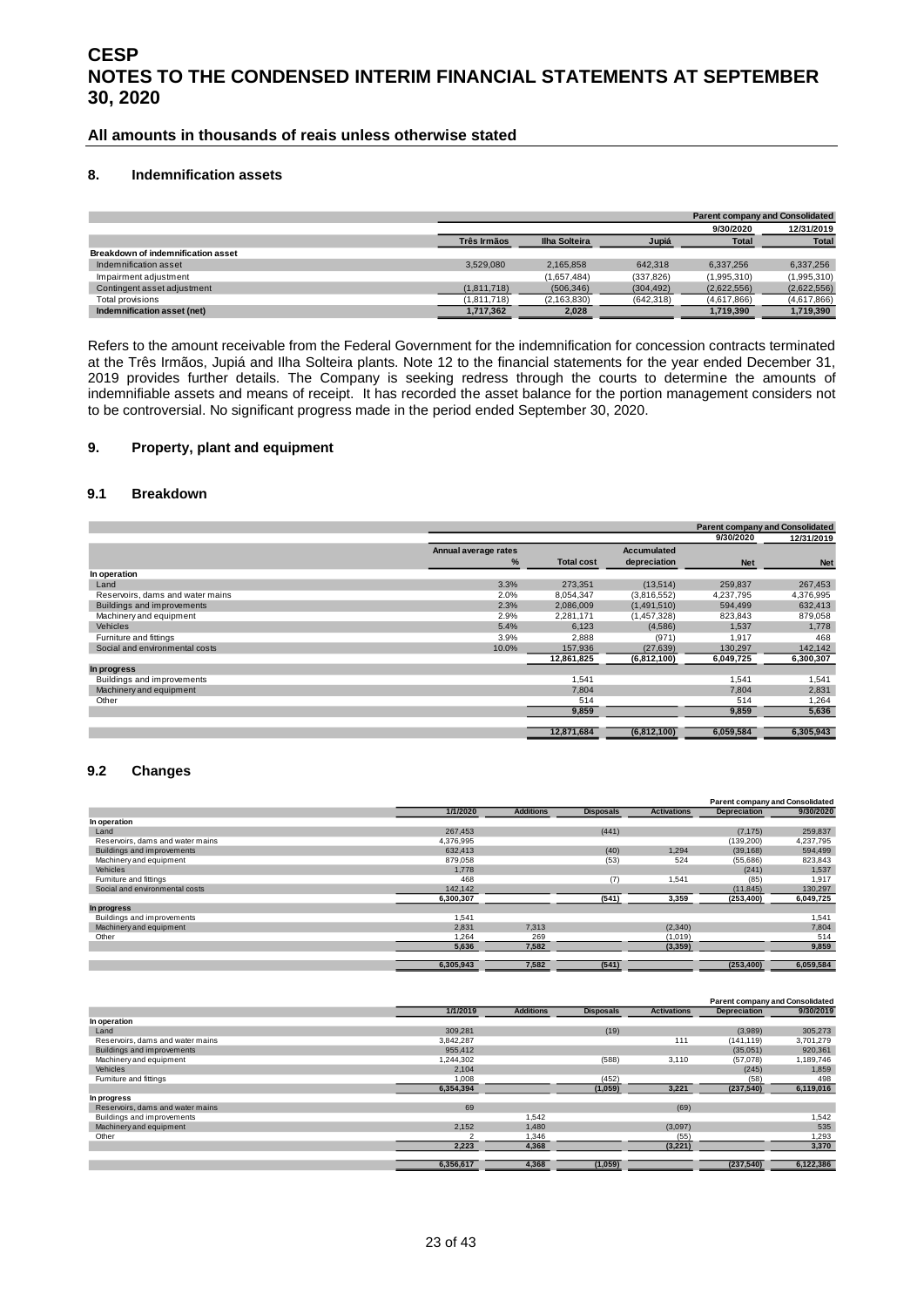**All amounts in thousands of reais unless otherwise stated**

#### <span id="page-22-0"></span>**8. Indemnification assets**

|                                    |                    |                      |            |              | <b>Parent company and Consolidated</b> |
|------------------------------------|--------------------|----------------------|------------|--------------|----------------------------------------|
|                                    |                    |                      |            | 9/30/2020    | 12/31/2019                             |
|                                    | <b>Três Irmãos</b> | <b>Ilha Solteira</b> | Jupiá      | <b>Total</b> | <b>Total</b>                           |
| Breakdown of indemnification asset |                    |                      |            |              |                                        |
| Indemnification asset              | 3.529.080          | 2.165.858            | 642.318    | 6.337.256    | 6.337.256                              |
| Impairment adjustment              |                    | (1,657,484)          | (337, 826) | (1,995,310)  | (1,995,310)                            |
| Contingent asset adjustment        | (1.811.718)        | (506, 346)           | (304, 492) | (2,622,556)  | (2,622,556)                            |
| Total provisions                   | (1,811,718)        | (2,163,830)          | (642, 318) | (4,617,866)  | (4,617,866)                            |
| Indemnification asset (net)        | 1,717,362          | 2,028                |            | 1,719,390    | 1,719,390                              |

Refers to the amount receivable from the Federal Government for the indemnification for concession contracts terminated at the Três Irmãos, Jupiá and Ilha Solteira plants. Note 12 to the financial statements for the year ended December 31, 2019 provides further details. The Company is seeking redress through the courts to determine the amounts of indemnifiable assets and means of receipt. It has recorded the asset balance for the portion management considers not to be controversial. No significant progress made in the period ended September 30, 2020.

#### <span id="page-22-1"></span>**9. Property, plant and equipment**

#### **9.1 Breakdown**

|                                  |                      |                   |                    |            | <b>Parent company and Consolidated</b> |
|----------------------------------|----------------------|-------------------|--------------------|------------|----------------------------------------|
|                                  |                      |                   |                    | 9/30/2020  | 12/31/2019                             |
|                                  | Annual average rates |                   | <b>Accumulated</b> |            |                                        |
|                                  | %                    | <b>Total cost</b> | depreciation       | <b>Net</b> | <b>Net</b>                             |
| In operation                     |                      |                   |                    |            |                                        |
| Land                             | 3.3%                 | 273.351           | (13,514)           | 259.837    | 267,453                                |
| Reservoirs, dams and water mains | 2.0%                 | 8.054.347         | (3,816,552)        | 4.237.795  | 4,376,995                              |
| Buildings and improvements       | 2.3%                 | 2,086,009         | (1,491,510)        | 594,499    | 632,413                                |
| Machinery and equipment          | 2.9%                 | 2,281,171         | (1,457,328)        | 823,843    | 879,058                                |
| <b>Vehicles</b>                  | 5.4%                 | 6,123             | (4,586)            | 1,537      | 1,778                                  |
| Furniture and fittings           | 3.9%                 | 2,888             | (971)              | 1,917      | 468                                    |
| Social and environmental costs   | 10.0%                | 157,936           | (27, 639)          | 130,297    | 142,142                                |
|                                  |                      | 12,861,825        | (6,812,100)        | 6,049,725  | 6,300,307                              |
| In progress                      |                      |                   |                    |            |                                        |
| Buildings and improvements       |                      | 1.541             |                    | 1.541      | 1,541                                  |
| Machinery and equipment          |                      | 7,804             |                    | 7,804      | 2,831                                  |
| Other                            |                      | 514               |                    | 514        | .264                                   |
|                                  |                      | 9,859             |                    | 9,859      | 5,636                                  |
|                                  |                      | 12,871,684        | (6,812,100)        | 6.059.584  | 6,305,943                              |

#### **9.2 Changes**

|                                  |           |                  |                  |                    |                     | <b>Parent company and Consolidated</b> |
|----------------------------------|-----------|------------------|------------------|--------------------|---------------------|----------------------------------------|
|                                  | 1/1/2020  | <b>Additions</b> | <b>Disposals</b> | <b>Activations</b> | <b>Depreciation</b> | 9/30/2020                              |
| In operation                     |           |                  |                  |                    |                     |                                        |
| Land                             | 267,453   |                  | (441)            |                    | (7, 175)            | 259,837                                |
| Reservoirs, dams and water mains | 4,376,995 |                  |                  |                    | (139,200)           | 4,237,795                              |
| Buildings and improvements       | 632,413   |                  | (40)             | 1,294              | (39, 168)           | 594,499                                |
| Machinery and equipment          | 879,058   |                  | (53)             | 524                | (55,686)            | 823,843                                |
| Vehicles                         | 1.778     |                  |                  |                    | (241)               | 1,537                                  |
| Furniture and fittings           | 468       |                  | (7)              | 1,541              | (85)                | 1,917                                  |
| Social and environmental costs   | 142,142   |                  |                  |                    | (11, 845)           | 130,297                                |
|                                  | 6,300,307 |                  | (541)            | 3,359              | (253, 400)          | 6,049,725                              |
| In progress                      |           |                  |                  |                    |                     |                                        |
| Buildings and improvements       | 1,541     |                  |                  |                    |                     | 1,541                                  |
| Machinery and equipment          | 2.831     | 7.313            |                  | (2,340)            |                     | 7,804                                  |
| Other                            | 1,264     | 269              |                  | (1,019)            |                     | 514                                    |
|                                  | 5,636     | 7,582            |                  | (3,359)            |                     | 9,859                                  |
|                                  | 6,305,943 | 7,582            | (541)            |                    | (253, 400)          | 6,059,584                              |

|                                  |           |                  |                  |                    |                     | <b>Parent company and Consolidated</b> |
|----------------------------------|-----------|------------------|------------------|--------------------|---------------------|----------------------------------------|
|                                  | 1/1/2019  | <b>Additions</b> | <b>Disposals</b> | <b>Activations</b> | <b>Depreciation</b> | 9/30/2019                              |
| In operation                     |           |                  |                  |                    |                     |                                        |
| Land                             | 309,281   |                  | (19)             |                    | (3,989)             | 305,273                                |
| Reservoirs, dams and water mains | 3,842,287 |                  |                  | 111                | (141, 119)          | 3,701,279                              |
| Buildings and improvements       | 955,412   |                  |                  |                    | (35,051)            | 920,361                                |
| Machinery and equipment          | 1,244,302 |                  | (588)            | 3,110              | (57,078)            | 1,189,746                              |
| Vehicles                         | 2,104     |                  |                  |                    | (245)               | 1,859                                  |
| Furniture and fittings           | 1,008     |                  | (452)            |                    | (58)                | 498                                    |
|                                  | 6,354,394 |                  | (1,059)          | 3,221              | (237,540)           | 6,119,016                              |
| In progress                      |           |                  |                  |                    |                     |                                        |
| Reservoirs, dams and water mains | 69        |                  |                  | (69)               |                     |                                        |
| Buildings and improvements       |           | 1,542            |                  |                    |                     | 1,542                                  |
| Machinery and equipment          | 2,152     | 1,480            |                  | (3,097)            |                     | 535                                    |
| Other                            |           | 1,346            |                  | (55)               |                     | 1,293                                  |
|                                  | 2,223     | 4,368            |                  | (3, 221)           |                     | 3,370                                  |
|                                  | 6,356,617 | 4,368            | (1,059)          |                    | (237,540)           | 6,122,386                              |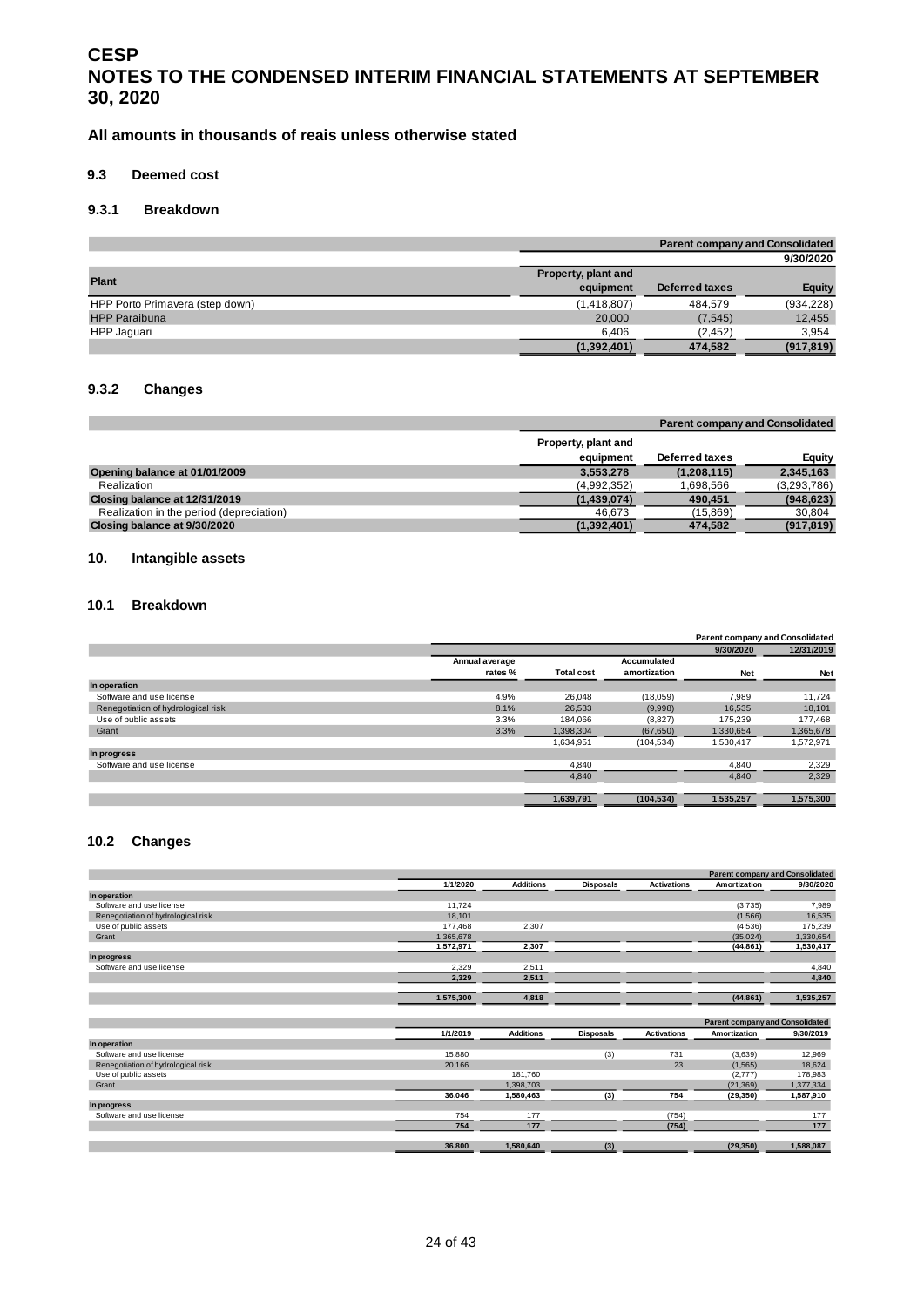#### **All amounts in thousands of reais unless otherwise stated**

#### **9.3 Deemed cost**

#### **9.3.1 Breakdown**

|                                 |                     | <b>Parent company and Consolidated</b> |               |  |  |  |
|---------------------------------|---------------------|----------------------------------------|---------------|--|--|--|
|                                 |                     |                                        | 9/30/2020     |  |  |  |
| <b>Plant</b>                    | Property, plant and |                                        |               |  |  |  |
|                                 | equipment           | Deferred taxes                         | <b>Equity</b> |  |  |  |
| HPP Porto Primavera (step down) | (1,418,807)         | 484.579                                | (934, 228)    |  |  |  |
| <b>HPP Paraibuna</b>            | 20,000              | (7, 545)                               | 12,455        |  |  |  |
| HPP Jaquari                     | 6.406               | (2, 452)                               | 3,954         |  |  |  |
|                                 | (1,392,401)         | 474,582                                | (917, 819)    |  |  |  |

#### **9.3.2 Changes**

|                                          |                                  |                | <b>Parent company and Consolidated</b> |
|------------------------------------------|----------------------------------|----------------|----------------------------------------|
|                                          | Property, plant and<br>equipment | Deferred taxes | Equity                                 |
| Opening balance at 01/01/2009            | 3.553.278                        | (1,208,115)    | 2,345,163                              |
| Realization                              | (4,992,352)                      | 1.698.566      | (3,293,786)                            |
| Closing balance at 12/31/2019            | (1,439,074)                      | 490.451        | (948, 623)                             |
| Realization in the period (depreciation) | 46.673                           | (15.869)       | 30.804                                 |
| Closing balance at 9/30/2020             | (1,392,401)                      | 474,582        | (917, 819)                             |

#### <span id="page-23-0"></span>**10. Intangible assets**

#### **10.1 Breakdown**

|                                    |                |                   |              | <b>Parent company and Consolidated</b> |            |
|------------------------------------|----------------|-------------------|--------------|----------------------------------------|------------|
|                                    |                |                   |              | 9/30/2020                              | 12/31/2019 |
|                                    | Annual average |                   | Accumulated  |                                        |            |
|                                    | rates %        | <b>Total cost</b> | amortization | <b>Net</b>                             | <b>Net</b> |
| In operation                       |                |                   |              |                                        |            |
| Software and use license           | 4.9%           | 26,048            | (18,059)     | 7,989                                  | 11,724     |
| Renegotiation of hydrological risk | 8.1%           | 26,533            | (9,998)      | 16,535                                 | 18,101     |
| Use of public assets               | 3.3%           | 184,066           | (8,827)      | 175.239                                | 177,468    |
| Grant                              | 3.3%           | 1.398.304         | (67, 650)    | 1.330.654                              | 1,365,678  |
|                                    |                | 1,634,951         | (104, 534)   | 1,530,417                              | 1,572,971  |
| In progress                        |                |                   |              |                                        |            |
| Software and use license           |                | 4,840             |              | 4,840                                  | 2,329      |
|                                    |                | 4,840             |              | 4,840                                  | 2,329      |
|                                    |                |                   |              |                                        |            |
|                                    |                | 1,639,791         | (104, 534)   | 1,535,257                              | 1,575,300  |

#### **10.2 Changes**

|                                    |           |                  |                  |                    | <b>Parent company and Consolidated</b> |           |
|------------------------------------|-----------|------------------|------------------|--------------------|----------------------------------------|-----------|
|                                    | 1/1/2020  | <b>Additions</b> | <b>Disposals</b> | <b>Activations</b> | Amortization                           | 9/30/2020 |
| In operation                       |           |                  |                  |                    |                                        |           |
| Software and use license           | 11.724    |                  |                  |                    | (3,735)                                | 7.989     |
| Renegotiation of hydrological risk | 18,101    |                  |                  |                    | (1,566)                                | 16,535    |
| Use of public assets               | 177,468   | 2,307            |                  |                    | (4,536)                                | 175,239   |
| Grant                              | 1,365,678 |                  |                  |                    | (35,024)                               | 1,330,654 |
|                                    | 1,572,971 | 2,307            |                  |                    | (44, 861)                              | 1,530,417 |
| In progress                        |           |                  |                  |                    |                                        |           |
| Software and use license           | 2,329     | 2,511            |                  |                    |                                        | 4,840     |
|                                    | 2,329     | 2,511            |                  |                    |                                        | 4,840     |
|                                    |           |                  |                  |                    |                                        |           |
|                                    | 1,575,300 | 4,818            |                  |                    | (44, 861)                              | 1,535,257 |
|                                    |           |                  |                  |                    |                                        |           |
|                                    |           |                  |                  |                    | <b>Parent company and Consolidated</b> |           |
|                                    | 1/1/2019  | <b>Additions</b> | <b>Disposals</b> | <b>Activations</b> | Amortization                           | 9/30/2019 |
| In operation                       |           |                  |                  |                    |                                        |           |
| Software and use license           | 15,880    |                  | (3)              | 731                | (3,639)                                | 12,969    |
| Renegotiation of hydrological risk | 20,166    |                  |                  | 23                 | (1, 565)                               | 18,624    |
| Use of public assets               |           | 181.760          |                  |                    | (2,777)                                | 178,983   |
| Grant                              |           | 1,398,703        |                  |                    | (21, 369)                              | 1,377,334 |
|                                    | 36,046    | 1,580,463        | (3)              | 754                | (29, 350)                              | 1,587,910 |
| In progress                        |           |                  |                  |                    |                                        |           |
| Software and use license           | 754       | 177              |                  | (754)              |                                        | 177       |
|                                    | 754       | 177              |                  | (754)              |                                        | 177       |
|                                    | 36,800    | 1,580,640        | (3)              |                    | (29, 350)                              | 1,588,087 |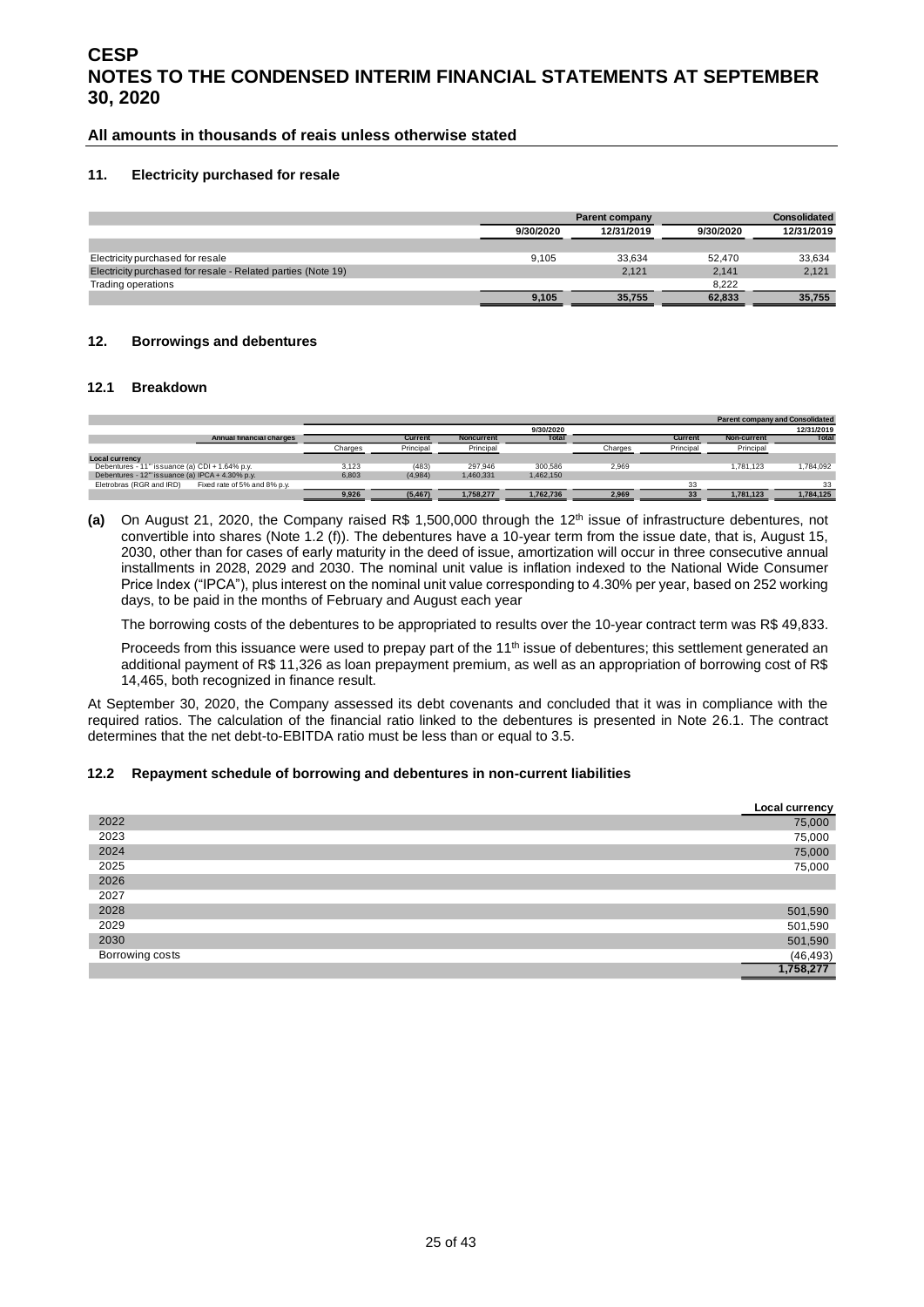#### **All amounts in thousands of reais unless otherwise stated**

#### <span id="page-24-0"></span>**11. Electricity purchased for resale**

|                                                              |           | <b>Parent company</b> |           |            |
|--------------------------------------------------------------|-----------|-----------------------|-----------|------------|
|                                                              | 9/30/2020 | 12/31/2019            | 9/30/2020 | 12/31/2019 |
|                                                              |           |                       |           |            |
| Electricity purchased for resale                             | 9.105     | 33.634                | 52.470    | 33.634     |
| Electricity purchased for resale - Related parties (Note 19) |           | 2.121                 | 2.141     | 2,121      |
| Trading operations                                           |           |                       | 8.222     |            |
|                                                              | 9.105     | 35.755                | 62.833    | 35.755     |

#### <span id="page-24-1"></span>**12. Borrowings and debentures**

#### **12.1 Breakdown**

|                                                              |         |           |                   |           |         |                |             | <b>Parent company and Consolidated</b> |
|--------------------------------------------------------------|---------|-----------|-------------------|-----------|---------|----------------|-------------|----------------------------------------|
|                                                              |         |           |                   | 9/30/2020 |         |                |             | 12/31/2019                             |
| <b>Annual financial charges</b>                              |         | Current   | <b>Noncurrent</b> | Total     |         | <b>Current</b> | Non-current | <b>Total</b>                           |
|                                                              | Charges | Principal | Principal         |           | Charges | Principal      | Principal   |                                        |
| <b>Local currency</b>                                        |         |           |                   |           |         |                |             |                                        |
| Debentures - 11" issuance (a) CDI + 1.64% p.y.               | 3,123   | (483)     | 297.946           | 300.586   | 2.969   |                | 1.781.123   | 1,784,092                              |
| Debentures - $12^{\text{th}}$ issuance (a) IPCA + 4.30% p.y. | 6.803   | (4,984)   | 1.460.331         | 1.462.150 |         |                |             |                                        |
| Fixed rate of 5% and 8% p.y.<br>Eletrobras (RGR and IRD)     |         |           |                   |           |         | 33             |             | 33                                     |
|                                                              | 9,926   | (5, 467)  | 1,758,277         | 1,762,736 | 2.969   | 33             | 1,781,123   | 1,784,125                              |

(a) On August 21, 2020, the Company raised R\$ 1,500,000 through the 12<sup>th</sup> issue of infrastructure debentures, not convertible into shares (Note 1.2 (f)). The debentures have a 10-year term from the issue date, that is, August 15, 2030, other than for cases of early maturity in the deed of issue, amortization will occur in three consecutive annual installments in 2028, 2029 and 2030. The nominal unit value is inflation indexed to the National Wide Consumer Price Index ("IPCA"), plus interest on the nominal unit value corresponding to 4.30% per year, based on 252 working days, to be paid in the months of February and August each year

The borrowing costs of the debentures to be appropriated to results over the 10-year contract term was R\$ 49,833.

Proceeds from this issuance were used to prepay part of the 11<sup>th</sup> issue of debentures; this settlement generated an additional payment of R\$ 11,326 as loan prepayment premium, as well as an appropriation of borrowing cost of R\$ 14,465, both recognized in finance result.

At September 30, 2020, the Company assessed its debt covenants and concluded that it was in compliance with the required ratios. The calculation of the financial ratio linked to the debentures is presented in Note 26.1. The contract determines that the net debt-to-EBITDA ratio must be less than or equal to 3.5.

#### **12.2 Repayment schedule of borrowing and debentures in non-current liabilities**

|                 | Local currency               |
|-----------------|------------------------------|
| 2022            | 75,000                       |
| 2023            | 75,000                       |
| 2024            | 75,000                       |
| 2025            | 75,000                       |
| 2026            |                              |
| 2027            |                              |
| 2028            | 501,590                      |
| 2029            | 501,590                      |
| 2030            | 501,590                      |
| Borrowing costs | $\frac{(46,493)}{1,758,277}$ |
|                 |                              |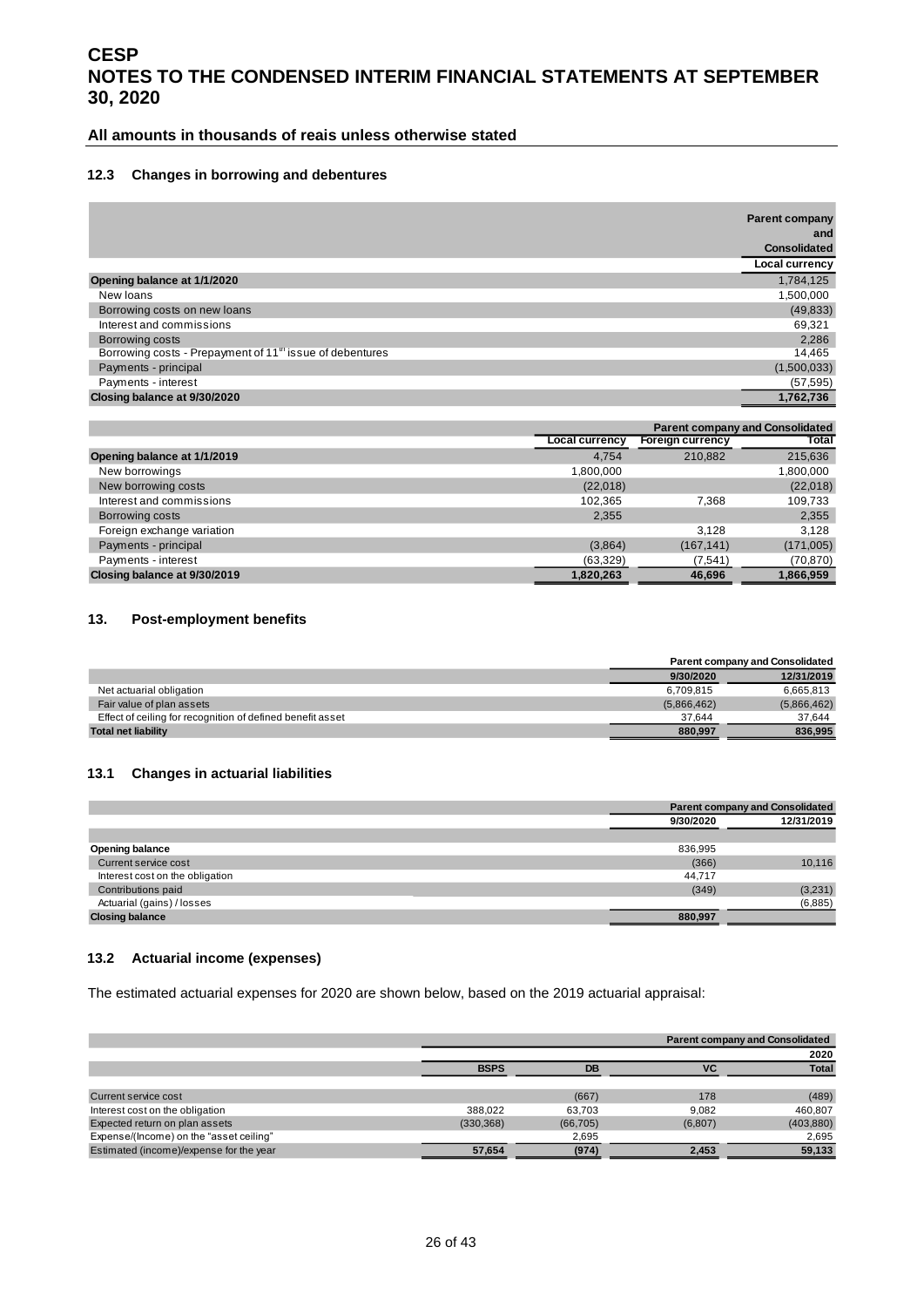#### **All amounts in thousands of reais unless otherwise stated**

#### **12.3 Changes in borrowing and debentures**

|                                                                     | <b>Parent company</b><br>and<br><b>Consolidated</b> |
|---------------------------------------------------------------------|-----------------------------------------------------|
|                                                                     | Local currency                                      |
| Opening balance at 1/1/2020                                         | 1,784,125                                           |
| New loans                                                           | 1,500,000                                           |
| Borrowing costs on new loans                                        | (49, 833)                                           |
| Interest and commissions                                            | 69,321                                              |
| Borrowing costs                                                     | 2,286                                               |
| Borrowing costs - Prepayment of 11 <sup>m</sup> issue of debentures | 14,465                                              |
| Payments - principal                                                | (1,500,033)                                         |
| Payments - interest                                                 | (57, 595)                                           |
| Closing balance at 9/30/2020                                        | 1,762,736                                           |

|                              | <b>Parent company and Consolidated</b> |                         |           |  |  |
|------------------------------|----------------------------------------|-------------------------|-----------|--|--|
|                              | <b>Local currency</b>                  | <b>Foreign currency</b> | Total     |  |  |
| Opening balance at 1/1/2019  | 4.754                                  | 210.882                 | 215,636   |  |  |
| New borrowings               | 1.800.000                              |                         | 1,800,000 |  |  |
| New borrowing costs          | (22,018)                               |                         | (22,018)  |  |  |
| Interest and commissions     | 102,365                                | 7,368                   | 109,733   |  |  |
| Borrowing costs              | 2,355                                  |                         | 2,355     |  |  |
| Foreign exchange variation   |                                        | 3.128                   | 3.128     |  |  |
| Payments - principal         | (3,864)                                | (167, 141)              | (171,005) |  |  |
| Payments - interest          | (63, 329)                              | (7, 541)                | (70, 870) |  |  |
| Closing balance at 9/30/2019 | 1,820,263                              | 46,696                  | 1,866,959 |  |  |

#### <span id="page-25-0"></span>**13. Post-employment benefits**

|                                                            |             | <b>Parent company and Consolidated</b> |
|------------------------------------------------------------|-------------|----------------------------------------|
|                                                            | 9/30/2020   | 12/31/2019                             |
| Net actuarial obligation                                   | 6.709.815   | 6.665.813                              |
| Fair value of plan assets                                  | (5,866,462) | (5,866,462)                            |
| Effect of ceiling for recognition of defined benefit asset | 37.644      | 37.644                                 |
| <b>Total net liability</b>                                 | 880.997     | 836.995                                |

#### **13.1 Changes in actuarial liabilities**

|                                 |           | <b>Parent company and Consolidated</b> |
|---------------------------------|-----------|----------------------------------------|
|                                 | 9/30/2020 | 12/31/2019                             |
|                                 |           |                                        |
| <b>Opening balance</b>          | 836,995   |                                        |
| Current service cost            | (366)     | 10,116                                 |
| Interest cost on the obligation | 44,717    |                                        |
| Contributions paid              | (349)     | (3,231)                                |
| Actuarial (gains) / losses      |           | (6,885)                                |
| <b>Closing balance</b>          | 880.997   |                                        |

#### **13.2 Actuarial income (expenses)**

The estimated actuarial expenses for 2020 are shown below, based on the 2019 actuarial appraisal:

|                                         |             |           |         | <b>Parent company and Consolidated</b> |
|-----------------------------------------|-------------|-----------|---------|----------------------------------------|
|                                         |             |           |         | 2020                                   |
|                                         | <b>BSPS</b> | DB        | VC      | <b>Total</b>                           |
|                                         |             |           |         |                                        |
| Current service cost                    |             | (667)     | 178     | (489)                                  |
| Interest cost on the obligation         | 388.022     | 63.703    | 9.082   | 460.807                                |
| Expected return on plan assets          | (330, 368)  | (66, 705) | (6,807) | (403, 880)                             |
| Expense/(Income) on the "asset ceiling" |             | 2,695     |         | 2,695                                  |
| Estimated (income)/expense for the year | 57,654      | (974)     | 2,453   | 59,133                                 |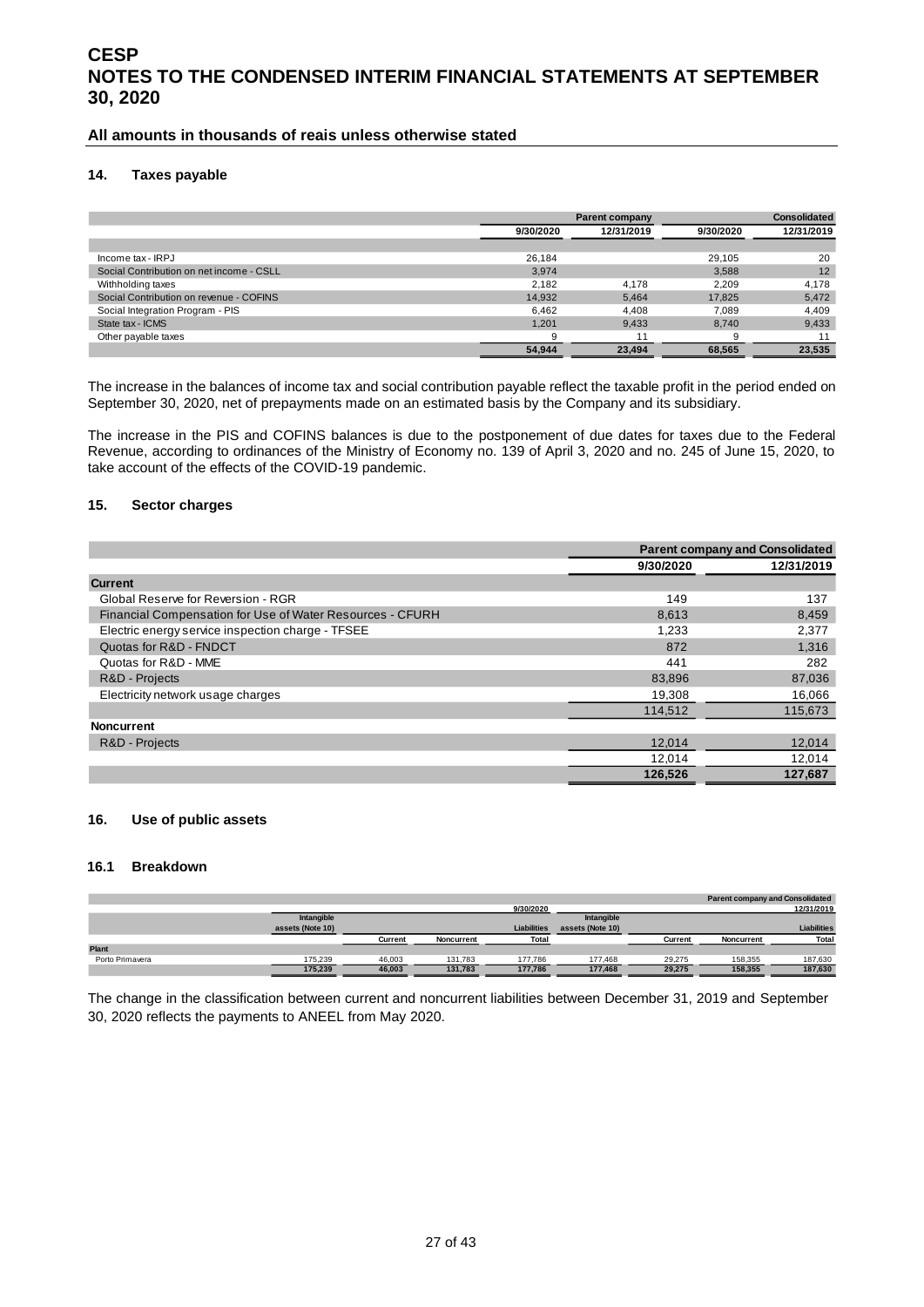#### **All amounts in thousands of reais unless otherwise stated**

#### <span id="page-26-0"></span>**14. Taxes payable**

|                                          |           | Parent company | <b>Consolidated</b> |            |
|------------------------------------------|-----------|----------------|---------------------|------------|
|                                          | 9/30/2020 | 12/31/2019     | 9/30/2020           | 12/31/2019 |
|                                          |           |                |                     |            |
| Income tax - IRPJ                        | 26,184    |                | 29.105              | 20         |
| Social Contribution on net income - CSLL | 3.974     |                | 3.588               | 12         |
| Withholding taxes                        | 2.182     | 4.178          | 2.209               | 4,178      |
| Social Contribution on revenue - COFINS  | 14,932    | 5,464          | 17.825              | 5,472      |
| Social Integration Program - PIS         | 6,462     | 4,408          | 7.089               | 4,409      |
| State tax - ICMS                         | 1,201     | 9,433          | 8.740               | 9,433      |
| Other payable taxes                      | 9         | 11             | 9                   |            |
|                                          | 54.944    | 23.494         | 68.565              | 23.535     |

The increase in the balances of income tax and social contribution payable reflect the taxable profit in the period ended on September 30, 2020, net of prepayments made on an estimated basis by the Company and its subsidiary.

The increase in the PIS and COFINS balances is due to the postponement of due dates for taxes due to the Federal Revenue, according to ordinances of the Ministry of Economy no. 139 of April 3, 2020 and no. 245 of June 15, 2020, to take account of the effects of the COVID-19 pandemic.

#### <span id="page-26-1"></span>**15. Sector charges**

|                                                           |           | <b>Parent company and Consolidated</b> |
|-----------------------------------------------------------|-----------|----------------------------------------|
|                                                           | 9/30/2020 | 12/31/2019                             |
| <b>Current</b>                                            |           |                                        |
| Global Reserve for Reversion - RGR                        | 149       | 137                                    |
| Financial Compensation for Use of Water Resources - CFURH | 8,613     | 8,459                                  |
| Electric energy service inspection charge - TFSEE         | 1.233     | 2,377                                  |
| Quotas for R&D - FNDCT                                    | 872       | 1,316                                  |
| Quotas for R&D - MME                                      | 441       | 282                                    |
| R&D - Projects                                            | 83,896    | 87,036                                 |
| Electricity network usage charges                         | 19,308    | 16,066                                 |
|                                                           | 114,512   | 115,673                                |
| <b>Noncurrent</b>                                         |           |                                        |
| R&D - Projects                                            | 12.014    | 12,014                                 |
|                                                           | 12,014    | 12,014                                 |
|                                                           | 126,526   | 127,687                                |

#### <span id="page-26-2"></span>**16. Use of public assets**

#### **16.1 Breakdown**

|                 |                  |         |            |                    |                  |         |            | <b>Parent company and Consolidated</b> |
|-----------------|------------------|---------|------------|--------------------|------------------|---------|------------|----------------------------------------|
|                 |                  |         |            | 9/30/2020          |                  |         |            | 12/31/2019                             |
|                 | Intangible       |         |            |                    | Intangible       |         |            |                                        |
|                 | assets (Note 10) |         |            | <b>Liabilities</b> | assets (Note 10) |         |            | <b>Liabilities</b>                     |
|                 |                  | Current | Noncurrent | Total              |                  | Current | Noncurrent | Total                                  |
| Plant           |                  |         |            |                    |                  |         |            |                                        |
| Porto Primavera | 175.239          | 46,003  | 131.783    | 177.786            | 177.468          | 29.275  | 158,355    | 187,630                                |
|                 | 175,239          | 46,003  | 131,783    | 177,786            | 177,468          | 29,275  | 158,355    | 187,630                                |

The change in the classification between current and noncurrent liabilities between December 31, 2019 and September 30, 2020 reflects the payments to ANEEL from May 2020.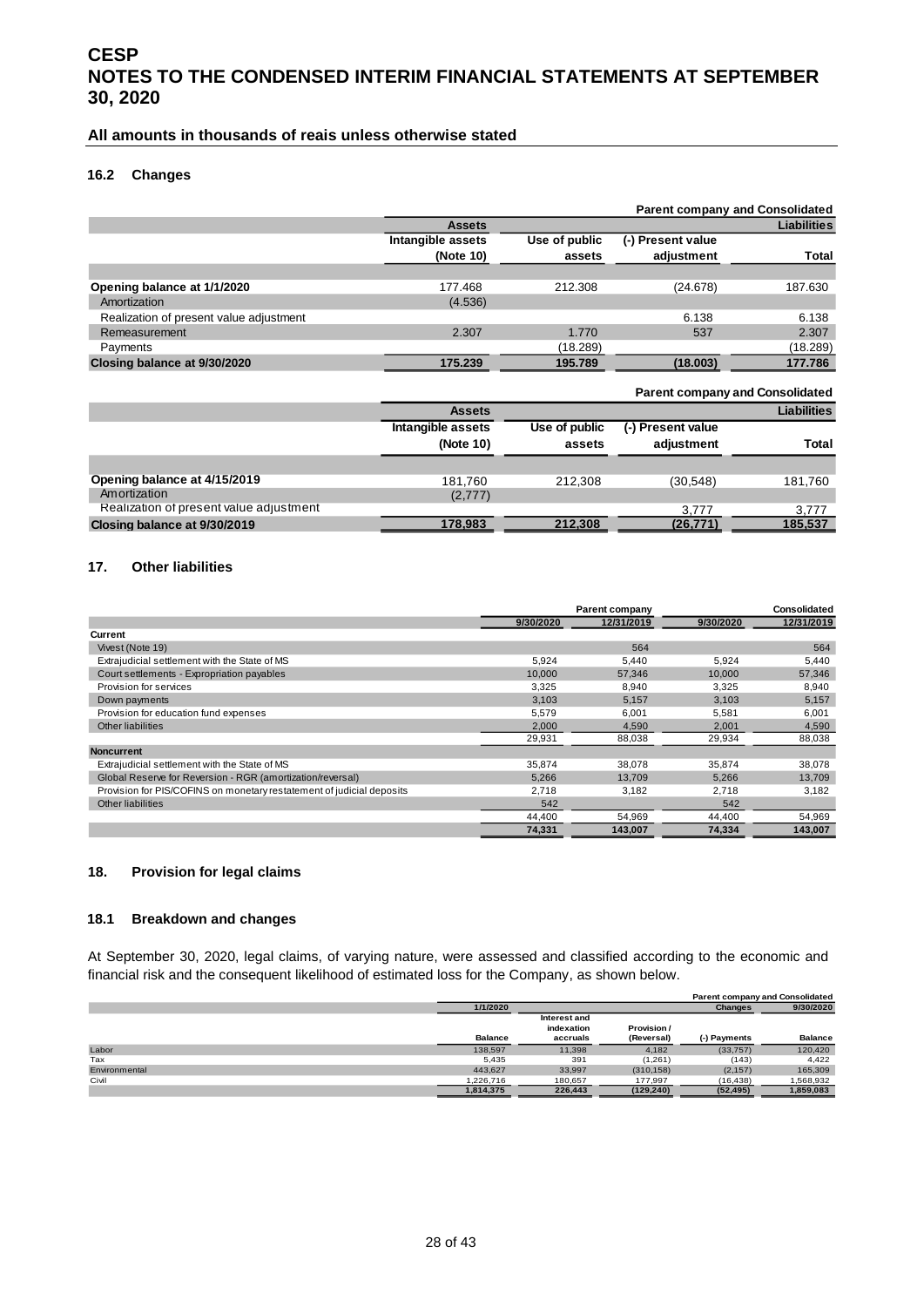#### **All amounts in thousands of reais unless otherwise stated**

#### **16.2 Changes**

|                                         |                   |               |                   | <b>Parent company and Consolidated</b> |
|-----------------------------------------|-------------------|---------------|-------------------|----------------------------------------|
|                                         | <b>Assets</b>     |               |                   | <b>Liabilities</b>                     |
|                                         | Intangible assets | Use of public | (-) Present value |                                        |
|                                         | (Note 10)         | assets        | adjustment        | Total                                  |
|                                         |                   |               |                   |                                        |
| Opening balance at 1/1/2020             | 177.468           | 212.308       | (24.678)          | 187.630                                |
| Amortization                            | (4.536)           |               |                   |                                        |
| Realization of present value adjustment |                   |               | 6.138             | 6.138                                  |
| Remeasurement                           | 2.307             | 1.770         | 537               | 2.307                                  |
| Payments                                |                   | (18.289)      |                   | (18.289)                               |
| Closing balance at 9/30/2020            | 175.239           | 195.789       | (18.003)          | 177.786                                |

|                                         |                   |               |                    | <b>Parent company and Consolidated</b> |  |
|-----------------------------------------|-------------------|---------------|--------------------|----------------------------------------|--|
|                                         | <b>Assets</b>     |               | <b>Liabilities</b> |                                        |  |
|                                         | Intangible assets | Use of public | (-) Present value  |                                        |  |
|                                         | (Note 10)         | assets        | adjustment         | Total                                  |  |
|                                         |                   |               |                    |                                        |  |
| Opening balance at 4/15/2019            | 181.760           | 212.308       | (30,548)           | 181,760                                |  |
| Amortization                            | (2,777)           |               |                    |                                        |  |
| Realization of present value adjustment |                   |               | 3.777              | 3.777                                  |  |
| Closing balance at 9/30/2019            | 178,983           | 212,308       | (26, 771)          | 185,537                                |  |

#### <span id="page-27-0"></span>**17. Other liabilities**

|                                                                       |           | Parent company |           | <b>Consolidated</b> |
|-----------------------------------------------------------------------|-----------|----------------|-----------|---------------------|
|                                                                       | 9/30/2020 | 12/31/2019     | 9/30/2020 | 12/31/2019          |
| Current                                                               |           |                |           |                     |
| Vivest (Note 19)                                                      |           | 564            |           | 564                 |
| Extrajudicial settlement with the State of MS                         | 5,924     | 5,440          | 5,924     | 5,440               |
| Court settlements - Expropriation payables                            | 10,000    | 57,346         | 10,000    | 57,346              |
| Provision for services                                                | 3,325     | 8,940          | 3.325     | 8,940               |
| Down payments                                                         | 3,103     | 5,157          | 3.103     | 5,157               |
| Provision for education fund expenses                                 | 5,579     | 6,001          | 5,581     | 6,001               |
| Other liabilities                                                     | 2,000     | 4,590          | 2,001     | 4,590               |
|                                                                       | 29,931    | 88,038         | 29,934    | 88,038              |
| <b>Noncurrent</b>                                                     |           |                |           |                     |
| Extrajudicial settlement with the State of MS                         | 35,874    | 38,078         | 35,874    | 38,078              |
| Global Reserve for Reversion - RGR (amortization/reversal)            | 5,266     | 13.709         | 5,266     | 13,709              |
| Provision for PIS/COFINS on monetary restatement of judicial deposits | 2,718     | 3,182          | 2.718     | 3,182               |
| Other liabilities                                                     | 542       |                | 542       |                     |
|                                                                       | 44.400    | 54.969         | 44.400    | 54,969              |
|                                                                       | 74,331    | 143.007        | 74,334    | 143,007             |

#### <span id="page-27-1"></span>**18. Provision for legal claims**

#### **18.1 Breakdown and changes**

At September 30, 2020, legal claims, of varying nature, were assessed and classified according to the economic and financial risk and the consequent likelihood of estimated loss for the Company, as shown below.

|               |                |              |            |                | <b>Parent company and Consolidated</b> |
|---------------|----------------|--------------|------------|----------------|----------------------------------------|
|               | 1/1/2020       |              |            | <b>Changes</b> | 9/30/2020                              |
|               |                | Interest and |            |                |                                        |
|               |                | indexation   | Provision/ |                |                                        |
|               | <b>Balance</b> | accruals     | (Reversal) | (-) Payments   | <b>Balance</b>                         |
| Labor         | 138,597        | 11,398       | 4,182      | (33, 757)      | 120,420                                |
| Tax           | 5.435          | 391          | (1, 261)   | (143)          | 4,422                                  |
| Environmental | 443,627        | 33,997       | (310, 158) | (2, 157)       | 165,309                                |
| Civil         | 1.226.716      | 180.657      | 177.997    | (16, 438)      | 1,568,932                              |
|               | 1,814,375      | 226,443      | (129, 240) | (52, 495)      | 1,859,083                              |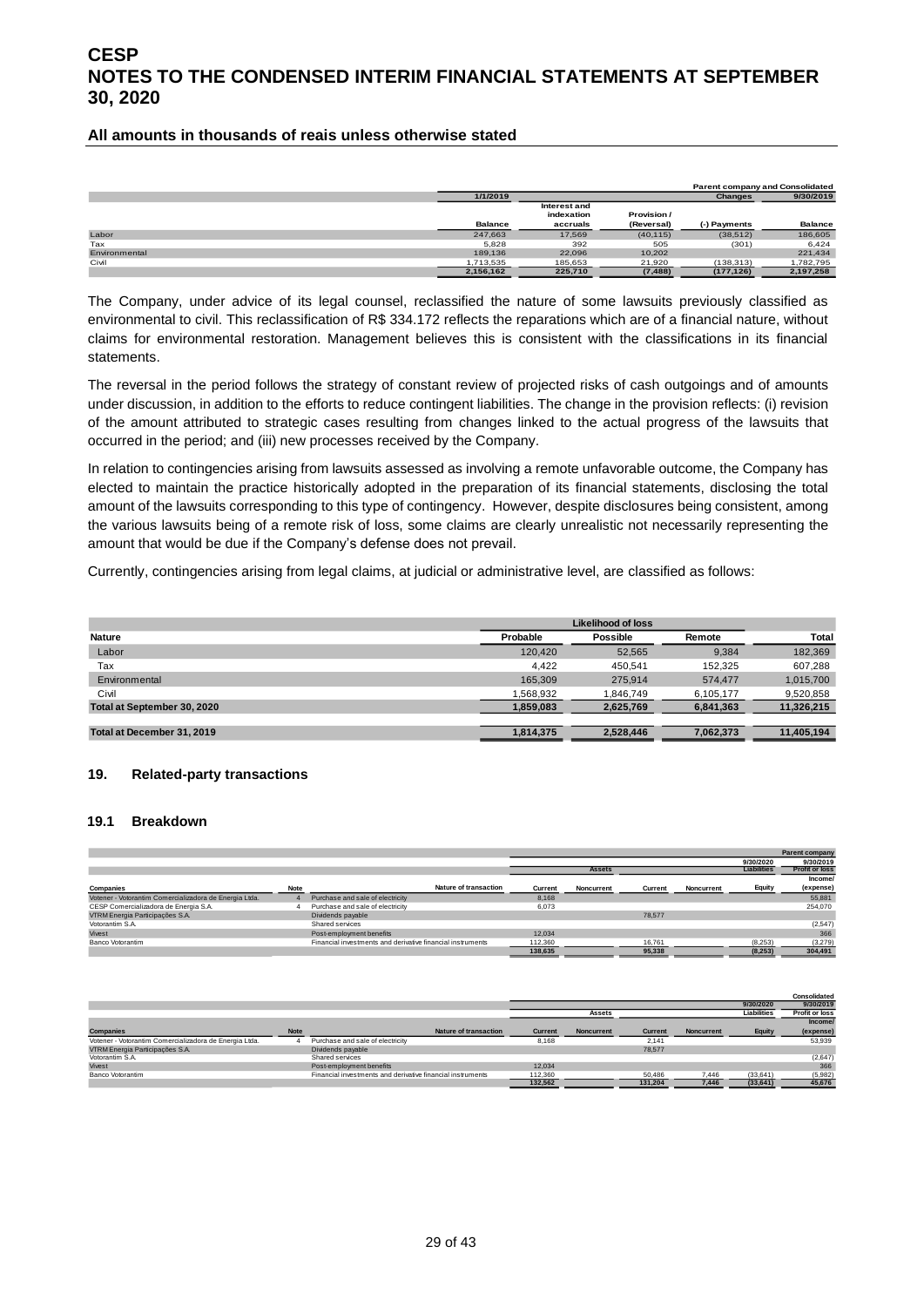#### **All amounts in thousands of reais unless otherwise stated**

|               |                |              |             |                | <b>Parent company and Consolidated</b> |
|---------------|----------------|--------------|-------------|----------------|----------------------------------------|
|               | 1/1/2019       |              |             | <b>Changes</b> | 9/30/2019                              |
|               |                | Interest and |             |                |                                        |
|               |                | indexation   | Provision / |                |                                        |
|               | <b>Balance</b> | accruals     | (Reversal)  | (-) Payments   | <b>Balance</b>                         |
| Labor         | 247,663        | 17.569       | (40, 115)   | (38, 512)      | 186,605                                |
| Tax           | 5,828          | 392          | 505         | (301)          | 6,424                                  |
| Environmental | 189,136        | 22.096       | 10.202      |                | 221,434                                |
| Civil         | 1,713,535      | 185,653      | 21,920      | (138, 313)     | 1,782,795                              |
|               | 2,156,162      | 225,710      | (7, 488)    | (177, 126)     | 2,197,258                              |

The Company, under advice of its legal counsel, reclassified the nature of some lawsuits previously classified as environmental to civil. This reclassification of R\$ 334.172 reflects the reparations which are of a financial nature, without claims for environmental restoration. Management believes this is consistent with the classifications in its financial statements.

The reversal in the period follows the strategy of constant review of projected risks of cash outgoings and of amounts under discussion, in addition to the efforts to reduce contingent liabilities. The change in the provision reflects: (i) revision of the amount attributed to strategic cases resulting from changes linked to the actual progress of the lawsuits that occurred in the period; and (iii) new processes received by the Company.

In relation to contingencies arising from lawsuits assessed as involving a remote unfavorable outcome, the Company has elected to maintain the practice historically adopted in the preparation of its financial statements, disclosing the total amount of the lawsuits corresponding to this type of contingency. However, despite disclosures being consistent, among the various lawsuits being of a remote risk of loss, some claims are clearly unrealistic not necessarily representing the amount that would be due if the Company's defense does not prevail.

Currently, contingencies arising from legal claims, at judicial or administrative level, are classified as follows:

|                             | <b>Likelihood of loss</b> |           |           |            |  |  |  |
|-----------------------------|---------------------------|-----------|-----------|------------|--|--|--|
| <b>Nature</b>               | Probable                  | Possible  | Remote    | Total      |  |  |  |
| Labor                       | 120,420                   | 52.565    | 9.384     | 182,369    |  |  |  |
| Tax                         | 4.422                     | 450.541   | 152.325   | 607.288    |  |  |  |
| Environmental               | 165.309                   | 275.914   | 574.477   | 1,015,700  |  |  |  |
| Civil                       | 1,568,932                 | 1,846,749 | 6,105,177 | 9,520,858  |  |  |  |
| Total at September 30, 2020 | 1,859,083                 | 2,625,769 | 6,841,363 | 11,326,215 |  |  |  |
|                             |                           |           |           |            |  |  |  |
| Total at December 31, 2019  | 1.814.375                 | 2.528.446 | 7.062.373 | 11.405.194 |  |  |  |

#### <span id="page-28-0"></span>**19. Related-party transactions**

#### **19.1 Breakdown**

|                                                        |             |                                                            |         |               |         |            |                    | <b>Parent company</b> |
|--------------------------------------------------------|-------------|------------------------------------------------------------|---------|---------------|---------|------------|--------------------|-----------------------|
|                                                        |             |                                                            |         |               |         |            | 9/30/2020          | 9/30/2019             |
|                                                        |             |                                                            |         | <b>Assets</b> |         |            | <b>Liabilities</b> | <b>Profit or loss</b> |
|                                                        |             |                                                            |         |               |         |            |                    | Income/               |
| Companies                                              | <b>Note</b> | <b>Nature of transaction</b>                               | Current | Noncurrent    | Current | Noncurrent | Equity             | (expense)             |
| Votener - Votorantim Comercializadora de Energia Ltda. |             | Purchase and sale of electricity                           | 8.168   |               |         |            |                    | 55,881                |
| CESP Comercializadora de Energia S.A.                  |             | Purchase and sale of electricity                           | 6,073   |               |         |            |                    | 254.070               |
| VTRM Energia Participações S.A.                        |             | Dividends payable                                          |         |               | 78,577  |            |                    |                       |
| Votorantim S.A.                                        |             | Shared services                                            |         |               |         |            |                    | (2, 547)              |
| Vivest                                                 |             | Post-employment benefits                                   | 12.034  |               |         |            |                    | 366                   |
| Banco Votorantim                                       |             | Financial investments and derivative financial instruments | 112,360 |               | 16.761  |            | (8, 253)           | (3,279)               |
|                                                        |             |                                                            | 138,635 |               | 95,338  |            | (8, 253)           | 304,491               |

|                                                        |             |                                                            |                |                   |         |                   |                    | Consolidated          |
|--------------------------------------------------------|-------------|------------------------------------------------------------|----------------|-------------------|---------|-------------------|--------------------|-----------------------|
|                                                        |             |                                                            |                |                   |         |                   | 9/30/2020          | 9/30/2019             |
|                                                        |             |                                                            |                | <b>Assets</b>     |         |                   | <b>Liabilities</b> | <b>Profit or loss</b> |
|                                                        |             |                                                            |                |                   |         |                   |                    | Income/               |
| <b>Companies</b>                                       | <b>Note</b> | <b>Nature of transaction</b>                               | <b>Current</b> | <b>Noncurrent</b> | Current | <b>Noncurrent</b> | Equity             | (expense)             |
| Votener - Votorantim Comercializadora de Energia Ltda. |             | Purchase and sale of electricity                           | 8.168          |                   | 2.141   |                   |                    | 53,939                |
| VTRM Energia Participações S.A.                        |             | Dividends payable                                          |                |                   | 78,577  |                   |                    |                       |
| Votorantim S.A.                                        |             | Shared services                                            |                |                   |         |                   |                    | (2,647)               |
| Vivest                                                 |             | Post-employment benefits                                   | 12.034         |                   |         |                   |                    | 366                   |
| Banco Votorantim                                       |             | Financial investments and derivative financial instruments | 112,360        |                   | 50,486  | 7.446             | (33, 641)          | (5,982)               |
|                                                        |             |                                                            | 132.562        |                   | 131.204 | 7,446             | (33, 641)          | 45,676                |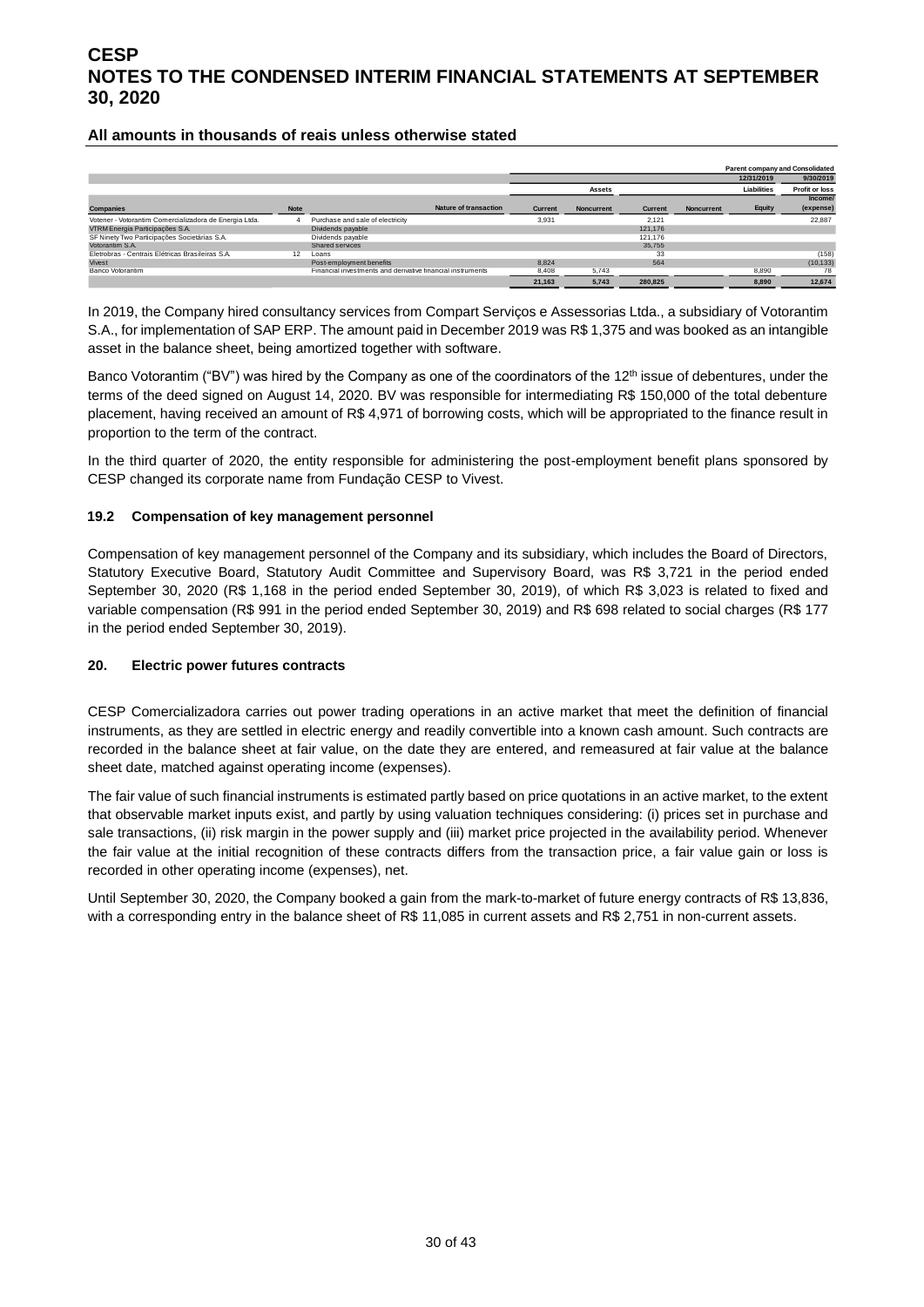#### **All amounts in thousands of reais unless otherwise stated**

|                                                        |             |                                                            |         |            |         |                   |             | <b>Parent company and Consolidated</b> |
|--------------------------------------------------------|-------------|------------------------------------------------------------|---------|------------|---------|-------------------|-------------|----------------------------------------|
|                                                        |             |                                                            |         |            |         |                   | 12/31/2019  | 9/30/2019                              |
|                                                        |             |                                                            |         | Assets     |         |                   | Liabilities | <b>Profit or loss</b>                  |
|                                                        |             |                                                            |         |            |         |                   |             | Income/                                |
| <b>Companies</b>                                       | <b>Note</b> | <b>Nature of transaction</b>                               | Current | Noncurrent | Current | <b>Noncurrent</b> | Equity      | (expense)                              |
| Votener - Votorantim Comercializadora de Energia Ltda. |             | Purchase and sale of electricity                           | 3,931   |            | 2.121   |                   |             | 22,887                                 |
| VTRM Energia Participações S.A.                        |             | Dividends payable                                          |         |            | 121.176 |                   |             |                                        |
| SF Ninety Two Participações Societárias S.A.           |             | Dividends payable                                          |         |            | 121.176 |                   |             |                                        |
| Votorantim S.A.                                        |             | Shared services                                            |         |            | 35.755  |                   |             |                                        |
| Eletrobras - Centrais Elétricas Brasileiras S.A.       | 12          | Loans                                                      |         |            | 33      |                   |             | (158)                                  |
| Vivest                                                 |             | Post-employment benefits                                   | 8.824   |            | 564     |                   |             | (10, 133)                              |
| Banco Votorantim                                       |             | Financial investments and derivative financial instruments | 8,408   | 5,743      |         |                   | 8,890       | 78                                     |
|                                                        |             |                                                            | 21,163  | 5,743      | 280,825 |                   | 8,890       | 12,674                                 |

In 2019, the Company hired consultancy services from Compart Serviços e Assessorias Ltda., a subsidiary of Votorantim S.A., for implementation of SAP ERP. The amount paid in December 2019 was R\$ 1,375 and was booked as an intangible asset in the balance sheet, being amortized together with software.

Banco Votorantim ("BV") was hired by the Company as one of the coordinators of the 12<sup>th</sup> issue of debentures, under the terms of the deed signed on August 14, 2020. BV was responsible for intermediating R\$ 150,000 of the total debenture placement, having received an amount of R\$ 4,971 of borrowing costs, which will be appropriated to the finance result in proportion to the term of the contract.

In the third quarter of 2020, the entity responsible for administering the post-employment benefit plans sponsored by CESP changed its corporate name from Fundação CESP to Vivest.

#### **19.2 Compensation of key management personnel**

Compensation of key management personnel of the Company and its subsidiary, which includes the Board of Directors, Statutory Executive Board, Statutory Audit Committee and Supervisory Board, was R\$ 3,721 in the period ended September 30, 2020 (R\$ 1,168 in the period ended September 30, 2019), of which R\$ 3,023 is related to fixed and variable compensation (R\$ 991 in the period ended September 30, 2019) and R\$ 698 related to social charges (R\$ 177 in the period ended September 30, 2019).

#### <span id="page-29-0"></span>**20. Electric power futures contracts**

CESP Comercializadora carries out power trading operations in an active market that meet the definition of financial instruments, as they are settled in electric energy and readily convertible into a known cash amount. Such contracts are recorded in the balance sheet at fair value, on the date they are entered, and remeasured at fair value at the balance sheet date, matched against operating income (expenses).

The fair value of such financial instruments is estimated partly based on price quotations in an active market, to the extent that observable market inputs exist, and partly by using valuation techniques considering: (i) prices set in purchase and sale transactions, (ii) risk margin in the power supply and (iii) market price projected in the availability period. Whenever the fair value at the initial recognition of these contracts differs from the transaction price, a fair value gain or loss is recorded in other operating income (expenses), net.

Until September 30, 2020, the Company booked a gain from the mark-to-market of future energy contracts of R\$ 13,836, with a corresponding entry in the balance sheet of R\$ 11,085 in current assets and R\$ 2,751 in non-current assets.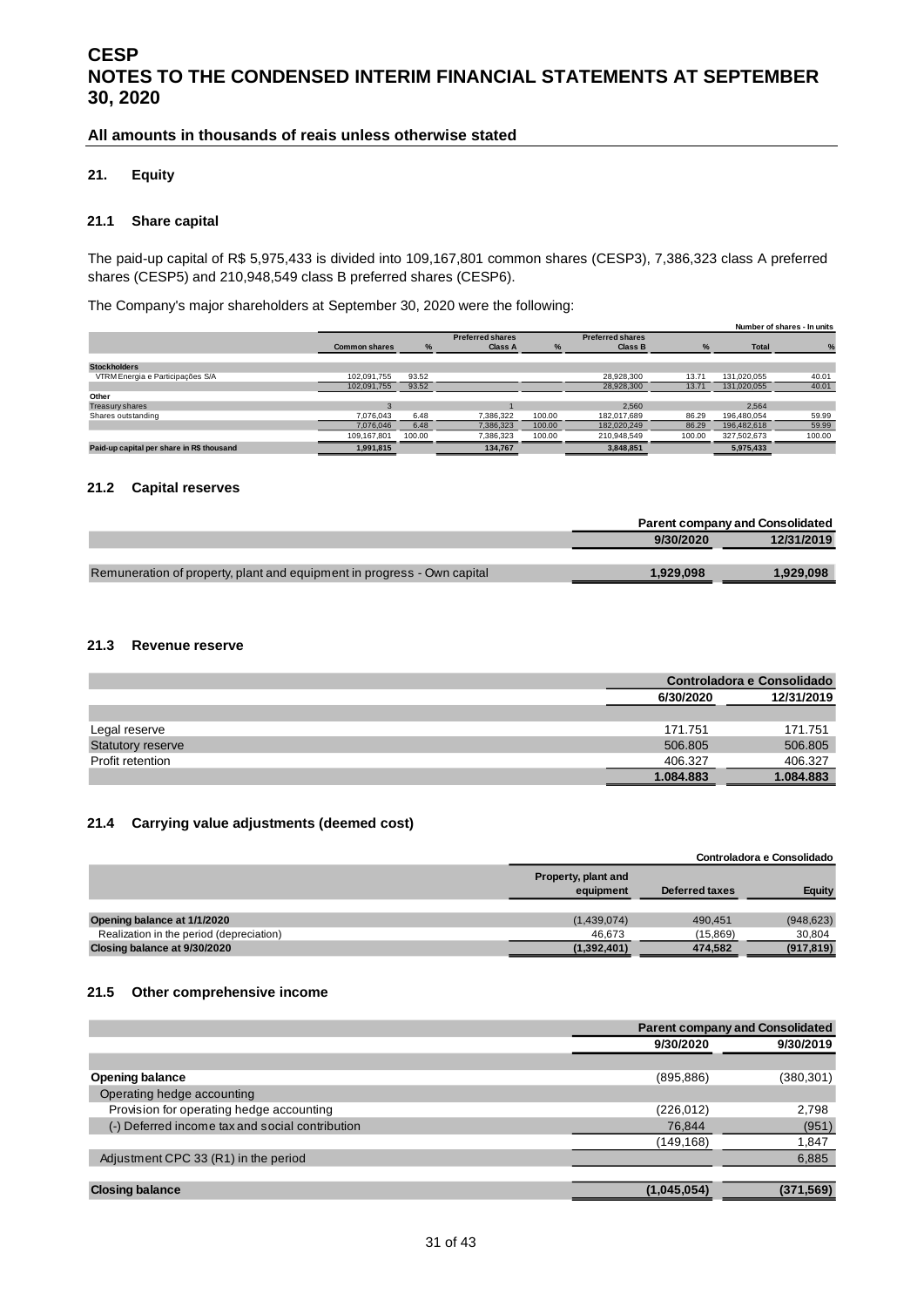#### **All amounts in thousands of reais unless otherwise stated**

#### <span id="page-30-0"></span>**21. Equity**

#### **21.1 Share capital**

The paid-up capital of R\$ 5,975,433 is divided into 109,167,801 common shares (CESP3), 7,386,323 class A preferred shares (CESP5) and 210,948,549 class B preferred shares (CESP6).

The Company's major shareholders at September 30, 2020 were the following:

|                                           |                      |        |                         |        |                         |               |              | Number of shares - In units |
|-------------------------------------------|----------------------|--------|-------------------------|--------|-------------------------|---------------|--------------|-----------------------------|
|                                           |                      |        | <b>Preferred shares</b> |        | <b>Preferred shares</b> |               |              |                             |
|                                           | <b>Common shares</b> | %      | <b>Class A</b>          | %      | <b>Class B</b>          | $\frac{1}{2}$ | <b>Total</b> |                             |
|                                           |                      |        |                         |        |                         |               |              |                             |
| <b>Stockholders</b>                       |                      |        |                         |        |                         |               |              |                             |
| VTRM Energia e Participações S/A          | 102.091.755          | 93.52  |                         |        | 28,928,300              | 13.71         | 131,020,055  | 40.01                       |
|                                           | 102,091,755          | 93.52  |                         |        | 28,928,300              | 13.71         | 131,020,055  | 40.01                       |
| Other                                     |                      |        |                         |        |                         |               |              |                             |
| Treasury shares                           |                      |        |                         |        | 2.560                   |               | 2.564        |                             |
| Shares outstanding                        | 7.076.043            | 6.48   | 7.386.322               | 100.00 | 182.017.689             | 86.29         | 196,480,054  | 59.99                       |
|                                           | 7.076.046            | 6.48   | 7.386.323               | 100.00 | 182,020,249             | 86.29         | 196,482,618  | 59.99                       |
|                                           | 109.167.801          | 100.00 | 7.386.323               | 100.00 | 210.948.549             | 100.00        | 327,502,673  | 100.00                      |
| Paid-up capital per share in R\$ thousand | 1,991,815            |        | 134.767                 |        | 3.848.851               |               | 5,975,433    |                             |

#### **21.2 Capital reserves**

|                                                                         |           | <b>Parent company and Consolidated</b> |
|-------------------------------------------------------------------------|-----------|----------------------------------------|
|                                                                         | 9/30/2020 | 12/31/2019                             |
|                                                                         |           |                                        |
| Remuneration of property, plant and equipment in progress - Own capital | 1.929.098 | 1.929.098                              |
|                                                                         |           |                                        |

#### **21.3 Revenue reserve**

|                          |           | Controladora e Consolidado |
|--------------------------|-----------|----------------------------|
|                          | 6/30/2020 | 12/31/2019                 |
|                          |           |                            |
| Legal reserve            | 171.751   | 171.751                    |
| <b>Statutory reserve</b> | 506,805   | 506,805                    |
| Profit retention         | 406.327   | 406.327                    |
|                          | 1.084.883 | 1.084.883                  |

#### **21.4 Carrying value adjustments (deemed cost)**

|                                          |                                  |                | Controladora e Consolidado |
|------------------------------------------|----------------------------------|----------------|----------------------------|
|                                          | Property, plant and<br>equipment | Deferred taxes | Equity                     |
|                                          |                                  |                |                            |
| Opening balance at 1/1/2020              | (1,439,074)                      | 490.451        | (948, 623)                 |
| Realization in the period (depreciation) | 46.673                           | (15,869)       | 30.804                     |
| Closing balance at 9/30/2020             | (1,392,401)                      | 474,582        | (917, 819)                 |

#### **21.5 Other comprehensive income**

|                                                 | <b>Parent company and Consolidated</b> |            |  |
|-------------------------------------------------|----------------------------------------|------------|--|
|                                                 | 9/30/2020                              | 9/30/2019  |  |
|                                                 |                                        |            |  |
| <b>Opening balance</b>                          | (895, 886)                             | (380, 301) |  |
| Operating hedge accounting                      |                                        |            |  |
| Provision for operating hedge accounting        | (226, 012)                             | 2,798      |  |
| (-) Deferred income tax and social contribution | 76,844                                 | (951)      |  |
|                                                 | (149,168)                              | 1,847      |  |
| Adjustment CPC 33 (R1) in the period            |                                        | 6,885      |  |
|                                                 |                                        |            |  |
| <b>Closing balance</b>                          | (1,045,054)                            | (371, 569) |  |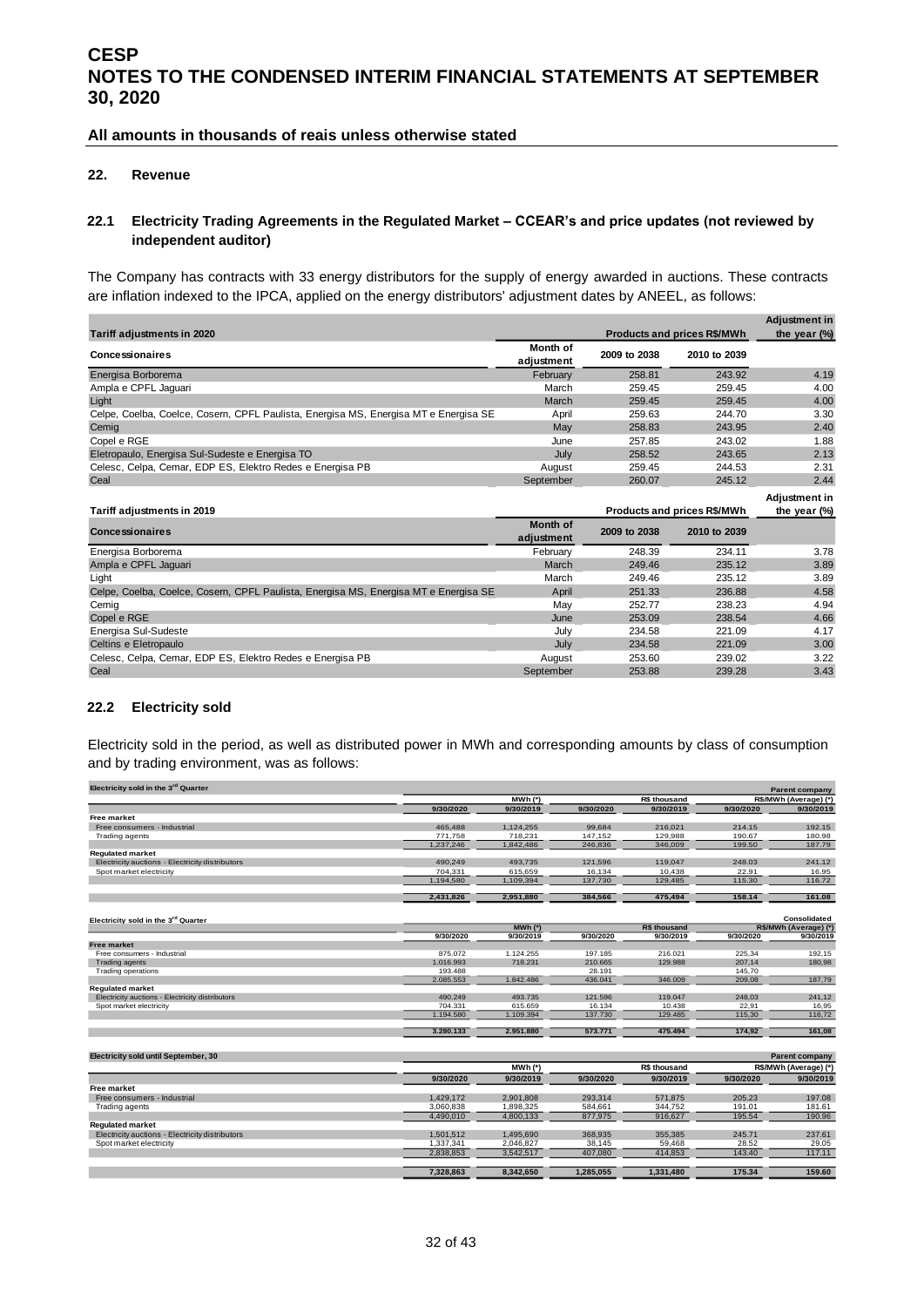#### **All amounts in thousands of reais unless otherwise stated**

#### <span id="page-31-0"></span>**22. Revenue**

#### **22.1 Electricity Trading Agreements in the Regulated Market – CCEAR's and price updates (not reviewed by independent auditor)**

The Company has contracts with 33 energy distributors for the supply of energy awarded in auctions. These contracts are inflation indexed to the IPCA, applied on the energy distributors' adjustment dates by ANEEL, as follows:

|                                                                                      |                               |              |                                    | <b>Adjustment in</b> |
|--------------------------------------------------------------------------------------|-------------------------------|--------------|------------------------------------|----------------------|
| Tariff adjustments in 2020                                                           |                               |              | <b>Products and prices R\$/MWh</b> | the year $(\%)$      |
| Concessionaires                                                                      | Month of<br>adjustment        | 2009 to 2038 | 2010 to 2039                       |                      |
| Energisa Borborema                                                                   | February                      | 258.81       | 243.92                             | 4.19                 |
| Ampla e CPFL Jaguari                                                                 | March                         | 259.45       | 259.45                             | 4.00                 |
| Light                                                                                | March                         | 259.45       | 259.45                             | 4.00                 |
| Celpe, Coelba, Coelce, Cosern, CPFL Paulista, Energisa MS, Energisa MT e Energisa SE | April                         | 259.63       | 244.70                             | 3.30                 |
| Cemig                                                                                | May                           | 258.83       | 243.95                             | 2.40                 |
| Copel e RGE                                                                          | June                          | 257.85       | 243.02                             | 1.88                 |
| Eletropaulo, Energisa Sul-Sudeste e Energisa TO                                      | July                          | 258.52       | 243.65                             | 2.13                 |
| Celesc, Celpa, Cemar, EDP ES, Elektro Redes e Energisa PB                            | August                        | 259.45       | 244.53                             | 2.31                 |
| Ceal                                                                                 | September                     | 260.07       | 245.12                             | 2.44                 |
|                                                                                      |                               |              |                                    | Adjustment in        |
| Tariff adjustments in 2019                                                           |                               |              | Products and prices R\$/MWh        | the year $(\%)$      |
| <b>Concessionaires</b>                                                               | <b>Month of</b><br>adjustment | 2009 to 2038 | 2010 to 2039                       |                      |
| Energisa Borborema                                                                   | February                      | 248.39       | 234.11                             | 3.78                 |
| Ampla e CPFL Jaguari                                                                 | March                         | 249.46       | 235.12                             | 3.89                 |
| Light                                                                                | March                         | 249.46       | 235.12                             | 3.89                 |
| Celpe, Coelba, Coelce, Cosern, CPFL Paulista, Energisa MS, Energisa MT e Energisa SE | April                         | 251.33       | 236.88                             | 4.58                 |
| Cemig                                                                                | May                           | 252.77       | 238.23                             | 4.94                 |
| Copel e RGE                                                                          | June                          | 253.09       | 238.54                             | 4.66                 |
| Energisa Sul-Sudeste                                                                 | July                          | 234.58       | 221.09                             | 4.17                 |
| Celtins e Eletropaulo                                                                | July                          | 234.58       | 221.09                             | 3.00                 |
| Celesc, Celpa, Cemar, EDP ES, Elektro Redes e Energisa PB                            | August                        | 253.60       | 239.02                             | 3.22                 |
| Ceal                                                                                 | September                     | 253.88       | 239.28                             | 3.43                 |

#### **22.2 Electricity sold**

Electricity sold in the period, as well as distributed power in MWh and corresponding amounts by class of consumption and by trading environment, was as follows:

| Electricity sold in the 3 <sup>rd</sup> Quarter |           |             |           |                     |           | Parent company        |
|-------------------------------------------------|-----------|-------------|-----------|---------------------|-----------|-----------------------|
|                                                 |           | $MWh$ (*)   |           | R\$ thousand        |           | R\$/MWh (Average) (*) |
|                                                 | 9/30/2020 | 9/30/2019   | 9/30/2020 | 9/30/2019           | 9/30/2020 | 9/30/2019             |
| Free market                                     |           |             |           |                     |           |                       |
| Free consumers - Industrial                     | 465,488   | 1,124,255   | 99.684    | 216,021             | 214.15    | 192.15                |
| <b>Trading agents</b>                           | 771,758   | 718,231     | 147,152   | 129,988             | 190.67    | 180.98                |
|                                                 | 1,237,246 | 1,842,486   | 246,836   | 346,009             | 199.50    | 187.79                |
| <b>Regulated market</b>                         |           |             |           |                     |           |                       |
| Electricity auctions - Electricity distributors | 490,249   | 493,735     | 121,596   | 119,047             | 248.03    | 241.12                |
| Spot market electricity                         | 704,331   | 615.659     | 16.134    | 10.438              | 22.91     | 16.95                 |
|                                                 | 1,194,580 | 1,109,394   | 137,730   | 129,485             | 115.30    | 116.72                |
|                                                 | 2,431,826 | 2,951,880   | 384,566   | 475,494             | 158.14    | 161.08                |
|                                                 |           |             |           |                     |           |                       |
| Electricity sold in the 3rd Quarter             |           |             |           |                     |           | Consolidated          |
|                                                 |           | $MWh$ (*)   |           | R\$ thousand        |           | R\$/MWh (Average) (*) |
|                                                 | 9/30/2020 | 9/30/2019   | 9/30/2020 | 9/30/2019           | 9/30/2020 | 9/30/2019             |
| <b>Free market</b>                              |           |             |           |                     |           |                       |
| Free consumers - Industrial                     | 875.072   | 1.124.255   | 197.185   | 216.021             | 225.34    | 192,15                |
| <b>Trading agents</b>                           | 1.016.993 | 718.231     | 210.665   | 129,988             | 207,14    | 180,98                |
| <b>Trading operations</b>                       | 193.488   |             | 28.191    |                     | 145,70    |                       |
|                                                 | 2.085.553 | 1.842.486   | 436.041   | 346.009             | 209,08    | 187,79                |
| <b>Regulated market</b>                         |           |             |           |                     |           |                       |
| Electricity auctions - Electricity distributors | 490.249   | 493.735     | 121.596   | 119,047             | 248.03    | 241,12                |
| Spot market electricity                         | 704.331   | 615.659     | 16.134    | 10.438              | 22.91     | 16,95                 |
|                                                 | 1.194.580 | 1.109.394   | 137.730   | 129.485             | 115,30    | 116,72                |
|                                                 | 3.280.133 | 2.951.880   | 573.771   | 475.494             | 174,92    | 161,08                |
|                                                 |           |             |           |                     |           |                       |
| Electricity sold until September, 30            |           |             |           |                     |           | <b>Parent company</b> |
|                                                 |           | $MWh$ $(*)$ |           | <b>R\$ thousand</b> |           | R\$/MWh (Average) (*) |
|                                                 | 9/30/2020 | 9/30/2019   | 9/30/2020 | 9/30/2019           | 9/30/2020 | 9/30/2019             |
| Free market                                     |           |             |           |                     |           |                       |
| Free consumers - Industrial                     | 1,429,172 | 2,901,808   | 293,314   | 571,875             | 205.23    | 197.08                |
| <b>Trading agents</b>                           | 3,060,838 | 1.898.325   | 584.661   | 344.752             | 191.01    | 181.61                |
|                                                 | 4,490,010 | 4,800,133   | 877,975   | 916,627             | 195.54    | 190.96                |
| <b>Regulated market</b>                         |           |             |           |                     |           |                       |
| Electricity auctions - Electricity distributors | 1,501,512 | 1,495,690   | 368,935   | 355,385             | 245.71    | 237.61                |
| Spot market electricity                         | 1,337,341 | 2,046,827   | 38,145    | 59,468              | 28.52     | 29.05                 |
|                                                 | 2,838,853 | 3,542,517   | 407,080   | 414,853             | 143.40    | 117.11                |
|                                                 | 7.328.863 | 8.342.650   | 1.285.055 | 1.331.480           | 175.34    | 159.60                |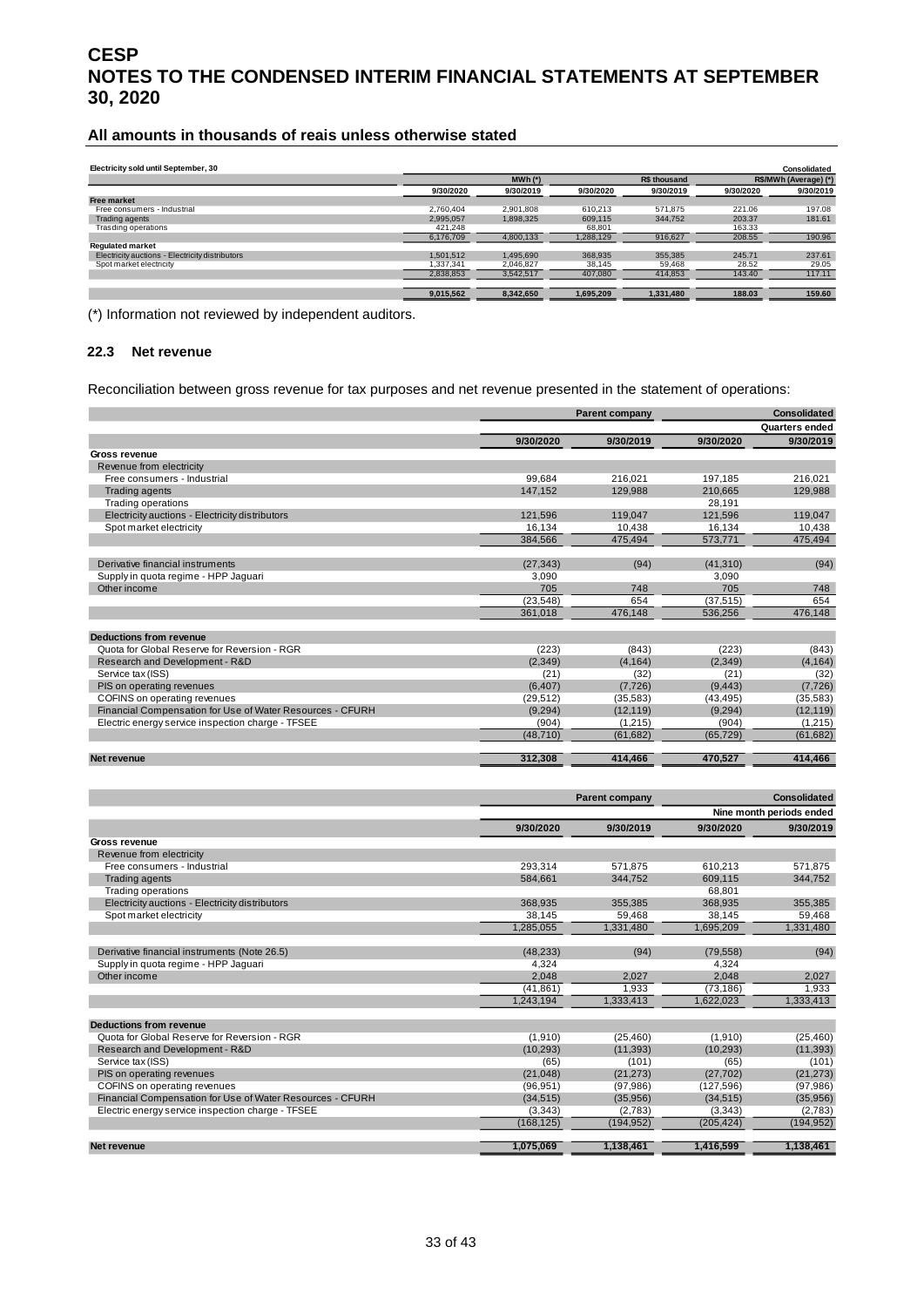#### **All amounts in thousands of reais unless otherwise stated**

| Electricity sold until September, 30            |           |             |           |                     |           | <b>Consolidated</b>   |
|-------------------------------------------------|-----------|-------------|-----------|---------------------|-----------|-----------------------|
|                                                 |           | $MWh$ $(*)$ |           | <b>R\$</b> thousand |           | R\$/MWh (Average) (*) |
|                                                 | 9/30/2020 | 9/30/2019   | 9/30/2020 | 9/30/2019           | 9/30/2020 | 9/30/2019             |
| <b>Free market</b>                              |           |             |           |                     |           |                       |
| Free consumers - Industrial                     | 2.760.404 | 2.901.808   | 610.213   | 571.875             | 221.06    | 197.08                |
| <b>Trading agents</b>                           | 2.995.057 | 1.898.325   | 609,115   | 344,752             | 203.37    | 181.61                |
| Trasding operations                             | 421.248   |             | 68.801    |                     | 163.33    |                       |
|                                                 | 6,176,709 | 4,800,133   | 1,288,129 | 916,627             | 208.55    | 190.96                |
| <b>Regulated market</b>                         |           |             |           |                     |           |                       |
| Electricity auctions - Electricity distributors | 1.501.512 | 1.495.690   | 368,935   | 355.385             | 245.71    | 237.61                |
| Spot market electricity                         | 1,337,341 | 2.046.827   | 38.145    | 59,468              | 28.52     | 29.05                 |
|                                                 | 2,838,853 | 3,542,517   | 407.080   | 414,853             | 143.40    | 117.11                |
|                                                 |           |             |           |                     |           |                       |
|                                                 | 9,015,562 | 8,342,650   | 1,695,209 | 1,331,480           | 188.03    | 159.60                |

(\*) Information not reviewed by independent auditors.

#### **22.3 Net revenue**

Reconciliation between gross revenue for tax purposes and net revenue presented in the statement of operations:

|                                                           |           | <b>Parent company</b> |           | Consolidated          |
|-----------------------------------------------------------|-----------|-----------------------|-----------|-----------------------|
|                                                           |           |                       |           | <b>Quarters ended</b> |
|                                                           | 9/30/2020 | 9/30/2019             | 9/30/2020 | 9/30/2019             |
| Gross revenue                                             |           |                       |           |                       |
| Revenue from electricity                                  |           |                       |           |                       |
| Free consumers - Industrial                               | 99.684    | 216.021               | 197.185   | 216.021               |
| <b>Trading agents</b>                                     | 147.152   | 129.988               | 210,665   | 129.988               |
| <b>Trading operations</b>                                 |           |                       | 28.191    |                       |
| Electricity auctions - Electricity distributors           | 121,596   | 119.047               | 121.596   | 119,047               |
| Spot market electricity                                   | 16.134    | 10.438                | 16,134    | 10,438                |
|                                                           | 384.566   | 475.494               | 573,771   | 475,494               |
|                                                           |           |                       |           |                       |
| Derivative financial instruments                          | (27, 343) | (94)                  | (41, 310) | (94)                  |
| Supply in quota regime - HPP Jaquari                      | 3,090     |                       | 3,090     |                       |
| Other income                                              | 705       | 748                   | 705       | 748                   |
|                                                           | (23, 548) | 654                   | (37, 515) | 654                   |
|                                                           | 361,018   | 476.148               | 536,256   | 476.148               |
| <b>Deductions from revenue</b>                            |           |                       |           |                       |
| Quota for Global Reserve for Reversion - RGR              | (223)     | (843)                 | (223)     | (843)                 |
| Research and Development - R&D                            | (2,349)   | (4, 164)              | (2,349)   | (4, 164)              |
| Service tax (ISS)                                         | (21)      | (32)                  | (21)      | (32)                  |
| PIS on operating revenues                                 | (6, 407)  | (7, 726)              | (9, 443)  | (7, 726)              |
| COFINS on operating revenues                              | (29, 512) | (35,583)              | (43, 495) | (35, 583)             |
| Financial Compensation for Use of Water Resources - CFURH | (9, 294)  | (12, 119)             | (9, 294)  | (12, 119)             |
| Electric energy service inspection charge - TFSEE         | (904)     | (1, 215)              | (904)     | (1, 215)              |
|                                                           | (48, 710) | (61, 682)             | (65, 729) | (61, 682)             |
| Net revenue                                               | 312,308   | 414,466               | 470,527   | 414,466               |

|                                                           |            | <b>Parent company</b> | <b>Consolidated</b> |                          |  |
|-----------------------------------------------------------|------------|-----------------------|---------------------|--------------------------|--|
|                                                           |            |                       |                     | Nine month periods ended |  |
|                                                           | 9/30/2020  | 9/30/2019             | 9/30/2020           | 9/30/2019                |  |
| Gross revenue                                             |            |                       |                     |                          |  |
| Revenue from electricity                                  |            |                       |                     |                          |  |
| Free consumers - Industrial                               | 293.314    | 571.875               | 610.213             | 571,875                  |  |
| Trading agents                                            | 584.661    | 344.752               | 609,115             | 344.752                  |  |
| <b>Trading operations</b>                                 |            |                       | 68.801              |                          |  |
| Electricity auctions - Electricity distributors           | 368,935    | 355,385               | 368,935             | 355,385                  |  |
| Spot market electricity                                   | 38.145     | 59.468                | 38,145              | 59,468                   |  |
|                                                           | 1,285,055  | 1,331,480             | 1,695,209           | 1,331,480                |  |
| Derivative financial instruments (Note 26.5)              | (48, 233)  | (94)                  | (79, 558)           | (94)                     |  |
| Supply in quota regime - HPP Jaguari                      | 4.324      |                       | 4.324               |                          |  |
| Other income                                              | 2,048      | 2,027                 | 2,048               | 2,027                    |  |
|                                                           | (41, 861)  | 1.933                 | (73.186)            | 1.933                    |  |
|                                                           | 1,243,194  | 1,333,413             | 1,622,023           | 1,333,413                |  |
| Deductions from revenue                                   |            |                       |                     |                          |  |
| Quota for Global Reserve for Reversion - RGR              | (1,910)    | (25, 460)             | (1,910)             | (25, 460)                |  |
| Research and Development - R&D                            | (10, 293)  | (11, 393)             | (10, 293)           | (11, 393)                |  |
| Service tax (ISS)                                         | (65)       | (101)                 | (65)                | (101)                    |  |
| PIS on operating revenues                                 | (21,048)   | (21, 273)             | (27, 702)           | (21, 273)                |  |
| COFINS on operating revenues                              | (96, 951)  | (97, 986)             | (127,596)           | (97, 986)                |  |
| Financial Compensation for Use of Water Resources - CFURH | (34, 515)  | (35,956)              | (34, 515)           | (35,956)                 |  |
| Electric energy service inspection charge - TFSEE         | (3,343)    | (2,783)               | (3,343)             | (2,783)                  |  |
|                                                           | (168, 125) | (194, 952)            | (205, 424)          | (194, 952)               |  |
| Net revenue                                               | 1,075,069  | 1.138.461             | 1.416.599           | 1.138.461                |  |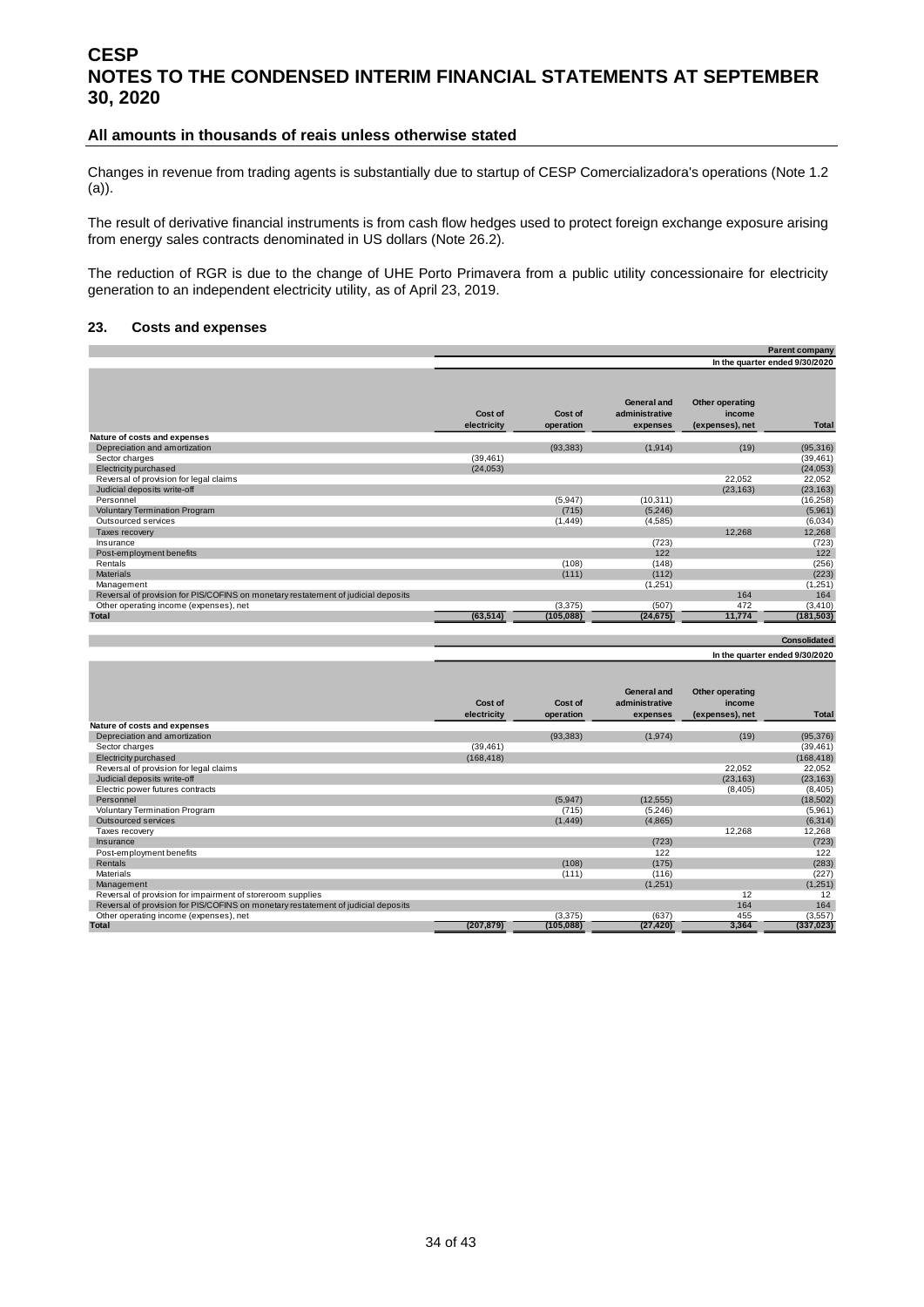#### **All amounts in thousands of reais unless otherwise stated**

Changes in revenue from trading agents is substantially due to startup of CESP Comercializadora's operations (Note 1.2 (a)).

The result of derivative financial instruments is from cash flow hedges used to protect foreign exchange exposure arising from energy sales contracts denominated in US dollars (Note 26.2).

The reduction of RGR is due to the change of UHE Porto Primavera from a public utility concessionaire for electricity generation to an independent electricity utility, as of April 23, 2019.

#### <span id="page-33-0"></span>**23. Costs and expenses**

|                                                                                   |                        |                      |                                           |                                              | Parent company                 |
|-----------------------------------------------------------------------------------|------------------------|----------------------|-------------------------------------------|----------------------------------------------|--------------------------------|
|                                                                                   |                        |                      |                                           |                                              | In the quarter ended 9/30/2020 |
|                                                                                   | Cost of<br>electricity | Cost of<br>operation | General and<br>administrative<br>expenses | Other operating<br>income<br>(expenses), net | <b>Total</b>                   |
| Nature of costs and expenses                                                      |                        |                      |                                           |                                              |                                |
| Depreciation and amortization                                                     |                        | (93, 383)            | (1, 914)                                  | (19)                                         | (95,316)                       |
| Sector charges                                                                    | (39, 461)              |                      |                                           |                                              | (39, 461)                      |
| Electricity purchased                                                             | (24, 053)              |                      |                                           |                                              | (24, 053)                      |
| Reversal of provision for legal claims                                            |                        |                      |                                           | 22,052                                       | 22,052                         |
| Judicial deposits write-off                                                       |                        |                      |                                           | (23, 163)                                    | (23, 163)                      |
| Personnel                                                                         |                        | (5,947)              | (10, 311)                                 |                                              | (16, 258)                      |
| <b>Voluntary Termination Program</b>                                              |                        | (715)                | (5,246)                                   |                                              | (5,961)                        |
| Outsourced services                                                               |                        | (1, 449)             | (4,585)                                   |                                              | (6,034)                        |
| Taxes recovery                                                                    |                        |                      |                                           | 12,268                                       | 12,268                         |
| Insurance                                                                         |                        |                      | (723)                                     |                                              | (723)                          |
| Post-employment benefits                                                          |                        |                      | 122                                       |                                              | 122                            |
| Rentals                                                                           |                        | (108)                | (148)                                     |                                              | (256)                          |
| <b>Materials</b>                                                                  |                        | (111)                | (112)                                     |                                              | (223)                          |
| Management                                                                        |                        |                      | (1,251)                                   |                                              | (1,251)                        |
| Reversal of provision for PIS/COFINS on monetary restatement of judicial deposits |                        |                      |                                           | 164                                          | 164                            |
| Other operating income (expenses), net                                            |                        | (3, 375)             | (507)                                     | 472                                          | (3, 410)                       |
| <b>Total</b>                                                                      | (63, 514)              | (105, 088)           | (24, 675)                                 | 11,774                                       | (181, 503)                     |
|                                                                                   |                        |                      |                                           |                                              |                                |

**In the quarter ended 9/30/2020**

**Consolidated**

|                                                                                   | Cost of<br>electricity | Cost of<br>operation | General and<br>administrative<br>expenses | Other operating<br>income<br>(expenses), net | <b>Total</b> |
|-----------------------------------------------------------------------------------|------------------------|----------------------|-------------------------------------------|----------------------------------------------|--------------|
| Nature of costs and expenses                                                      |                        |                      |                                           |                                              |              |
| Depreciation and amortization                                                     |                        | (93, 383)            | (1, 974)                                  | (19)                                         | (95, 376)    |
| Sector charges                                                                    | (39, 461)              |                      |                                           |                                              | (39, 461)    |
| Electricity purchased                                                             | (168, 418)             |                      |                                           |                                              | (168, 418)   |
| Reversal of provision for legal claims                                            |                        |                      |                                           | 22,052                                       | 22,052       |
| Judicial deposits write-off                                                       |                        |                      |                                           | (23, 163)                                    | (23, 163)    |
| Electric power futures contracts                                                  |                        |                      |                                           | (8, 405)                                     | (8,405)      |
| Personnel                                                                         |                        | (5,947)              | (12, 555)                                 |                                              | (18, 502)    |
| <b>Voluntary Termination Program</b>                                              |                        | (715)                | (5,246)                                   |                                              | (5,961)      |
| Outsourced services                                                               |                        | (1, 449)             | (4,865)                                   |                                              | (6, 314)     |
| Taxes recovery                                                                    |                        |                      |                                           | 12.268                                       | 12,268       |
| Insurance                                                                         |                        |                      | (723)                                     |                                              | (723)        |
| Post-employment benefits                                                          |                        |                      | 122                                       |                                              | 122          |
| <b>Rentals</b>                                                                    |                        | (108)                | (175)                                     |                                              | (283)        |
| Materials                                                                         |                        | (111)                | (116)                                     |                                              | (227)        |
| Management                                                                        |                        |                      | (1,251)                                   |                                              | (1,251)      |
| Reversal of provision for impairment of storeroom supplies                        |                        |                      |                                           | 12                                           | 12           |
| Reversal of provision for PIS/COFINS on monetary restatement of judicial deposits |                        |                      |                                           | 164                                          | 164          |
| Other operating income (expenses), net                                            |                        | (3,375)              | (637)                                     | 455                                          | (3,557)      |
| <b>Total</b>                                                                      | (207, 879)             | (105, 088)           | (27, 420)                                 | 3,364                                        | (337, 023)   |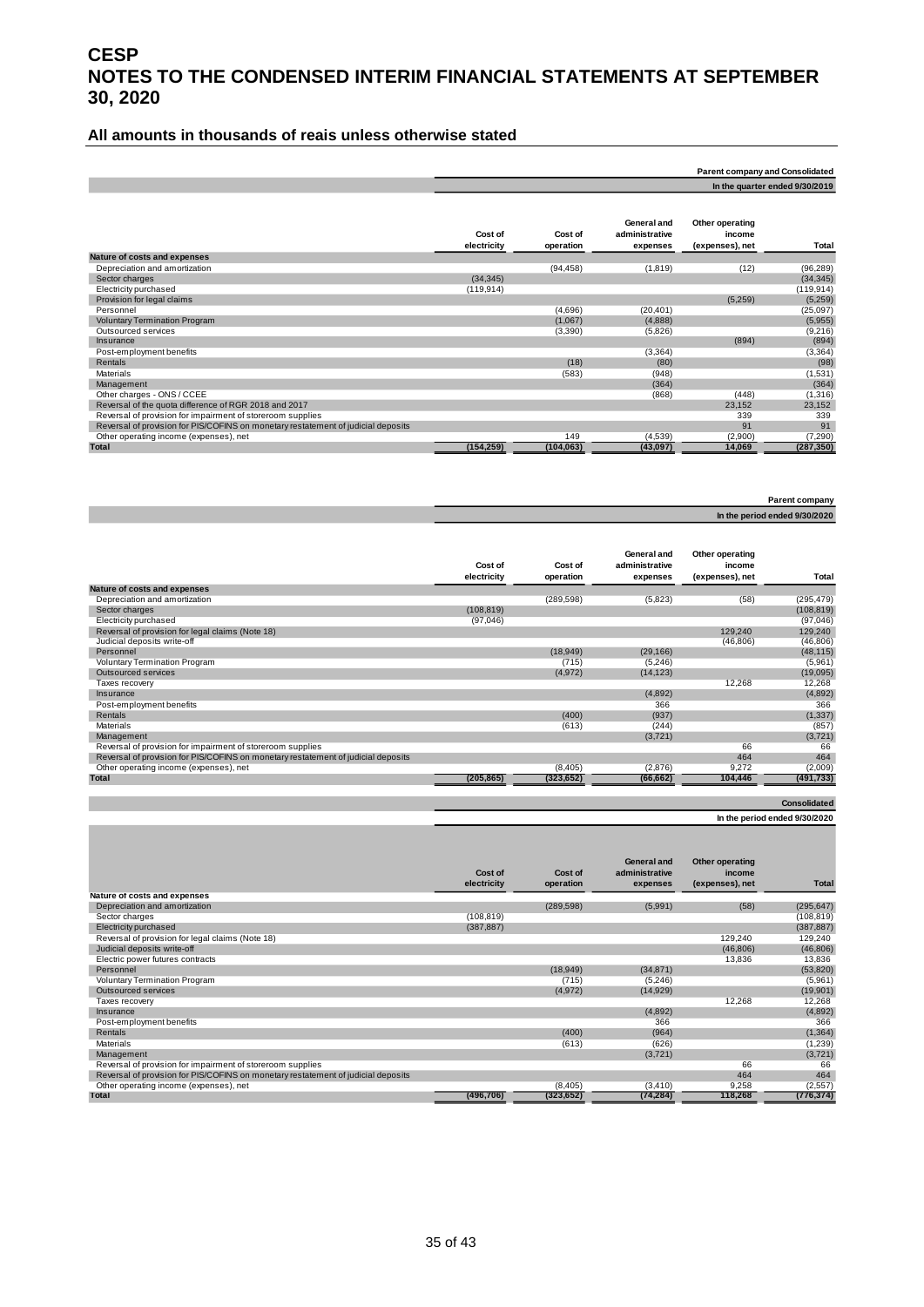#### **All amounts in thousands of reais unless otherwise stated**

|                                                                                   |                        |                      |                                           | <b>Parent company and Consolidated</b>       |                                |
|-----------------------------------------------------------------------------------|------------------------|----------------------|-------------------------------------------|----------------------------------------------|--------------------------------|
|                                                                                   |                        |                      |                                           |                                              | In the quarter ended 9/30/2019 |
|                                                                                   | Cost of<br>electricity | Cost of<br>operation | General and<br>administrative<br>expenses | Other operating<br>income<br>(expenses), net | Total                          |
| Nature of costs and expenses                                                      |                        |                      |                                           |                                              |                                |
| Depreciation and amortization                                                     |                        | (94, 458)            | (1, 819)                                  | (12)                                         | (96, 289)                      |
| Sector charges                                                                    | (34, 345)              |                      |                                           |                                              | (34, 345)                      |
| Electricity purchased                                                             | (119, 914)             |                      |                                           |                                              | (119, 914)                     |
| Provision for legal claims                                                        |                        |                      |                                           | (5,259)                                      | (5,259)                        |
| Personnel                                                                         |                        | (4,696)              | (20, 401)                                 |                                              | (25,097)                       |
| <b>Voluntary Termination Program</b>                                              |                        | (1,067)              | (4,888)                                   |                                              | (5,955)                        |
| Outsourced services                                                               |                        | (3,390)              | (5,826)                                   |                                              | (9,216)                        |
| Insurance                                                                         |                        |                      |                                           | (894)                                        | (894)                          |
| Post-employment benefits                                                          |                        |                      | (3, 364)                                  |                                              | (3, 364)                       |
| <b>Rentals</b>                                                                    |                        | (18)                 | (80)                                      |                                              | (98)                           |
| Materials                                                                         |                        | (583)                | (948)                                     |                                              | (1,531)                        |
| Management                                                                        |                        |                      | (364)                                     |                                              | (364)                          |
| Other charges - ONS / CCEE                                                        |                        |                      | (868)                                     | (448)                                        | (1,316)                        |
| Reversal of the quota difference of RGR 2018 and 2017                             |                        |                      |                                           | 23,152                                       | 23,152                         |
| Reversal of provision for impairment of storeroom supplies                        |                        |                      |                                           | 339                                          | 339                            |
| Reversal of provision for PIS/COFINS on monetary restatement of judicial deposits |                        |                      |                                           | 91                                           | 91                             |
| Other operating income (expenses), net                                            |                        | 149                  | (4,539)                                   | (2,900)                                      | (7, 290)                       |
| <b>Total</b>                                                                      | (154, 259)             | (104, 063)           | (43, 097)                                 | 14,069                                       | (287, 350)                     |

| Parent company                |
|-------------------------------|
| In the period ended 9/30/2020 |

|                                                                                   | Cost of<br>electricity | Cost of<br>operation | General and<br>administrative<br>expenses | Other operating<br>income<br>(expenses), net | Total      |
|-----------------------------------------------------------------------------------|------------------------|----------------------|-------------------------------------------|----------------------------------------------|------------|
| Nature of costs and expenses                                                      |                        |                      |                                           |                                              |            |
| Depreciation and amortization                                                     |                        | (289, 598)           | (5,823)                                   | (58)                                         | (295, 479) |
| Sector charges                                                                    | (108, 819)             |                      |                                           |                                              | (108, 819) |
| Electricity purchased                                                             | (97,046)               |                      |                                           |                                              | (97,046)   |
| Reversal of provision for legal claims (Note 18)                                  |                        |                      |                                           | 129.240                                      | 129,240    |
| Judicial deposits write-off                                                       |                        |                      |                                           | (46, 806)                                    | (46, 806)  |
| Personnel                                                                         |                        | (18,949)             | (29, 166)                                 |                                              | (48, 115)  |
| <b>Voluntary Termination Program</b>                                              |                        | (715)                | (5,246)                                   |                                              | (5,961)    |
| Outsourced services                                                               |                        | (4,972)              | (14, 123)                                 |                                              | (19,095)   |
| Taxes recovery                                                                    |                        |                      |                                           | 12,268                                       | 12,268     |
| Insurance                                                                         |                        |                      | (4,892)                                   |                                              | (4,892)    |
| Post-employment benefits                                                          |                        |                      | 366                                       |                                              | 366        |
| Rentals                                                                           |                        | (400)                | (937)                                     |                                              | (1, 337)   |
| Materials                                                                         |                        | (613)                | (244)                                     |                                              | (857)      |
| Management                                                                        |                        |                      | (3,721)                                   |                                              | (3,721)    |
| Reversal of provision for impairment of storeroom supplies                        |                        |                      |                                           | 66                                           | 66         |
| Reversal of provision for PIS/COFINS on monetary restatement of judicial deposits |                        |                      |                                           | 464                                          | 464        |
| Other operating income (expenses), net                                            |                        | (8, 405)             | (2,876)                                   | 9.272                                        | (2,009)    |
| <b>Total</b>                                                                      | (205, 865)             | (323, 652)           | (66, 662)                                 | 104,446                                      | (491, 733) |

### **Consolidated**

#### **In the period ended 9/30/2020**

|                                                                                   | Cost of<br>electricity | Cost of<br>operation | General and<br>administrative<br>expenses | Other operating<br>income<br>(expenses), net | <b>Total</b> |
|-----------------------------------------------------------------------------------|------------------------|----------------------|-------------------------------------------|----------------------------------------------|--------------|
| Nature of costs and expenses                                                      |                        |                      |                                           |                                              |              |
| Depreciation and amortization                                                     |                        | (289, 598)           | (5,991)                                   | (58)                                         | (295, 647)   |
| Sector charges                                                                    | (108, 819)             |                      |                                           |                                              | (108, 819)   |
| Electricity purchased                                                             | (387, 887)             |                      |                                           |                                              | (387, 887)   |
| Reversal of provision for legal claims (Note 18)                                  |                        |                      |                                           | 129,240                                      | 129,240      |
| Judicial deposits write-off                                                       |                        |                      |                                           | (46, 806)                                    | (46, 806)    |
| Electric power futures contracts                                                  |                        |                      |                                           | 13,836                                       | 13,836       |
| Personnel                                                                         |                        | (18,949)             | (34, 871)                                 |                                              | (53, 820)    |
| Voluntary Termination Program                                                     |                        | (715)                | (5,246)                                   |                                              | (5,961)      |
| Outsourced services                                                               |                        | (4,972)              | (14, 929)                                 |                                              | (19,901)     |
| Taxes recovery                                                                    |                        |                      |                                           | 12,268                                       | 12,268       |
| Insurance                                                                         |                        |                      | (4,892)                                   |                                              | (4,892)      |
| Post-employment benefits                                                          |                        |                      | 366                                       |                                              | 366          |
| <b>Rentals</b>                                                                    |                        | (400)                | (964)                                     |                                              | (1, 364)     |
| Materials                                                                         |                        | (613)                | (626)                                     |                                              | (1,239)      |
| Management                                                                        |                        |                      | (3,721)                                   |                                              | (3,721)      |
| Reversal of provision for impairment of storeroom supplies                        |                        |                      |                                           | 66                                           | 66           |
| Reversal of provision for PIS/COFINS on monetary restatement of judicial deposits |                        |                      |                                           | 464                                          | 464          |
| Other operating income (expenses), net                                            |                        | (8,405)              | (3, 410)                                  | 9,258                                        | (2, 557)     |
| <b>Total</b>                                                                      | (496, 706)             | (323, 652)           | (74, 284)                                 | 118,268                                      | (776, 374)   |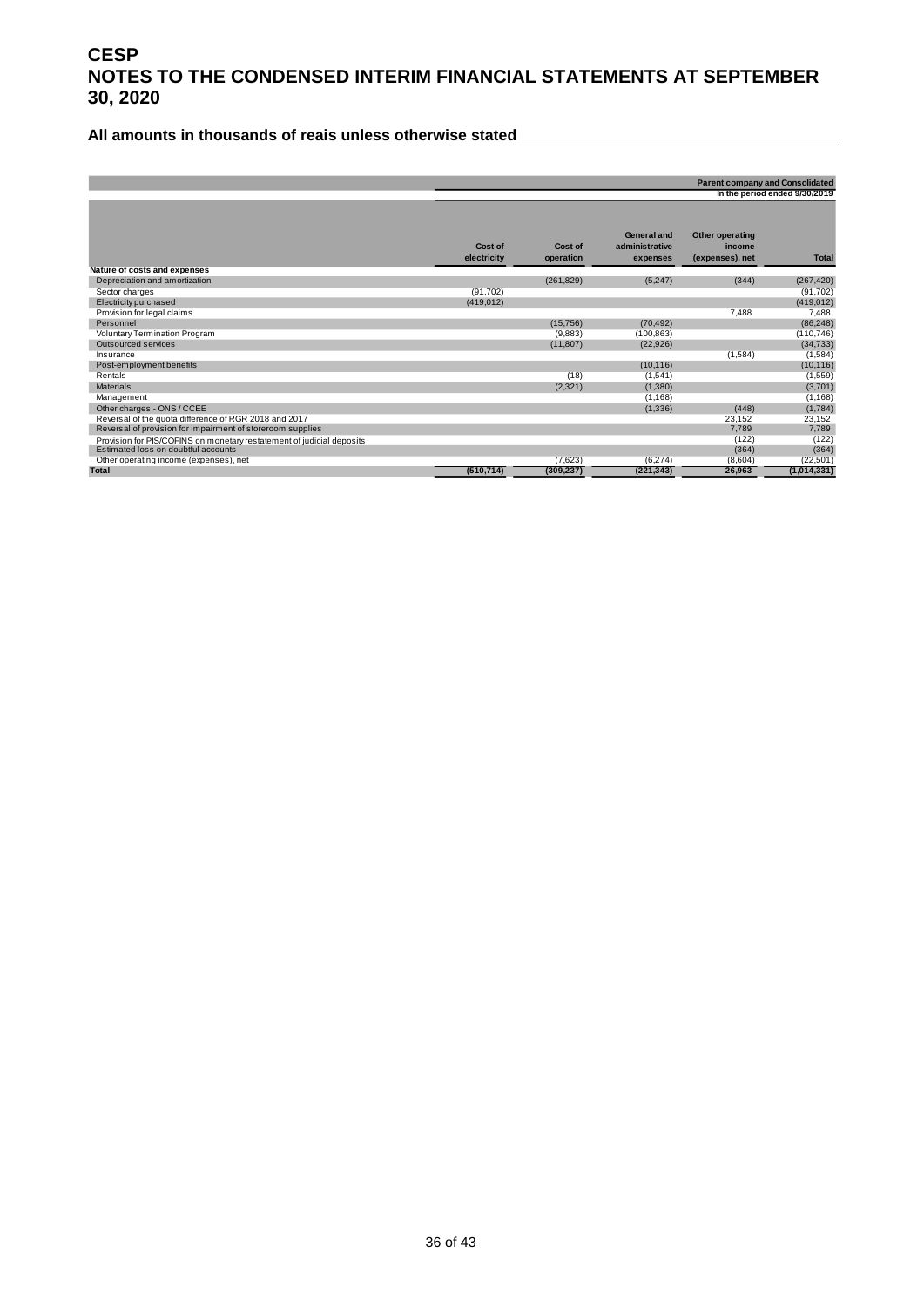#### **All amounts in thousands of reais unless otherwise stated**

|                                                                       |                        |                      |                                                  | <b>Parent company and Consolidated</b>       | In the period ended 9/30/2019 |
|-----------------------------------------------------------------------|------------------------|----------------------|--------------------------------------------------|----------------------------------------------|-------------------------------|
|                                                                       | Cost of<br>electricity | Cost of<br>operation | <b>General and</b><br>administrative<br>expenses | Other operating<br>income<br>(expenses), net | <b>Total</b>                  |
| Nature of costs and expenses                                          |                        |                      |                                                  |                                              |                               |
| Depreciation and amortization                                         |                        | (261, 829)           | (5,247)                                          | (344)                                        | (267, 420)                    |
| Sector charges                                                        | (91, 702)              |                      |                                                  |                                              | (91, 702)                     |
| Electricity purchased                                                 | (419, 012)             |                      |                                                  |                                              | (419, 012)                    |
| Provision for legal claims                                            |                        |                      |                                                  | 7,488                                        | 7,488                         |
| Personnel                                                             |                        | (15,756)             | (70, 492)                                        |                                              | (86, 248)                     |
| Voluntary Termination Program                                         |                        | (9,883)              | (100, 863)                                       |                                              | (110, 746)                    |
| Outsourced services                                                   |                        | (11, 807)            | (22, 926)                                        |                                              | (34, 733)                     |
| Insurance                                                             |                        |                      |                                                  | (1,584)                                      | (1,584)                       |
| Post-employment benefits                                              |                        |                      | (10, 116)                                        |                                              | (10, 116)                     |
| Rentals                                                               |                        | (18)                 | (1,541)                                          |                                              | (1,559)                       |
| <b>Materials</b>                                                      |                        | (2, 321)             | (1,380)                                          |                                              | (3,701)                       |
| Management                                                            |                        |                      | (1, 168)                                         |                                              | (1, 168)                      |
| Other charges - ONS / CCEE                                            |                        |                      | (1,336)                                          | (448)                                        | (1,784)                       |
| Reversal of the quota difference of RGR 2018 and 2017                 |                        |                      |                                                  | 23,152                                       | 23,152                        |
| Reversal of provision for impairment of storeroom supplies            |                        |                      |                                                  | 7,789                                        | 7,789                         |
| Provision for PIS/COFINS on monetary restatement of judicial deposits |                        |                      |                                                  | (122)                                        | (122)                         |
| Estimated loss on doubtful accounts                                   |                        |                      |                                                  | (364)                                        | (364)                         |
| Other operating income (expenses), net                                |                        | (7,623)              | (6,274)                                          | (8,604)                                      | (22, 501)                     |
| <b>Total</b>                                                          | (510, 714)             | (309, 237)           | (221, 343)                                       | 26,963                                       | (1,014,331)                   |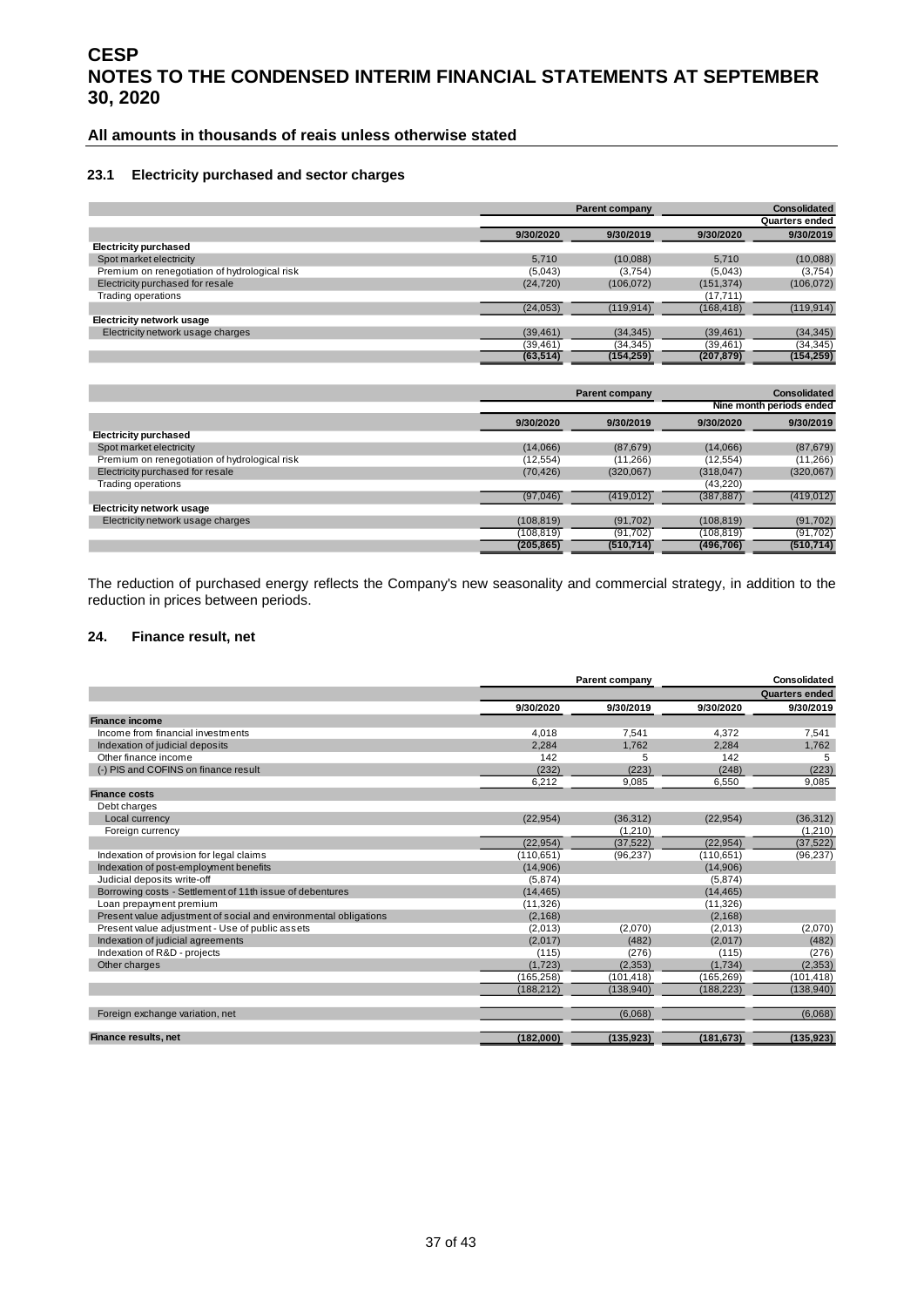#### **All amounts in thousands of reais unless otherwise stated**

#### **23.1 Electricity purchased and sector charges**

|                                               |           | <b>Parent company</b> | Consolidated |                |  |
|-----------------------------------------------|-----------|-----------------------|--------------|----------------|--|
|                                               |           |                       |              | Quarters ended |  |
|                                               | 9/30/2020 | 9/30/2019             | 9/30/2020    | 9/30/2019      |  |
| <b>Electricity purchased</b>                  |           |                       |              |                |  |
| Spot market electricity                       | 5.710     | (10,088)              | 5.710        | (10,088)       |  |
| Premium on renegotiation of hydrological risk | (5,043)   | (3,754)               | (5,043)      | (3,754)        |  |
| Electricity purchased for resale              | (24, 720) | (106, 072)            | (151, 374)   | (106, 072)     |  |
| Trading operations                            |           |                       | (17, 711)    |                |  |
|                                               | (24, 053) | (119, 914)            | (168, 418)   | (119, 914)     |  |
| Electricity network usage                     |           |                       |              |                |  |
| Electricity network usage charges             | (39, 461) | (34, 345)             | (39, 461)    | (34, 345)      |  |
|                                               | (39, 461) | (34,345)              | (39, 461)    | (34, 345)      |  |
|                                               | (63, 514) | (154, 259)            | (207, 879)   | (154, 259)     |  |

|                                               |            | <b>Parent company</b> | <b>Consolidated</b> |                          |  |  |
|-----------------------------------------------|------------|-----------------------|---------------------|--------------------------|--|--|
|                                               |            |                       |                     | Nine month periods ended |  |  |
|                                               | 9/30/2020  | 9/30/2019             | 9/30/2020           | 9/30/2019                |  |  |
| <b>Electricity purchased</b>                  |            |                       |                     |                          |  |  |
| Spot market electricity                       | (14,066)   | (87, 679)             | (14,066)            | (87, 679)                |  |  |
| Premium on renegotiation of hydrological risk | (12, 554)  | (11, 266)             | (12, 554)           | (11,266)                 |  |  |
| Electricity purchased for resale              | (70, 426)  | (320, 067)            | (318, 047)          | (320,067)                |  |  |
| Trading operations                            |            |                       | (43,220)            |                          |  |  |
|                                               | (97,046)   | (419, 012)            | (387, 887)          | (419, 012)               |  |  |
| <b>Electricity network usage</b>              |            |                       |                     |                          |  |  |
| Electricity network usage charges             | (108, 819) | (91, 702)             | (108, 819)          | (91, 702)                |  |  |
|                                               | (108, 819) | (91, 702)             | (108, 819)          | (91, 702)                |  |  |
|                                               | (205, 865) | (510, 714)            | (496, 706)          | (510, 714)               |  |  |

The reduction of purchased energy reflects the Company's new seasonality and commercial strategy, in addition to the reduction in prices between periods.

#### <span id="page-36-0"></span>**24. Finance result, net**

|                                                                  |            | Parent company | Consolidated |                       |  |
|------------------------------------------------------------------|------------|----------------|--------------|-----------------------|--|
|                                                                  |            |                |              | <b>Quarters ended</b> |  |
|                                                                  | 9/30/2020  | 9/30/2019      | 9/30/2020    | 9/30/2019             |  |
| <b>Finance income</b>                                            |            |                |              |                       |  |
| Income from financial investments                                | 4.018      | 7.541          | 4.372        | 7,541                 |  |
| Indexation of judicial deposits                                  | 2.284      | 1,762          | 2.284        | 1.762                 |  |
| Other finance income                                             | 142        | 5              | 142          | 5                     |  |
| (-) PIS and COFINS on finance result                             | (232)      | (223)          | (248)        | (223)                 |  |
|                                                                  | 6.212      | 9,085          | 6.550        | 9,085                 |  |
| <b>Finance costs</b>                                             |            |                |              |                       |  |
| Debt charges                                                     |            |                |              |                       |  |
| Local currency                                                   | (22.954)   | (36, 312)      | (22, 954)    | (36, 312)             |  |
| Foreign currency                                                 |            | (1, 210)       |              | (1,210)               |  |
|                                                                  | (22.954)   | (37.522)       | (22.954)     | (37, 522)             |  |
| Indexation of provision for legal claims                         | (110, 651) | (96, 237)      | (110, 651)   | (96, 237)             |  |
| Indexation of post-employment benefits                           | (14,906)   |                | (14,906)     |                       |  |
| Judicial deposits write-off                                      | (5,874)    |                | (5,874)      |                       |  |
| Borrowing costs - Settlement of 11th issue of debentures         | (14, 465)  |                | (14, 465)    |                       |  |
| Loan prepayment premium                                          | (11, 326)  |                | (11, 326)    |                       |  |
| Present value adjustment of social and environmental obligations | (2, 168)   |                | (2, 168)     |                       |  |
| Present value adjustment - Use of public assets                  | (2,013)    | (2,070)        | (2,013)      | (2,070)               |  |
| Indexation of judicial agreements                                | (2,017)    | (482)          | (2,017)      | (482)                 |  |
| Indexation of R&D - projects                                     | (115)      | (276)          | (115)        | (276)                 |  |
| Other charges                                                    | (1,723)    | (2, 353)       | (1,734)      | (2, 353)              |  |
|                                                                  | (165, 258) | (101, 418)     | (165, 269)   | (101, 418)            |  |
|                                                                  | (188, 212) | (138, 940)     | (188, 223)   | (138,940)             |  |
| Foreign exchange variation, net                                  |            | (6,068)        |              | (6,068)               |  |
| Finance results, net                                             | (182,000)  | (135, 923)     | (181, 673)   | (135, 923)            |  |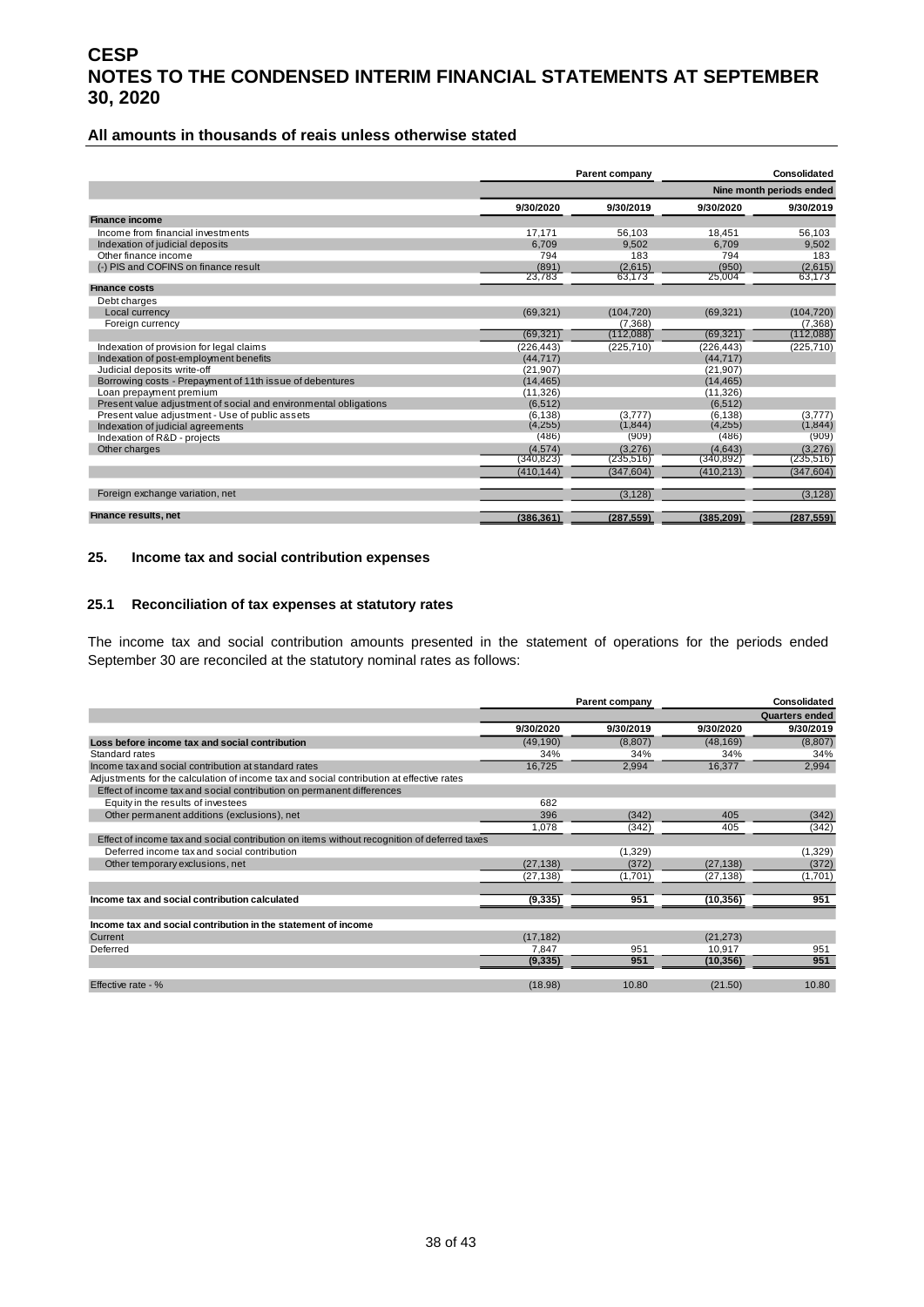#### **All amounts in thousands of reais unless otherwise stated**

|                                                                  |            | Parent company |            | Consolidated             |
|------------------------------------------------------------------|------------|----------------|------------|--------------------------|
|                                                                  |            |                |            | Nine month periods ended |
|                                                                  | 9/30/2020  | 9/30/2019      | 9/30/2020  | 9/30/2019                |
| <b>Finance income</b>                                            |            |                |            |                          |
| Income from financial investments                                | 17.171     | 56.103         | 18.451     | 56,103                   |
| Indexation of judicial deposits                                  | 6.709      | 9.502          | 6.709      | 9.502                    |
| Other finance income                                             | 794        | 183            | 794        | 183                      |
| (-) PIS and COFINS on finance result                             | (891)      | (2,615)        | (950)      | (2,615)                  |
|                                                                  | 23.783     | 63,173         | 25.004     | 63.173                   |
| <b>Finance costs</b>                                             |            |                |            |                          |
| Debt charges                                                     |            |                |            |                          |
| Local currency                                                   | (69, 321)  | (104, 720)     | (69, 321)  | (104, 720)               |
| Foreign currency                                                 |            | (7.368)        |            | (7, 368)                 |
|                                                                  | (69, 321)  | (112,088)      | (69, 321)  | (112,088)                |
| Indexation of provision for legal claims                         | (226, 443) | (225, 710)     | (226, 443) | (225, 710)               |
| Indexation of post-employment benefits                           | (44.717)   |                | (44.717)   |                          |
| Judicial deposits write-off                                      | (21, 907)  |                | (21, 907)  |                          |
| Borrowing costs - Prepayment of 11th issue of debentures         | (14.465)   |                | (14.465)   |                          |
| Loan prepayment premium                                          | (11, 326)  |                | (11, 326)  |                          |
| Present value adjustment of social and environmental obligations | (6.512)    |                | (6.512)    |                          |
| Present value adjustment - Use of public assets                  | (6.138)    | (3.777)        | (6.138)    | (3.777)                  |
| Indexation of judicial agreements                                | (4, 255)   | (1, 844)       | (4,255)    | (1, 844)                 |
| Indexation of R&D - projects                                     | (486)      | (909)          | (486)      | (909)                    |
| Other charges                                                    | (4.574)    | (3.276)        | (4.643)    | (3,276)                  |
|                                                                  | (340, 823) | (235, 516)     | (340, 892) | (235, 516)               |
|                                                                  | (410, 144) | (347, 604)     | (410, 213) | (347, 604)               |
| Foreign exchange variation, net                                  |            | (3.128)        |            | (3.128)                  |
| <b>Finance results, net</b>                                      | (386, 361) | (287, 559)     | (385, 209) | (287, 559)               |

#### <span id="page-37-0"></span>**25. Income tax and social contribution expenses**

#### **25.1 Reconciliation of tax expenses at statutory rates**

The income tax and social contribution amounts presented in the statement of operations for the periods ended September 30 are reconciled at the statutory nominal rates as follows:

|                                                                                             | Parent company |           | <b>Consolidated</b> |                       |
|---------------------------------------------------------------------------------------------|----------------|-----------|---------------------|-----------------------|
|                                                                                             |                |           |                     | <b>Quarters ended</b> |
|                                                                                             | 9/30/2020      | 9/30/2019 | 9/30/2020           | 9/30/2019             |
| Loss before income tax and social contribution                                              | (49, 190)      | (8,807)   | (48, 169)           | (8,807)               |
| Standard rates                                                                              | 34%            | 34%       | 34%                 | 34%                   |
| Income tax and social contribution at standard rates                                        | 16,725         | 2,994     | 16,377              | 2,994                 |
| Adjustments for the calculation of income tax and social contribution at effective rates    |                |           |                     |                       |
| Effect of income tax and social contribution on permanent differences                       |                |           |                     |                       |
| Equity in the results of investees                                                          | 682            |           |                     |                       |
| Other permanent additions (exclusions), net                                                 | 396            | (342)     | 405                 | (342)                 |
|                                                                                             | 1,078          | (342)     | 405                 | (342)                 |
| Effect of income tax and social contribution on items without recognition of deferred taxes |                |           |                     |                       |
| Deferred income tax and social contribution                                                 |                | (1,329)   |                     | (1, 329)              |
| Other temporary exclusions, net                                                             | (27, 138)      | (372)     | (27, 138)           | (372)                 |
|                                                                                             | (27, 138)      | (1,701)   | (27, 138)           | (1,701)               |
|                                                                                             |                |           |                     |                       |
| Income tax and social contribution calculated                                               | (9, 335)       | 951       | (10, 356)           | 951                   |
|                                                                                             |                |           |                     |                       |
| Income tax and social contribution in the statement of income                               |                |           |                     |                       |
| Current                                                                                     | (17, 182)      |           | (21, 273)           |                       |
| Deferred                                                                                    | 7,847          | 951       | 10,917              | 951                   |
|                                                                                             | (9, 335)       | 951       | (10, 356)           | 951                   |
|                                                                                             |                |           |                     |                       |
| Effective rate - %                                                                          | (18.98)        | 10.80     | (21.50)             | 10.80                 |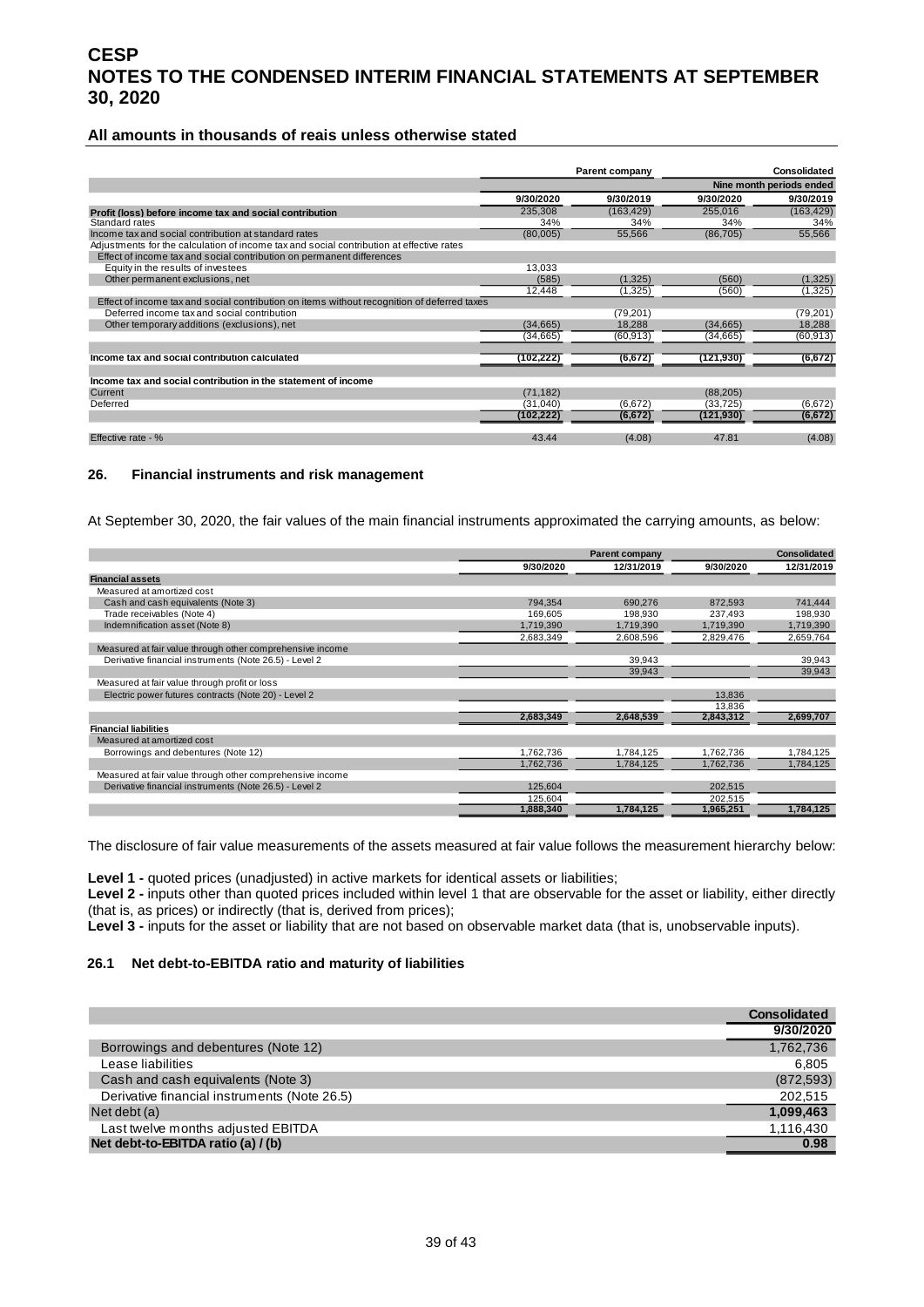#### **All amounts in thousands of reais unless otherwise stated**

|                                                                                             | Parent company |            | <b>Consolidated</b> |                          |
|---------------------------------------------------------------------------------------------|----------------|------------|---------------------|--------------------------|
|                                                                                             |                |            |                     | Nine month periods ended |
|                                                                                             | 9/30/2020      | 9/30/2019  | 9/30/2020           | 9/30/2019                |
| Profit (loss) before income tax and social contribution                                     | 235,308        | (163, 429) | 255,016             | (163, 429)               |
| Standard rates                                                                              | 34%            | 34%        | 34%                 | 34%                      |
| Income tax and social contribution at standard rates                                        | (80,005)       | 55,566     | (86, 705)           | 55,566                   |
| Adjustments for the calculation of income tax and social contribution at effective rates    |                |            |                     |                          |
| Effect of income tax and social contribution on permanent differences                       |                |            |                     |                          |
| Equity in the results of investees                                                          | 13,033         |            |                     |                          |
| Other permanent exclusions, net                                                             | (585)          | (1,325)    | (560)               | (1, 325)                 |
|                                                                                             | 12,448         | (1, 325)   | (560)               | (1, 325)                 |
| Effect of income tax and social contribution on items without recognition of deferred taxes |                |            |                     |                          |
| Deferred income tax and social contribution                                                 |                | (79, 201)  |                     | (79, 201)                |
| Other temporary additions (exclusions), net                                                 | (34, 665)      | 18.288     | (34,665)            | 18,288                   |
|                                                                                             | (34,665)       | (60, 913)  | (34, 665)           | (60, 913)                |
| Income tax and social contribution calculated                                               | (102,222)      | (6, 672)   | (121, 930)          | (6, 672)                 |
|                                                                                             |                |            |                     |                          |
| Income tax and social contribution in the statement of income                               |                |            |                     |                          |
| Current                                                                                     | (71, 182)      |            | (88, 205)           |                          |
| Deferred                                                                                    | (31,040)       | (6, 672)   | (33, 725)           | (6,672)                  |
|                                                                                             | (102,222)      | (6, 672)   | (121, 930)          | (6, 672)                 |
| Effective rate - %                                                                          | 43.44          | (4.08)     | 47.81               | (4.08)                   |

#### <span id="page-38-0"></span>**26. Financial instruments and risk management**

At September 30, 2020, the fair values of the main financial instruments approximated the carrying amounts, as below:

|                                                           |           | <b>Parent company</b> | <b>Consolidated</b> |            |
|-----------------------------------------------------------|-----------|-----------------------|---------------------|------------|
|                                                           | 9/30/2020 | 12/31/2019            | 9/30/2020           | 12/31/2019 |
| <b>Financial assets</b>                                   |           |                       |                     |            |
| Measured at amortized cost                                |           |                       |                     |            |
| Cash and cash equivalents (Note 3)                        | 794.354   | 690,276               | 872.593             | 741,444    |
| Trade receivables (Note 4)                                | 169.605   | 198.930               | 237.493             | 198,930    |
| Indemnification asset (Note 8)                            | 1,719,390 | 1,719,390             | 1,719,390           | 1,719,390  |
|                                                           | 2,683,349 | 2,608,596             | 2,829,476           | 2,659,764  |
| Measured at fair value through other comprehensive income |           |                       |                     |            |
| Derivative financial instruments (Note 26.5) - Level 2    |           | 39,943                |                     | 39,943     |
|                                                           |           | 39,943                |                     | 39,943     |
| Measured at fair value through profit or loss             |           |                       |                     |            |
| Electric power futures contracts (Note 20) - Level 2      |           |                       | 13,836              |            |
|                                                           |           |                       | 13,836              |            |
|                                                           | 2,683,349 | 2,648,539             | 2,843,312           | 2,699,707  |
| <b>Financial liabilities</b>                              |           |                       |                     |            |
| Measured at amortized cost                                |           |                       |                     |            |
| Borrowings and debentures (Note 12)                       | 1.762.736 | 1,784,125             | 1.762.736           | 1,784,125  |
|                                                           | 1,762,736 | 1,784,125             | 1,762,736           | 1,784,125  |
| Measured at fair value through other comprehensive income |           |                       |                     |            |
| Derivative financial instruments (Note 26.5) - Level 2    | 125,604   |                       | 202,515             |            |
|                                                           | 125.604   |                       | 202,515             |            |
|                                                           | 1.888.340 | 1.784.125             | 1.965.251           | 1.784.125  |

The disclosure of fair value measurements of the assets measured at fair value follows the measurement hierarchy below:

Level 1 - quoted prices (unadjusted) in active markets for identical assets or liabilities;

**Level 2 -** inputs other than quoted prices included within level 1 that are observable for the asset or liability, either directly (that is, as prices) or indirectly (that is, derived from prices);

**Level 3 -** inputs for the asset or liability that are not based on observable market data (that is, unobservable inputs).

#### **26.1 Net debt-to-EBITDA ratio and maturity of liabilities**

|                                              | <b>Consolidated</b> |
|----------------------------------------------|---------------------|
|                                              | 9/30/2020           |
| Borrowings and debentures (Note 12)          | 1,762,736           |
| Lease liabilities                            | 6,805               |
| Cash and cash equivalents (Note 3)           | (872, 593)          |
| Derivative financial instruments (Note 26.5) | 202,515             |
| Net debt (a)                                 | 1,099,463           |
| Last twelve months adjusted EBITDA           | 1,116,430           |
| Net debt-to-EBITDA ratio (a) / (b)           | 0.98                |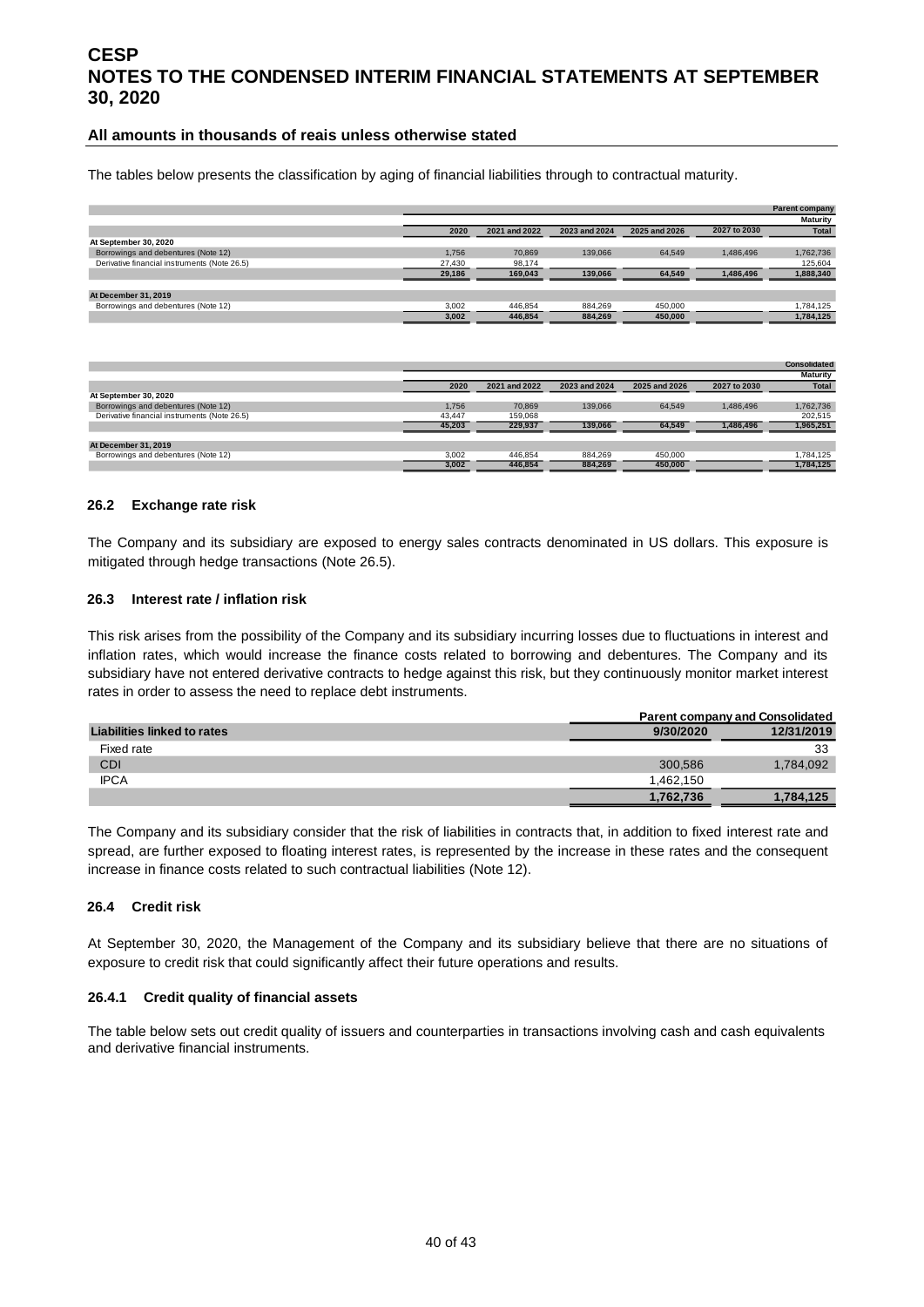#### **All amounts in thousands of reais unless otherwise stated**

The tables below presents the classification by aging of financial liabilities through to contractual maturity.

|                                              |        |               |               |               |              | <b>Parent company</b> |
|----------------------------------------------|--------|---------------|---------------|---------------|--------------|-----------------------|
|                                              |        |               |               |               |              | <b>Maturity</b>       |
|                                              | 2020   | 2021 and 2022 | 2023 and 2024 | 2025 and 2026 | 2027 to 2030 | <b>Total</b>          |
| At September 30, 2020                        |        |               |               |               |              |                       |
| Borrowings and debentures (Note 12)          | 1.756  | 70.869        | 139,066       | 64.549        | 1.486.496    | 1,762,736             |
| Derivative financial instruments (Note 26.5) | 27,430 | 98,174        |               |               |              | 125.604               |
|                                              | 29,186 | 169.043       | 139.066       | 64,549        | 1,486,496    | 1,888,340             |
|                                              |        |               |               |               |              |                       |
| At December 31, 2019                         |        |               |               |               |              |                       |
| Borrowings and debentures (Note 12)          | 3,002  | 446.854       | 884.269       | 450,000       |              | 1,784,125             |
|                                              | 3.002  | 446.854       | 884.269       | 450.000       |              | 1.784.125             |

|                                              |        |               |               |               |              | <b>Consolidated</b> |
|----------------------------------------------|--------|---------------|---------------|---------------|--------------|---------------------|
|                                              |        |               |               |               |              | <b>Maturity</b>     |
|                                              | 2020   | 2021 and 2022 | 2023 and 2024 | 2025 and 2026 | 2027 to 2030 | <b>Total</b>        |
| At September 30, 2020                        |        |               |               |               |              |                     |
| Borrowings and debentures (Note 12)          | 1.756  | 70.869        | 139,066       | 64.549        | 1.486.496    | 1,762,736           |
| Derivative financial instruments (Note 26.5) | 43.447 | 159,068       |               |               |              | 202.515             |
|                                              | 45.203 | 229.937       | 139.066       | 64.549        | 1.486.496    | 1,965,251           |
| At December 31, 2019                         |        |               |               |               |              |                     |
| Borrowings and debentures (Note 12)          | 3.002  | 446.854       | 884.269       | 450,000       |              | 1.784.125           |
|                                              | 3.002  | 446.854       | 884.269       | 450.000       |              | 1.784.125           |

#### **26.2 Exchange rate risk**

The Company and its subsidiary are exposed to energy sales contracts denominated in US dollars. This exposure is mitigated through hedge transactions (Note 26.5).

#### **26.3 Interest rate / inflation risk**

This risk arises from the possibility of the Company and its subsidiary incurring losses due to fluctuations in interest and inflation rates, which would increase the finance costs related to borrowing and debentures. The Company and its subsidiary have not entered derivative contracts to hedge against this risk, but they continuously monitor market interest rates in order to assess the need to replace debt instruments.

|                             |           | <b>Parent company and Consolidated</b> |  |  |  |
|-----------------------------|-----------|----------------------------------------|--|--|--|
| Liabilities linked to rates | 9/30/2020 | 12/31/2019                             |  |  |  |
| Fixed rate                  |           | 33                                     |  |  |  |
| CDI                         | 300.586   | 1,784,092                              |  |  |  |
| <b>IPCA</b>                 | 1.462.150 |                                        |  |  |  |
|                             | 1,762,736 | 1,784,125                              |  |  |  |

The Company and its subsidiary consider that the risk of liabilities in contracts that, in addition to fixed interest rate and spread, are further exposed to floating interest rates, is represented by the increase in these rates and the consequent increase in finance costs related to such contractual liabilities (Note 12).

#### **26.4 Credit risk**

At September 30, 2020, the Management of the Company and its subsidiary believe that there are no situations of exposure to credit risk that could significantly affect their future operations and results.

#### **26.4.1 Credit quality of financial assets**

The table below sets out credit quality of issuers and counterparties in transactions involving cash and cash equivalents and derivative financial instruments.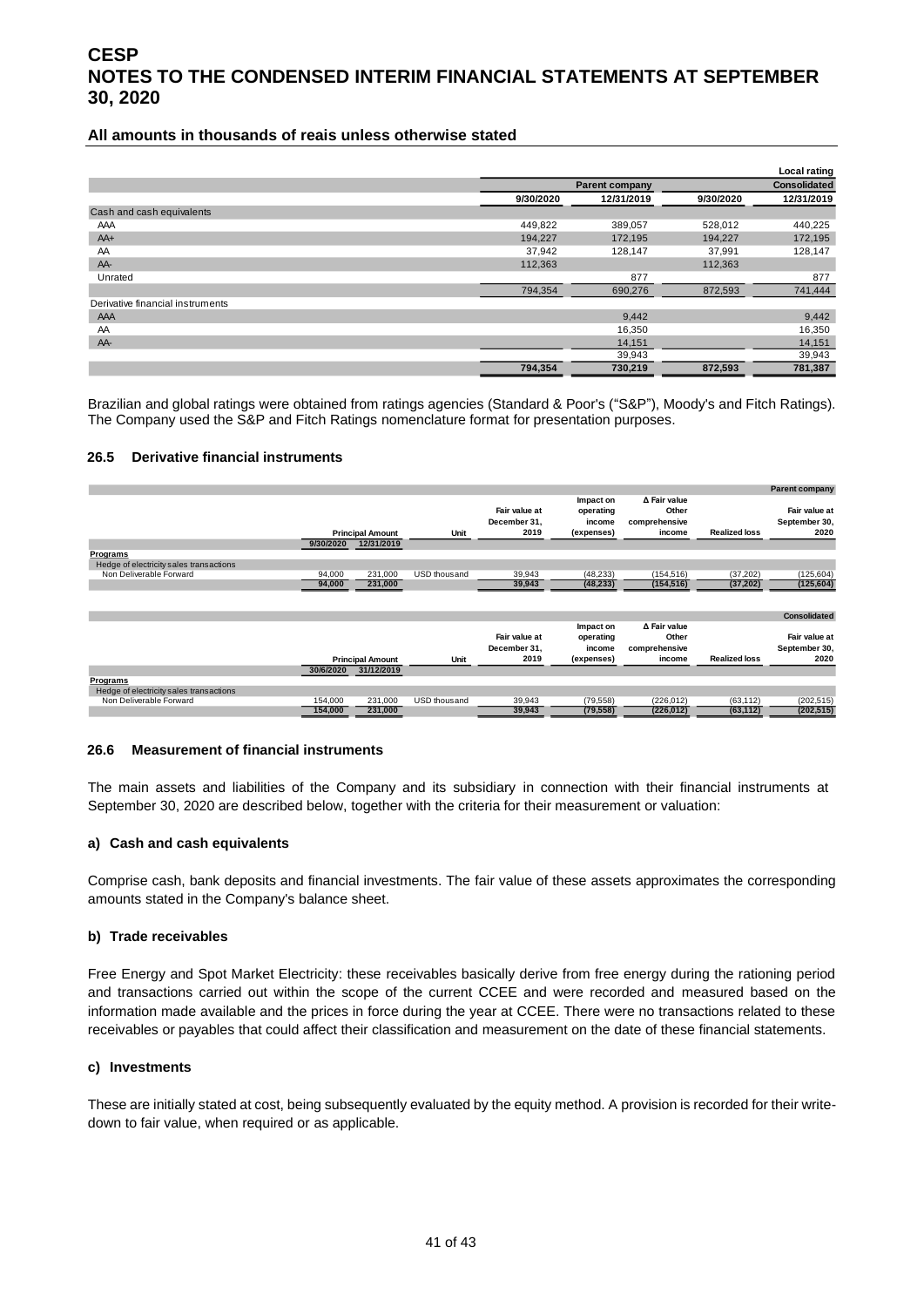#### **All amounts in thousands of reais unless otherwise stated**

|                                  |           |                       |           | <b>Local rating</b> |
|----------------------------------|-----------|-----------------------|-----------|---------------------|
|                                  |           | <b>Parent company</b> |           | <b>Consolidated</b> |
|                                  | 9/30/2020 | 12/31/2019            | 9/30/2020 | 12/31/2019          |
| Cash and cash equivalents        |           |                       |           |                     |
| AAA                              | 449,822   | 389,057               | 528,012   | 440,225             |
| $AA+$                            | 194,227   | 172,195               | 194,227   | 172,195             |
| AA                               | 37,942    | 128,147               | 37,991    | 128,147             |
| AA-                              | 112,363   |                       | 112,363   |                     |
| Unrated                          |           | 877                   |           | 877                 |
|                                  | 794,354   | 690,276               | 872,593   | 741,444             |
| Derivative financial instruments |           |                       |           |                     |
| AAA                              |           | 9,442                 |           | 9,442               |
| AA                               |           | 16,350                |           | 16,350              |
| AA-                              |           | 14,151                |           | 14,151              |
|                                  |           | 39,943                |           | 39,943              |
|                                  | 794,354   | 730,219               | 872,593   | 781,387             |

Brazilian and global ratings were obtained from ratings agencies (Standard & Poor's ("S&P"), Moody's and Fitch Ratings). The Company used the S&P and Fitch Ratings nomenclature format for presentation purposes.

#### **26.5 Derivative financial instruments**

|                                         |                                       |              |               |            |               |                      | <b>Parent company</b>                 |                                                |                                                  |                      |                                        |
|-----------------------------------------|---------------------------------------|--------------|---------------|------------|---------------|----------------------|---------------------------------------|------------------------------------------------|--------------------------------------------------|----------------------|----------------------------------------|
| 9/30/2020                               | <b>Principal Amount</b><br>12/31/2019 |              |               |            | Unit          |                      | Fair value at<br>December 31,<br>2019 | Impact on<br>operating<br>income<br>(expenses) | ∆ Fair value<br>Other<br>comprehensive<br>income | <b>Realized loss</b> | Fair value at<br>September 30,<br>2020 |
| Programs                                |                                       |              |               |            |               |                      |                                       |                                                |                                                  |                      |                                        |
| Hedge of electricity sales transactions |                                       |              |               |            |               |                      |                                       |                                                |                                                  |                      |                                        |
| Non Deliverable Forward<br>94,000       | 231,000                               | USD thousand | 39,943        | (48, 233)  | (154, 516)    | (37, 202)            | (125, 604)                            |                                                |                                                  |                      |                                        |
| 94,000                                  | 231,000                               |              | 39,943        | (48, 233)  | (154, 516)    | (37, 202)            | (125, 604)                            |                                                |                                                  |                      |                                        |
|                                         |                                       |              |               |            |               |                      | <b>Consolidated</b>                   |                                                |                                                  |                      |                                        |
|                                         |                                       |              |               | Impact on  | ∆ Fair value  |                      |                                       |                                                |                                                  |                      |                                        |
|                                         |                                       |              | Fair value at | operating  | Other         |                      | Fair value at                         |                                                |                                                  |                      |                                        |
|                                         |                                       |              | December 31,  | income     | comprehensive |                      | September 30,                         |                                                |                                                  |                      |                                        |
|                                         | <b>Principal Amount</b>               |              | 2019          | (expenses) | income        | <b>Realized loss</b> | 2020                                  |                                                |                                                  |                      |                                        |
| 30/6/2020                               | 31/12/2019                            |              |               |            |               |                      |                                       |                                                |                                                  |                      |                                        |
| Programs                                |                                       |              |               |            |               |                      |                                       |                                                |                                                  |                      |                                        |
| Hedge of electricity sales transactions |                                       |              |               |            |               |                      |                                       |                                                |                                                  |                      |                                        |
| Non Deliverable Forward<br>154,000      | 231.000                               | USD thousand | 39,943        | (79, 558)  | (226, 012)    | (63, 112)            | (202, 515)                            |                                                |                                                  |                      |                                        |
| 154.000                                 | 231,000                               |              | 39,943        | (79, 558)  | (226, 012)    | (63, 112)            | (202, 515)                            |                                                |                                                  |                      |                                        |

#### **26.6 Measurement of financial instruments**

The main assets and liabilities of the Company and its subsidiary in connection with their financial instruments at September 30, 2020 are described below, together with the criteria for their measurement or valuation:

#### **a) Cash and cash equivalents**

Comprise cash, bank deposits and financial investments. The fair value of these assets approximates the corresponding amounts stated in the Company's balance sheet.

#### **b) Trade receivables**

Free Energy and Spot Market Electricity: these receivables basically derive from free energy during the rationing period and transactions carried out within the scope of the current CCEE and were recorded and measured based on the information made available and the prices in force during the year at CCEE. There were no transactions related to these receivables or payables that could affect their classification and measurement on the date of these financial statements.

#### **c) Investments**

These are initially stated at cost, being subsequently evaluated by the equity method. A provision is recorded for their writedown to fair value, when required or as applicable.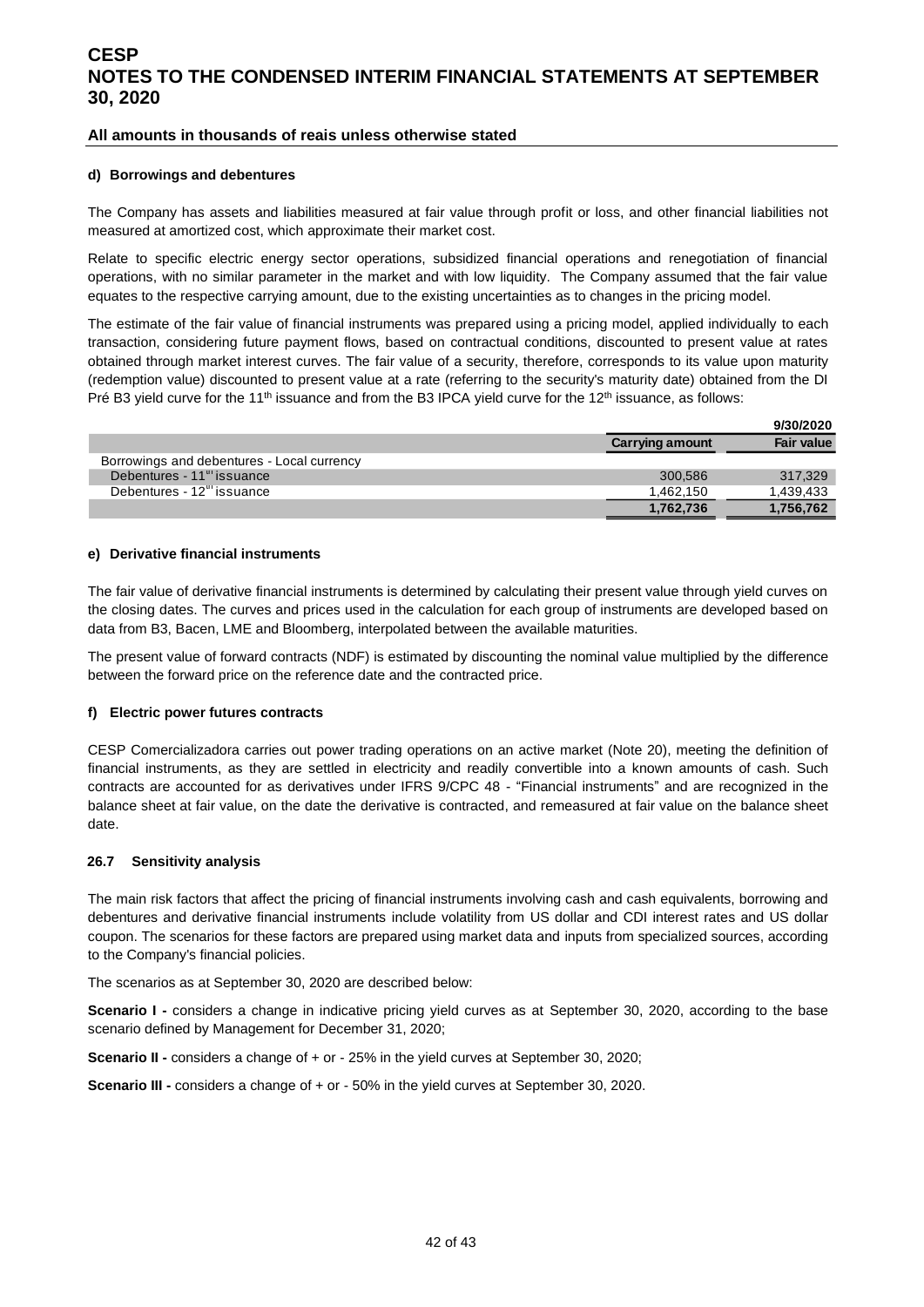#### **All amounts in thousands of reais unless otherwise stated**

#### **d) Borrowings and debentures**

The Company has assets and liabilities measured at fair value through profit or loss, and other financial liabilities not measured at amortized cost, which approximate their market cost.

Relate to specific electric energy sector operations, subsidized financial operations and renegotiation of financial operations, with no similar parameter in the market and with low liquidity. The Company assumed that the fair value equates to the respective carrying amount, due to the existing uncertainties as to changes in the pricing model.

The estimate of the fair value of financial instruments was prepared using a pricing model, applied individually to each transaction, considering future payment flows, based on contractual conditions, discounted to present value at rates obtained through market interest curves. The fair value of a security, therefore, corresponds to its value upon maturity (redemption value) discounted to present value at a rate (referring to the security's maturity date) obtained from the DI Pré B3 yield curve for the 11<sup>th</sup> issuance and from the B3 IPCA yield curve for the 12<sup>th</sup> issuance, as follows:

|                                            |                        | 9/30/2020         |
|--------------------------------------------|------------------------|-------------------|
|                                            | <b>Carrying amount</b> | <b>Fair value</b> |
| Borrowings and debentures - Local currency |                        |                   |
| Debentures - 11 <sup>th</sup> issuance     | 300.586                | 317.329           |
| Debentures - $12^{\mathrm{m}}$ issuance    | 1.462.150              | 1.439.433         |
|                                            | 1,762,736              | 1,756,762         |

#### **e) Derivative financial instruments**

The fair value of derivative financial instruments is determined by calculating their present value through yield curves on the closing dates. The curves and prices used in the calculation for each group of instruments are developed based on data from B3, Bacen, LME and Bloomberg, interpolated between the available maturities.

The present value of forward contracts (NDF) is estimated by discounting the nominal value multiplied by the difference between the forward price on the reference date and the contracted price.

#### **f) Electric power futures contracts**

CESP Comercializadora carries out power trading operations on an active market (Note 20), meeting the definition of financial instruments, as they are settled in electricity and readily convertible into a known amounts of cash. Such contracts are accounted for as derivatives under IFRS 9/CPC 48 - "Financial instruments" and are recognized in the balance sheet at fair value, on the date the derivative is contracted, and remeasured at fair value on the balance sheet date.

#### **26.7 Sensitivity analysis**

The main risk factors that affect the pricing of financial instruments involving cash and cash equivalents, borrowing and debentures and derivative financial instruments include volatility from US dollar and CDI interest rates and US dollar coupon. The scenarios for these factors are prepared using market data and inputs from specialized sources, according to the Company's financial policies.

The scenarios as at September 30, 2020 are described below:

**Scenario I -** considers a change in indicative pricing yield curves as at September 30, 2020, according to the base scenario defined by Management for December 31, 2020;

**Scenario II -** considers a change of + or - 25% in the yield curves at September 30, 2020;

**Scenario III -** considers a change of + or - 50% in the yield curves at September 30, 2020.